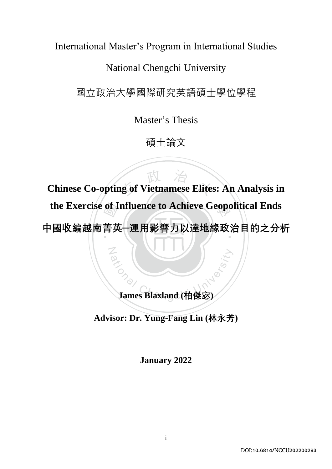International Master's Program in International Studies

National Chengchi University

國立政治大學國際研究英語碩士學位學程

Master's Thesis

碩士論文

就<br>青<br>青 **Chinese Co-opting of Vietnamese Elites: An Analysis in** the Exercise of Influence to Achieve Geopolitical Ends ‧ **中國收編越南菁英─運用影響力以達地緣政治目的之分析**

ational Chengchi University<br>James Blaxland (柏傑宓)

N

**Advisor: Dr. Yung-Fang Lin (林永芳)**

**January 2022**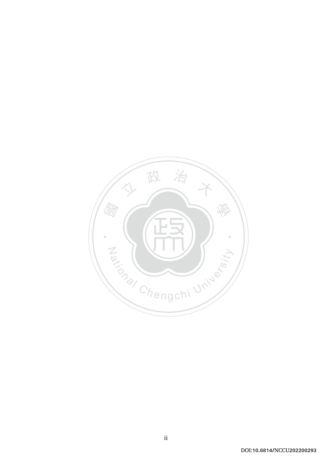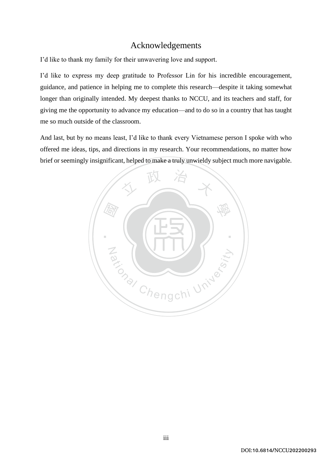## Acknowledgements

<span id="page-2-0"></span>I'd like to thank my family for their unwavering love and support.

I'd like to express my deep gratitude to Professor Lin for his incredible encouragement, guidance, and patience in helping me to complete this research—despite it taking somewhat longer than originally intended. My deepest thanks to NCCU, and its teachers and staff, for giving me the opportunity to advance my education—and to do so in a country that has taught me so much outside of the classroom.

And last, but by no means least, I'd like to thank every Vietnamese person I spoke with who offered me ideas, tips, and directions in my research. Your recommendations, no matter how brief or seemingly insignificant, helped to make a truly unwieldy subject much more navigable.

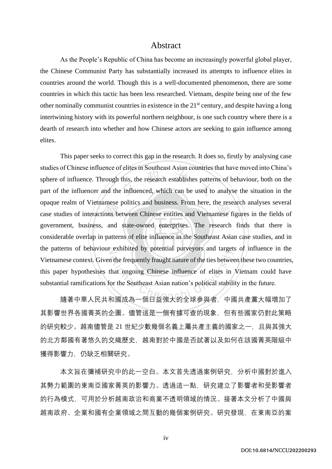## Abstract

<span id="page-3-0"></span>As the People's Republic of China has become an increasingly powerful global player, the Chinese Communist Party has substantially increased its attempts to influence elites in countries around the world. Though this is a well-documented phenomenon, there are some countries in which this tactic has been less researched. Vietnam, despite being one of the few other nominally communist countries in existence in the 21<sup>st</sup> century, and despite having a long intertwining history with its powerful northern neighbour, is one such country where there is a dearth of research into whether and how Chinese actors are seeking to gain influence among elites.

considerable overlap in patterns of elite influence in the Southeast Asian case studies, and in opaque realm of vietnamese politics and business. From here, the research analyses several<br>case studies of interactions between Chinese entities and Vietnamese figures in the fields of<br>government, business, and state-owned this, the research establishes patter<br>influenced, which can be used to the patterns of behaviour exhibited by potential purveyors and targets of influence in the mese context. Given the frequently fraught nature of the ties between these two countries<br>per hypothesises that ongoing Chinese influence of elites in Vietnam could have<br>tial ramifications for the Southeast Asian nation's This paper seeks to correct this gap in the research. It does so, firstly by analysing case studies of Chinese influence of elites in Southeast Asian countries that have moved into China's sphere of influence. Through this, the research establishes patterns of behaviour, both on the part of the influencer and the influenced, which can be used to analyse the situation in the opaque realm of Vietnamese politics and business. From here, the research analyses several government, business, and state-owned enterprises. The research finds that there is Vietnamese context. Given the frequently fraught nature of the ties between these two countries, this paper hypothesises that ongoing Chinese influence of elites in Vietnam could have substantial ramifications for the Southeast Asian nation's political stability in the future.

其影響世界各國菁英的企圖。儘管這是一個有據可查的現象,但有些國家仍對此策略 的研究較少。越南儘管是 21 世紀少數幾個名義上屬共產主義的國家之一,且與其強大 的北方鄰國有著悠久的交織歷史,越南對於中國是否試著以及如何在該國菁英階級中 獲得影響力,仍缺乏相關研究。

本文旨在彌補研究中的此一空白。本文首先透過案例研究,分析中國對於進入 其勢力範圍的東南亞國家菁英的影響力。透過這一點,研究建立了影響者和受影響者 的行為模式,可用於分析越南政治和商業不透明領域的情況。接著本文分析了中國與 越南政府、企業和國有企業領域之間互動的幾個案例研究。研究發現,在東南亞的案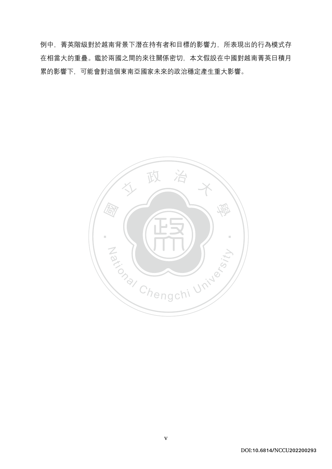例中,菁英階級對於越南背景下潛在持有者和目標的影響力,所表現出的行為模式存 在相當大的重疊。鑑於兩國之間的來往關係密切,本文假設在中國對越南菁英日積月 累的影響下,可能會對這個東南亞國家未來的政治穩定產生重大影響。

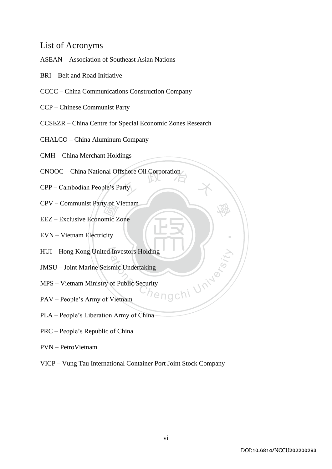## <span id="page-5-0"></span>List of Acronyms

ASEAN – Association of Southeast Asian Nations

- BRI Belt and Road Initiative
- CCCC China Communications Construction Company
- CCP Chinese Communist Party
- CCSEZR China Centre for Special Economic Zones Research
- CHALCO China Aluminum Company

CMH – China Merchant Holdings

- CNOOC China National Offshore Oil Corporation<br>CPP Cambodian People's Party
- CPP Cambodian People's Party
- CPV Communist Party of Vietnam
- y of V<br>mic Z<br>city EEZ – Exclusive Economic Zone
- **EVN** Vietnam Electricity
- N HUI Hong Kong United Investors Holding
- JMSU Joint Marine Seismic Undertaking
- engchi University MPS – Vietnam Ministry of Public Security
- PAV People's Army of Vietnam
- PLA People's Liberation Army of China
- PRC People's Republic of China
- PVN PetroVietnam
- VICP Vung Tau International Container Port Joint Stock Company

學

‧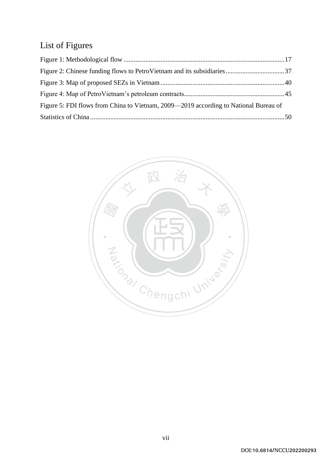# <span id="page-6-0"></span>List of Figures

| Figure 5: FDI flows from China to Vietnam, 2009—2019 according to National Bureau of |  |
|--------------------------------------------------------------------------------------|--|
|                                                                                      |  |

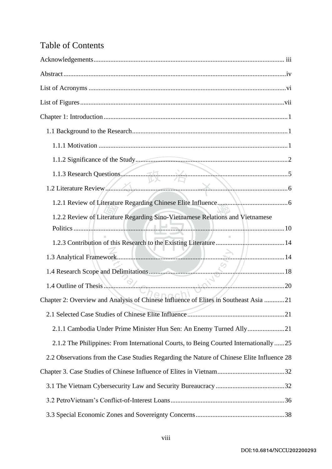# Table of Contents

| 1.1.3 Research Questions                                                                  |
|-------------------------------------------------------------------------------------------|
|                                                                                           |
| 1.2.2 Review of Literature Regarding Sino-Vietnamese Relations and Vietnamese             |
|                                                                                           |
|                                                                                           |
|                                                                                           |
|                                                                                           |
|                                                                                           |
| Chapter 2: Overview and Analysis of Chinese Influence of Elites in Southeast Asia 21      |
|                                                                                           |
| 2.1.1 Cambodia Under Prime Minister Hun Sen: An Enemy Turned Ally21                       |
| 2.1.2 The Philippines: From International Courts, to Being Courted Internationally25      |
| 2.2 Observations from the Case Studies Regarding the Nature of Chinese Elite Influence 28 |
|                                                                                           |
|                                                                                           |
|                                                                                           |
|                                                                                           |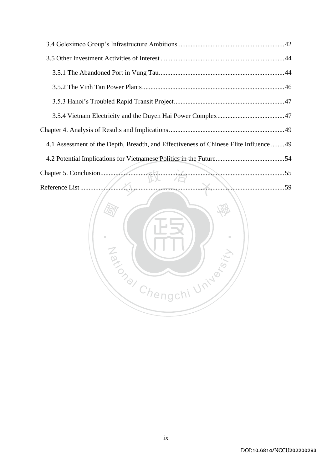| 4.1 Assessment of the Depth, Breadth, and Effectiveness of Chinese Elite Influence  49 |  |
|----------------------------------------------------------------------------------------|--|
|                                                                                        |  |
|                                                                                        |  |
| 59                                                                                     |  |
|                                                                                        |  |

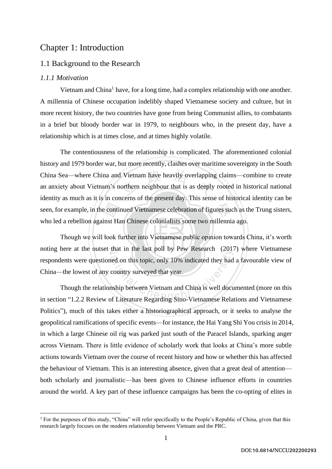## <span id="page-9-0"></span>Chapter 1: Introduction

## <span id="page-9-1"></span>1.1 Background to the Research

## <span id="page-9-2"></span>*1.1.1 Motivation*

Vietnam and China<sup>1</sup> have, for a long time, had a complex relationship with one another. A millennia of Chinese occupation indelibly shaped Vietnamese society and culture, but in more recent history, the two countries have gone from being Communist allies, to combatants in a brief but bloody border war in 1979, to neighbours who, in the present day, have a relationship which is at times close, and at times highly volatile.

e conti<br>inst H<br>look 1 Vietnam have heavily overlapping<br>orthern neighbour that is as deeply res su The contentiousness of the relationship is complicated. The aforementioned colonial history and 1979 border war, but more recently, clashes over maritime sovereignty in the South China Sea—where China and Vietnam have heavily overlapping claims—combine to create an anxiety about Vietnam's northern neighbour that is as deeply rooted in historical national identity as much as it is in concerns of the present day. This sense of historical identity can be seen, for example, in the continued Vietnamese celebration of figures such as the Trung sisters, who led a rebellion against Han Chinese colonialists some two millennia ago.

‧Though we will look further into Vietnamese public opinion towards China, it's worth noting here at the outset that in the last poll by Pew Research (2017) where Vietnamese that in the fast politoy Few Research (201<br>hed on this topic, only 10% indicated they had<br>country surveyed that year.<br>mship between Vietnam and China is well docu<br>of Literature Regarding Sino-Vietnamese Rela respondents were questioned on this topic, only 10% indicated they had a favourable view of China—the lowest of any country surveyed that year.

Though the relationship between Vietnam and China is well documented (more on this in section "1.2.2 Review of Literature Regarding Sino-Vietnamese Relations and Vietnamese Politics"), much of this takes either a historiographical approach, or it seeks to analyse the geopolitical ramifications of specific events—for instance, the Hai Yang Shi You crisis in 2014, in which a large Chinese oil rig was parked just south of the Paracel Islands, sparking anger across Vietnam. There is little evidence of scholarly work that looks at China's more subtle actions towards Vietnam over the course of recent history and how or whether this has affected the behaviour of Vietnam. This is an interesting absence, given that a great deal of attention both scholarly and journalistic—has been given to Chinese influence efforts in countries around the world. A key part of these influence campaigns has been the co-opting of elites in

<sup>&</sup>lt;sup>1</sup> For the purposes of this study, "China" will refer specifically to the People's Republic of China, given that this research largely focuses on the modern relationship between Vietnam and the PRC.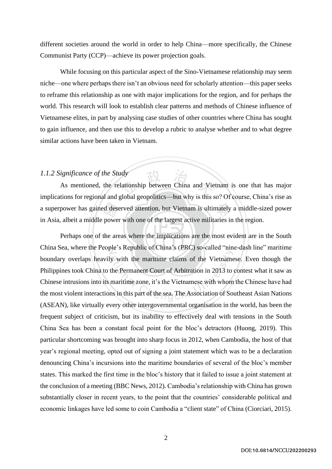different societies around the world in order to help China—more specifically, the Chinese Communist Party (CCP)—achieve its power projection goals.

While focusing on this particular aspect of the Sino-Vietnamese relationship may seem niche—one where perhaps there isn't an obvious need for scholarly attention—this paper seeks to reframe this relationship as one with major implications for the region, and for perhaps the world. This research will look to establish clear patterns and methods of Chinese influence of Vietnamese elites, in part by analysing case studies of other countries where China has sought to gain influence, and then use this to develop a rubric to analyse whether and to what degree similar actions have been taken in Vietnam.

## *1.1.2 Significance of the Study*

<span id="page-10-0"></span>d dese<br>power<br>the are dy<br>lationship between China and Vie a superpower has gained deserved attention, but Vietnam is ultimately a middle-sized power As mentioned, the relationship between China and Vietnam is one that has major implications for regional and global geopolitics—but why is this so? Of course, China's rise as in Asia, albeit a middle power with one of the largest active militaries in the region.

Perhaps one of the areas where the implications are the most evident are in the South China Sea, where the People's Republic of China's (PRC) so-called "nine-dash line" maritime y with the maritime claims of the Vietname<br>the Permanent Court of Arbitration in 2013 to<br>maritime zone, it's the Vietnamese with whom<br>ns in this part of the sea. The Association of So boundary overlaps heavily with the maritime claims of the Vietnamese. Even though the Philippines took China to the Permanent Court of Arbitration in 2013 to contest what it saw as Chinese intrusions into its maritime zone, it's the Vietnamese with whom the Chinese have had the most violent interactions in this part of the sea. The Association of Southeast Asian Nations (ASEAN), like virtually every other intergovernmental organisation in the world, has been the frequent subject of criticism, but its inability to effectively deal with tensions in the South China Sea has been a constant focal point for the bloc's detractors (Huong, 2019). This particular shortcoming was brought into sharp focus in 2012, when Cambodia, the host of that year's regional meeting, opted out of signing a joint statement which was to be a declaration denouncing China's incursions into the maritime boundaries of several of the bloc's member states. This marked the first time in the bloc's history that it failed to issue a joint statement at the conclusion of a meeting (BBC News, 2012). Cambodia's relationship with China has grown substantially closer in recent years, to the point that the countries' considerable political and economic linkages have led some to coin Cambodia a "client state" of China (Ciorciari, 2015).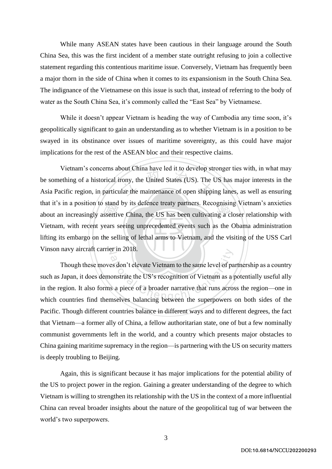While many ASEAN states have been cautious in their language around the South China Sea, this was the first incident of a member state outright refusing to join a collective statement regarding this contentious maritime issue. Conversely, Vietnam has frequently been a major thorn in the side of China when it comes to its expansionism in the South China Sea. The indignance of the Vietnamese on this issue is such that, instead of referring to the body of water as the South China Sea, it's commonly called the "East Sea" by Vietnamese.

While it doesn't appear Vietnam is heading the way of Cambodia any time soon, it's geopolitically significant to gain an understanding as to whether Vietnam is in a position to be swayed in its obstinance over issues of maritime sovereignty, as this could have major implications for the rest of the ASEAN bloc and their respective claims.

lifting its embargo on the selling of lethal arms to Vietnam, and the visiting of the USS Carl that it's in a position to stand by its defence treaty partners. Recognising Vietnam's anxieties<br>about an increasingly assertive China, the US has been cultivating a closer relationship with<br>Vietnam, with recent years seei rony, the United States (US). The later the maintenance of open shipping N Vinson navy aircraft carrier in 2018. Vietnam's concerns about China have led it to develop stronger ties with, in what may be something of a historical irony, the United States (US). The US has major interests in the Asia Pacific region, in particular the maintenance of open shipping lanes, as well as ensuring that it's in a position to stand by its defence treaty partners. Recognising Vietnam's anxieties Vietnam, with recent years seeing unprecedented events such as the Obama administration

ET III 2018.<br>
Ses don't elevate Vietnam to the same level of pa<br>
onstrate the US's recognition of Vietnam as a<br>
s a piece of a broader narrative that runs acro<br>
mselves balancing between the superpowers Though these moves don't elevate Vietnam to the same level of partnership as a country such as Japan, it does demonstrate the US's recognition of Vietnam as a potentially useful ally in the region. It also forms a piece of a broader narrative that runs across the region—one in which countries find themselves balancing between the superpowers on both sides of the Pacific. Though different countries balance in different ways and to different degrees, the fact that Vietnam—a former ally of China, a fellow authoritarian state, one of but a few nominally communist governments left in the world, and a country which presents major obstacles to China gaining maritime supremacy in the region—is partnering with the US on security matters is deeply troubling to Beijing.

Again, this is significant because it has major implications for the potential ability of the US to project power in the region. Gaining a greater understanding of the degree to which Vietnam is willing to strengthen its relationship with the US in the context of a more influential China can reveal broader insights about the nature of the geopolitical tug of war between the world's two superpowers.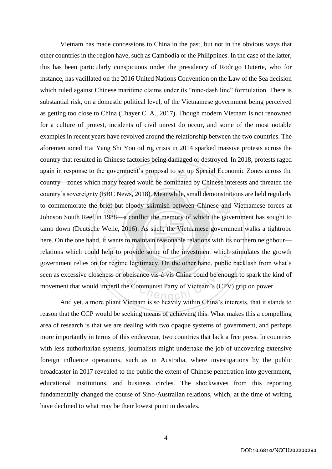to commemorate the brief-but-bloody skirmish between Chinese and Vietnamese forces at<br>Johnson South Reef in 1988—a conflict the memory of which the government has sought to<br>tamp down (Deutsche Welle, 2016). As such, the Vi rnment's proposal to set up Specia<br>feared would be dominated by Chin<br>Jews, 2018). Meanwhile, small dem to commemorate the brief-but-bloody skirmish between Chinese and Vietnamese forces at<br>Johnson South Reef in 1988—a conflict the memory of which the government has sought to …<br>! relations which could help to provide some of the investment which stimulates the growth p to provide some of the investment which s<br>regime legitimacy. On the other hand, public l<br>ss or obeisance vis-à-vis China could be enoug<br>eril the Communist Party of Vietnam's (CPV) Vietnam has made concessions to China in the past, but not in the obvious ways that other countries in the region have, such as Cambodia or the Philippines. In the case of the latter, this has been particularly conspicuous under the presidency of Rodrigo Duterte, who for instance, has vacillated on the 2016 United Nations Convention on the Law of the Sea decision which ruled against Chinese maritime claims under its "nine-dash line" formulation. There is substantial risk, on a domestic political level, of the Vietnamese government being perceived as getting too close to China (Thayer C. A., 2017). Though modern Vietnam is not renowned for a culture of protest, incidents of civil unrest do occur, and some of the most notable examples in recent years have revolved around the relationship between the two countries. The aforementioned Hai Yang Shi You oil rig crisis in 2014 sparked massive protests across the country that resulted in Chinese factories being damaged or destroyed. In 2018, protests raged again in response to the government's proposal to set up Special Economic Zones across the country—zones which many feared would be dominated by Chinese interests and threaten the country's sovereignty (BBC News, 2018). Meanwhile, small demonstrations are held regularly Johnson South Reef in 1988—a conflict the memory of which the government has sought to tamp down (Deutsche Welle, 2016). As such, the Vietnamese government walks a tightrope government relies on for regime legitimacy. On the other hand, public backlash from what's seen as excessive closeness or obeisance vis-à-vis China could be enough to spark the kind of movement that would imperil the Communist Party of Vietnam's (CPV) grip on power.

And yet, a more pliant Vietnam is so heavily within China's interests, that it stands to reason that the CCP would be seeking means of achieving this. What makes this a compelling area of research is that we are dealing with two opaque systems of government, and perhaps more importantly in terms of this endeavour, two countries that lack a free press. In countries with less authoritarian systems, journalists might undertake the job of uncovering extensive foreign influence operations, such as in Australia, where investigations by the public broadcaster in 2017 revealed to the public the extent of Chinese penetration into government, educational institutions, and business circles. The shockwaves from this reporting fundamentally changed the course of Sino-Australian relations, which, at the time of writing have declined to what may be their lowest point in decades.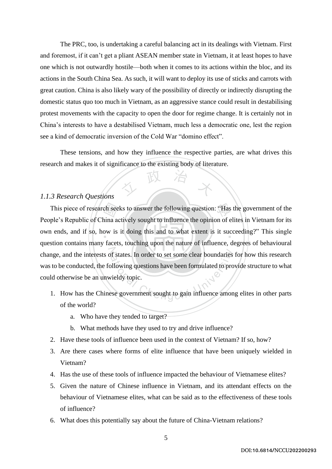The PRC, too, is undertaking a careful balancing act in its dealings with Vietnam. First and foremost, if it can't get a pliant ASEAN member state in Vietnam, it at least hopes to have one which is not outwardly hostile—both when it comes to its actions within the bloc, and its actions in the South China Sea. As such, it will want to deploy its use of sticks and carrots with great caution. China is also likely wary of the possibility of directly or indirectly disrupting the domestic status quo too much in Vietnam, as an aggressive stance could result in destabilising protest movements with the capacity to open the door for regime change. It is certainly not in China's interests to have a destabilised Vietnam, much less a democratic one, lest the region see a kind of democratic inversion of the Cold War "domino effect".

These tensions, and how they influence the respective parties, are what drives this research and makes it of significance to the existing body of literature.

人 政 治 木

## <span id="page-13-0"></span>*1.1.3 Research Questions*

ch see<br>
ina ac<br>
ow is<br>
facet This piece of research seeks to answer the following question: "Has the government of the own ends, and if so, how is it doing this and to what extent is it succeeding?" This single change, and the interests of states. In order to set some clear boundaries for how this research of states. In order to set some clear boundaries<br>bllowing questions have been formulated to provieldy topic.<br>ese government sought to gain influence amon People's Republic of China actively sought to influence the opinion of elites in Vietnam for its question contains many facets, touching upon the nature of influence, degrees of behavioural was to be conducted, the following questions have been formulated to provide structure to what could otherwise be an unwieldy topic.

- 1. How has the Chinese government sought to gain influence among elites in other parts of the world?
	- a. Who have they tended to target?
	- b. What methods have they used to try and drive influence?
- 2. Have these tools of influence been used in the context of Vietnam? If so, how?
- 3. Are there cases where forms of elite influence that have been uniquely wielded in Vietnam?
- 4. Has the use of these tools of influence impacted the behaviour of Vietnamese elites?
- 5. Given the nature of Chinese influence in Vietnam, and its attendant effects on the behaviour of Vietnamese elites, what can be said as to the effectiveness of these tools of influence?
- 6. What does this potentially say about the future of China-Vietnam relations?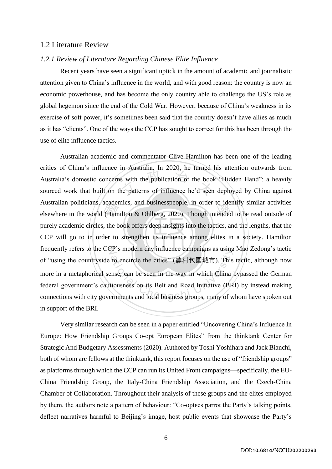### <span id="page-14-0"></span>1.2 Literature Review

#### <span id="page-14-1"></span>*1.2.1 Review of Literature Regarding Chinese Elite Influence*

Recent years have seen a significant uptick in the amount of academic and journalistic attention given to China's influence in the world, and with good reason: the country is now an economic powerhouse, and has become the only country able to challenge the US's role as global hegemon since the end of the Cold War. However, because of China's weakness in its exercise of soft power, it's sometimes been said that the country doesn't have allies as much as it has "clients". One of the ways the CCP has sought to correct for this has been through the use of elite influence tactics.

CCP will go to in order to strengthen its influence among elites in a society. Hamilton acader<br>(Ham<br>, the b<br>der to in Australia. In 2020, he tained<br>s with the publication of the bool<br>he patterns of influence he'd seen Australian politicians, academics, and businesspeople, in order to identify similar activities<br>elsewhere in the world (Hamilton & Ohlberg, 2020). Though intended to be read outside of frequently refers to the CCP's modern day influence campaigns as using Mao Zedong's tactic to encircle the cities" (農村包圍城市). This<br>to encircle the cities" (農村包圍城市). This<br>ense, can be seen in the way in which China<br>tiousness on its Belt and Road Initiative (BR<br>ernments and local business groups, many of w Australian academic and commentator Clive Hamilton has been one of the leading critics of China's influence in Australia. In 2020, he turned his attention outwards from Australia's domestic concerns with the publication of the book "Hidden Hand": a heavily sourced work that built on the patterns of influence he'd seen deployed by China against Australian politicians, academics, and businesspeople, in order to identify similar activities purely academic circles, the book offers deep insights into the tactics, and the lengths, that the of "using the countryside to encircle the cities" (農村包圍城市). This tactic, although now more in a metaphorical sense, can be seen in the way in which China bypassed the German federal government's cautiousness on its Belt and Road Initiative (BRI) by instead making connections with city governments and local business groups, many of whom have spoken out in support of the BRI.

Very similar research can be seen in a paper entitled "Uncovering China's Influence In Europe: How Friendship Groups Co-opt European Elites" from the thinktank Center for Strategic And Budgetary Assessments (2020). Authored by Toshi Yoshihara and Jack Bianchi, both of whom are fellows at the thinktank, this report focuses on the use of "friendship groups" as platforms through which the CCP can run its United Front campaigns—specifically, the EU-China Friendship Group, the Italy-China Friendship Association, and the Czech-China Chamber of Collaboration. Throughout their analysis of these groups and the elites employed by them, the authors note a pattern of behaviour: "Co-optees parrot the Party's talking points, deflect narratives harmful to Beijing's image, host public events that showcase the Party's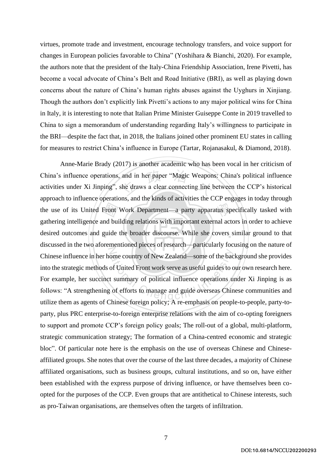virtues, promote trade and investment, encourage technology transfers, and voice support for changes in European policies favorable to China" (Yoshihara & Bianchi, 2020). For example, the authors note that the president of the Italy-China Friendship Association, Irene Pivetti, has become a vocal advocate of China's Belt and Road Initiative (BRI), as well as playing down concerns about the nature of China's human rights abuses against the Uyghurs in Xinjiang. Though the authors don't explicitly link Pivetti's actions to any major political wins for China in Italy, it is interesting to note that Italian Prime Minister Guiseppe Conte in 2019 travelled to China to sign a memorandum of understanding regarding Italy's willingness to participate in the BRI—despite the fact that, in 2018, the Italians joined other prominent EU states in calling for measures to restrict China's influence in Europe (Tartar, Rojanasakul, & Diamond, 2018).

desired outcomes and guide the broader discourse. While she covers similar ground to that Front Work Department—a party apparatus sp<br>
and building relations with important external act<br>
guide the broader discourse. While she covers and in her paper "Magic Weapon<br>she draws a clear connecting line b Chinese influence in her home country of New Zealand—some of the background she provides<br>into the strategic methods of United Front work serve as useful guides to our own research here.<br>For example, her succinct summary of Anne-Marie Brady (2017) is another academic who has been vocal in her criticism of China's influence operations, and in her paper "Magic Weapons: China's political influence activities under Xi Jinping", she draws a clear connecting line between the CCP's historical approach to influence operations, and the kinds of activities the CCP engages in today through the use of its United Front Work Department—a party apparatus specifically tasked with gathering intelligence and building relations with important external actors in order to achieve discussed in the two aforementioned pieces of research—particularly focusing on the nature of into the strategic methods of United Front work serve as useful guides to our own research here. For example, her succinct summary of political influence operations under Xi Jinping is as follows: "A strengthening of efforts to manage and guide overseas Chinese communities and utilize them as agents of Chinese foreign policy; A re-emphasis on people-to-people, party-toparty, plus PRC enterprise-to-foreign enterprise relations with the aim of co-opting foreigners to support and promote CCP's foreign policy goals; The roll-out of a global, multi-platform, strategic communication strategy; The formation of a China-centred economic and strategic bloc". Of particular note here is the emphasis on the use of overseas Chinese and Chineseaffiliated groups. She notes that over the course of the last three decades, a majority of Chinese affiliated organisations, such as business groups, cultural institutions, and so on, have either been established with the express purpose of driving influence, or have themselves been coopted for the purposes of the CCP. Even groups that are antithetical to Chinese interests, such as pro-Taiwan organisations, are themselves often the targets of infiltration.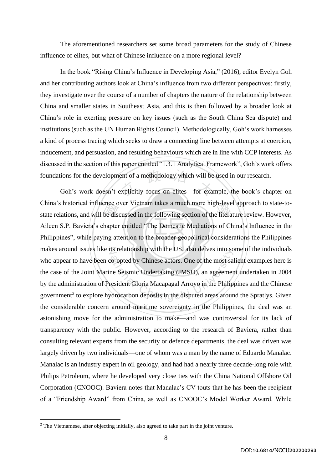The aforementioned researchers set some broad parameters for the study of Chinese influence of elites, but what of Chinese influence on a more regional level?

foundations for the development of a methodology which will be used in our research.<br>Goh's work doesn't explicitly focus on elites—for example, the book's cha In the book "Rising China's Influence in Developing Asia," (2016), editor Evelyn Goh and her contributing authors look at China's influence from two different perspectives: firstly, they investigate over the course of a number of chapters the nature of the relationship between China and smaller states in Southeast Asia, and this is then followed by a broader look at China's role in exerting pressure on key issues (such as the South China Sea dispute) and institutions (such as the UN Human Rights Council). Methodologically, Goh's work harnesses a kind of process tracing which seeks to draw a connecting line between attempts at coercion, inducement, and persuasion, and resulting behaviours which are in line with CCP interests. As discussed in the section of this paper entitled "1.3.1 Analytical Framework", Goh's work offers

Philippines", while paying attention to the broader geopolitical considerations the Philippines ence o<br>be dis<br>hapter<br>ing att China's historical influence over Vietnam takes a much more high-level approach to state-to-<br>state relations, and will be discussed in the following section of the literature review. However, makes around issues like its relationship with the US, also delves into some of the individuals makes around issues like its relationship with the OS, also derves lift some of the mortual who appear to have been co-opted by Chinese actors. One of the most salient examples here is the case of the Joint Marine Seismic Goh's work doesn't explicitly focus on elites—for example, the book's chapter on China's historical influence over Vietnam takes a much more high-level approach to state-to-Aileen S.P. Baviera's chapter entitled "The Domestic Mediations of China's Influence in the who appear to have been co-opted by Chinese actors. One of the most salient examples here is the case of the Joint Marine Seismic Undertaking (JMSU), an agreement undertaken in 2004 by the administration of President Gloria Macapagal Arroyo in the Philippines and the Chinese the considerable concern around maritime sovereignty in the Philippines, the deal was an astonishing move for the administration to make—and was controversial for its lack of transparency with the public. However, according to the research of Baviera, rather than consulting relevant experts from the security or defence departments, the deal was driven was largely driven by two individuals—one of whom was a man by the name of Eduardo Manalac. Manalac is an industry expert in oil geology, and had had a nearly three decade-long role with Philips Petroleum, where he developed very close ties with the China National Offshore Oil Corporation (CNOOC). Baviera notes that Manalac's CV touts that he has been the recipient of a "Friendship Award" from China, as well as CNOOC's Model Worker Award. While

<sup>&</sup>lt;sup>2</sup> The Vietnamese, after objecting initially, also agreed to take part in the joint venture.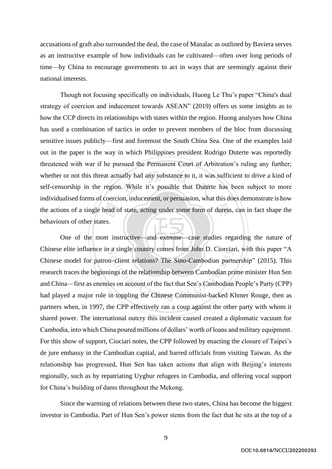accusations of graft also surrounded the deal, the case of Manalac as outlined by Baviera serves as an instructive example of how individuals can be cultivated—often over long periods of time—by China to encourage governments to act in ways that are seemingly against their national interests.

ead of state, acting under some form of duress<br>
es.<br>
st instructive—and extreme—case studies reg ally had any substance to it, it was<br>a. While it's possible that Duterte Though not focusing specifically on individuals, Huong Le Thu's paper "China's dual strategy of coercion and inducement towards ASEAN" (2019) offers us some insights as to how the CCP directs its relationships with states within the region. Huong analyses how China has used a combination of tactics in order to prevent members of the bloc from discussing sensitive issues publicly—first and foremost the South China Sea. One of the examples laid out in the paper is the way in which Philippines president Rodrigo Duterte was reportedly threatened with war if he pursued the Permanent Court of Arbitration's ruling any further; whether or not this threat actually had any substance to it, it was sufficient to drive a kind of self-censorship in the region. While it's possible that Duterte has been subject to more individualised forms of coercion, inducement, or persuasion, what this does demonstrate is how the actions of a single head of state, acting under some form of duress, can in fact shape the behaviours of other states.

One of the most instructive—and extreme—case studies regarding the nature of Chinese elite influence in a single country comes from John D. Ciorciari, with this paper "A a single country comes from John D. Clocal<br>--Client relations? The Sino-Cambodian partrings of the relationship between Cambodian pri<br>es on account of the fact that Sen's Cambodian<br>n toppling the Chinese Communist-backed K Chinese model for patron–client relations? The Sino-Cambodian partnership" (2015). This research traces the beginnings of the relationship between Cambodian prime minister Hun Sen and China—first as enemies on account of the fact that Sen's Cambodian People's Party (CPP) had played a major role in toppling the Chinese Communist-backed Khmer Rouge, then as partners when, in 1997, the CPP effectively ran a coup against the other party with whom it shared power. The international outcry this incident caused created a diplomatic vacuum for Cambodia, into which China poured millions of dollars' worth of loans and military equipment. For this show of support, Ciociari notes, the CPP followed by enacting the closure of Taipei's de jure embassy in the Cambodian capital, and barred officials from visiting Taiwan. As the relationship has progressed, Hun Sen has taken actions that align with Beijing's interests regionally, such as by repatriating Uyghur refugees in Cambodia, and offering vocal support for China's building of dams throughout the Mekong.

Since the warming of relations between these two states, China has become the biggest investor in Cambodia. Part of Hun Sen's power stems from the fact that he sits at the top of a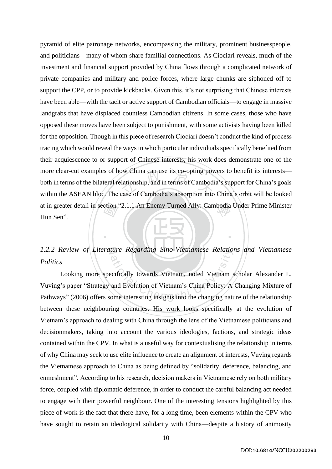at in greater detail in section "2.1.1 An Enemy Turned Ally: Cambodia Under Prime Minister<br>Hun Sen". ow China can use its co-opting pov<br>elationship, and in terms of Cambod<br>case of Cambodia's absorption into pyramid of elite patronage networks, encompassing the military, prominent businesspeople, and politicians—many of whom share familial connections. As Ciociari reveals, much of the investment and financial support provided by China flows through a complicated network of private companies and military and police forces, where large chunks are siphoned off to support the CPP, or to provide kickbacks. Given this, it's not surprising that Chinese interests have been able—with the tacit or active support of Cambodian officials—to engage in massive landgrabs that have displaced countless Cambodian citizens. In some cases, those who have opposed these moves have been subject to punishment, with some activists having been killed for the opposition. Though in this piece of research Ciociari doesn't conduct the kind of process tracing which would reveal the ways in which particular individuals specifically benefited from their acquiescence to or support of Chinese interests, his work does demonstrate one of the more clear-cut examples of how China can use its co-opting powers to benefit its interests both in terms of the bilateral relationship, and in terms of Cambodia's support for China's goals within the ASEAN bloc. The case of Cambodia's absorption into China's orbit will be looked Hun Sen".

# <span id="page-18-0"></span>N *1.2.2 Review of Literature Regarding Sino-Vietnamese Relations and Vietnamese Politics*

‧

The Regaraing Sino-Vietnamese Relation<br>
Secifically towards Vietnam, noted Vietnam<br>
and Evolution of Vietnam's China Policy: A<br>
ome interesting insights into the changing nature Looking more specifically towards Vietnam, noted Vietnam scholar Alexander L. Vuving's paper "Strategy and Evolution of Vietnam's China Policy: A Changing Mixture of Pathways" (2006) offers some interesting insights into the changing nature of the relationship between these neighbouring countries. His work looks specifically at the evolution of Vietnam's approach to dealing with China through the lens of the Vietnamese politicians and decisionmakers, taking into account the various ideologies, factions, and strategic ideas contained within the CPV. In what is a useful way for contextualising the relationship in terms of why China may seek to use elite influence to create an alignment of interests, Vuving regards the Vietnamese approach to China as being defined by "solidarity, deference, balancing, and enmeshment". According to his research, decision makers in Vietnamese rely on both military force, coupled with diplomatic deference, in order to conduct the careful balancing act needed to engage with their powerful neighbour. One of the interesting tensions highlighted by this piece of work is the fact that there have, for a long time, been elements within the CPV who have sought to retain an ideological solidarity with China—despite a history of animosity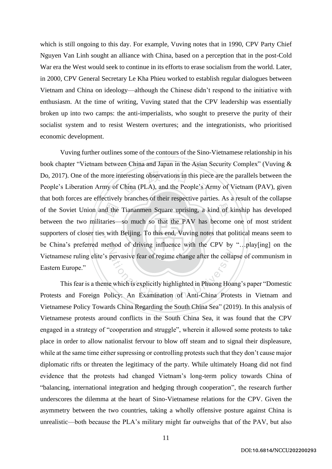which is still ongoing to this day. For example, Vuving notes that in 1990, CPV Party Chief Nguyen Van Linh sought an alliance with China, based on a perception that in the post-Cold War era the West would seek to continue in its efforts to erase socialism from the world. Later, in 2000, CPV General Secretary Le Kha Phieu worked to establish regular dialogues between Vietnam and China on ideology—although the Chinese didn't respond to the initiative with enthusiasm. At the time of writing, Vuving stated that the CPV leadership was essentially broken up into two camps: the anti-imperialists, who sought to preserve the purity of their socialist system and to resist Western overtures; and the integrationists, who prioritised economic development.

supporters of closer ties with Beijing. To this end, Vuving notes that political means seem to nd the Tiananmen Square uprising, a kind of laries—so much so that the PAV has become<br>with Beijing. To this end, Vuving notes that p teresting observations in this piece<br>China (PLA), and the People's Arr Vietnamese ruling elite's pervasive fear of regime change after the collapse of communism in<br>Eastern Europe."<br>This fear is a theme which is explicitly highlighted in Phuong Hoang's paper "Domestic<br>Protests and Foreign Poli Vuving further outlines some of the contours of the Sino-Vietnamese relationship in his book chapter "Vietnam between China and Japan in the Asian Security Complex" (Vuving & Do, 2017). One of the more interesting observations in this piece are the parallels between the People's Liberation Army of China (PLA), and the People's Army of Vietnam (PAV), given that both forces are effectively branches of their respective parties. As a result of the collapse of the Soviet Union and the Tiananmen Square uprising, a kind of kinship has developed between the two militaries—so much so that the PAV has become one of most strident be China's preferred method of driving influence with the CPV by "…play[ing] on the Eastern Europe."

This fear is a theme which is explicitly highlighted in Phuong Hoang's paper "Domestic Protests and Foreign Policy: An Examination of Anti-China Protests in Vietnam and Vietnamese Policy Towards China Regarding the South China Sea" (2019). In this analysis of Vietnamese protests around conflicts in the South China Sea, it was found that the CPV engaged in a strategy of "cooperation and struggle", wherein it allowed some protests to take place in order to allow nationalist fervour to blow off steam and to signal their displeasure, while at the same time either supressing or controlling protests such that they don't cause major diplomatic rifts or threaten the legitimacy of the party. While ultimately Hoang did not find evidence that the protests had changed Vietnam's long-term policy towards China of "balancing, international integration and hedging through cooperation", the research further underscores the dilemma at the heart of Sino-Vietnamese relations for the CPV. Given the asymmetry between the two countries, taking a wholly offensive posture against China is unrealistic—both because the PLA's military might far outweighs that of the PAV, but also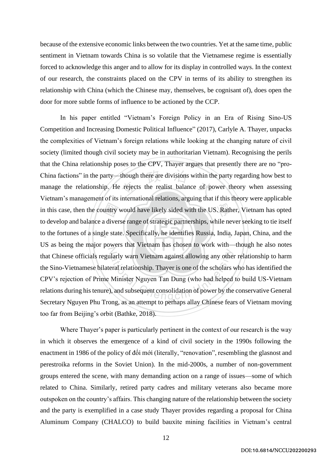because of the extensive economic links between the two countries. Yet at the same time, public sentiment in Vietnam towards China is so volatile that the Vietnamese regime is essentially forced to acknowledge this anger and to allow for its display in controlled ways. In the context of our research, the constraints placed on the CPV in terms of its ability to strengthen its relationship with China (which the Chinese may, themselves, be cognisant of), does open the door for more subtle forms of influence to be actioned by the CCP.

to the fortunes of a single state. Specifically, he identifies Russia, India, Japan, China, and the untry would have likely sided with the US. Rath<br>a diverse range of strategic partnerships, while ne<br>le state. Specifically, he identifies Russia, India. though there are divisions within the rejects the realist balance of po N ative warn Vietnam against allowing any other<br>eral relationship. Thayer is one of the scholars<br>Minister Nguyen Tan Dung (who had helped<br>a), and subsequent consolidation of power by the In his paper entitled "Vietnam's Foreign Policy in an Era of Rising Sino-US Competition and Increasing Domestic Political Influence" (2017), Carlyle A. Thayer, unpacks the complexities of Vietnam's foreign relations while looking at the changing nature of civil society (limited though civil society may be in authoritarian Vietnam). Recognising the perils that the China relationship poses to the CPV, Thayer argues that presently there are no "pro-China factions" in the party—though there are divisions within the party regarding how best to manage the relationship. He rejects the realist balance of power theory when assessing Vietnam's management of its international relations, arguing that if this theory were applicable in this case, then the country would have likely sided with the US. Rather, Vietnam has opted to develop and balance a diverse range of strategic partnerships, while never seeking to tie itself US as being the major powers that Vietnam has chosen to work with—though he also notes that Chinese officials regularly warn Vietnam against allowing any other relationship to harm the Sino-Vietnamese bilateral relationship. Thayer is one of the scholars who has identified the CPV's rejection of Prime Minister Nguyen Tan Dung (who had helped to build US-Vietnam relations during his tenure), and subsequent consolidation of power by the conservative General Secretary Nguyen Phu Trong, as an attempt to perhaps allay Chinese fears of Vietnam moving too far from Beijing's orbit (Bathke, 2018).

Where Thayer's paper is particularly pertinent in the context of our research is the way in which it observes the emergence of a kind of civil society in the 1990s following the enactment in 1986 of the policy of đổi mới (literally, "renovation", resembling the glasnost and perestroika reforms in the Soviet Union). In the mid-2000s, a number of non-government groups entered the scene, with many demanding action on a range of issues—some of which related to China. Similarly, retired party cadres and military veterans also became more outspoken on the country's affairs. This changing nature of the relationship between the society and the party is exemplified in a case study Thayer provides regarding a proposal for China Aluminum Company (CHALCO) to build bauxite mining facilities in Vietnam's central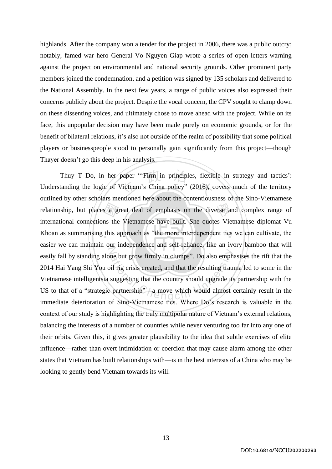highlands. After the company won a tender for the project in 2006, there was a public outcry; notably, famed war hero General Vo Nguyen Giap wrote a series of open letters warning against the project on environmental and national security grounds. Other prominent party members joined the condemnation, and a petition was signed by 135 scholars and delivered to the National Assembly. In the next few years, a range of public voices also expressed their concerns publicly about the project. Despite the vocal concern, the CPV sought to clamp down on these dissenting voices, and ultimately chose to move ahead with the project. While on its face, this unpopular decision may have been made purely on economic grounds, or for the benefit of bilateral relations, it's also not outside of the realm of possibility that some political players or businesspeople stood to personally gain significantly from this project—though Thayer doesn't go this deep in his analysis.

Khoan as summarising this approach as "the more interdependent ties we can cultivate, the S a great deal of emphasis on the diverse a<br>
ns the Vietnamese have built. She quotes Vie<br>
this approach as "the more interdependent ties paper "Firm in principles, flexit<br>Vietnam's China policy" (2016), c N ne but grow firmly in clumps". Do also emph<br>il rig crisis created, and that the resulting trau:<br>suggesting that the country should upgrade its<br>partnership"—a move which would almost Thuy T Do, in her paper "'Firm in principles, flexible in strategy and tactics': Understanding the logic of Vietnam's China policy" (2016), covers much of the territory outlined by other scholars mentioned here about the contentiousness of the Sino-Vietnamese relationship, but places a great deal of emphasis on the diverse and complex range of international connections the Vietnamese have built. She quotes Vietnamese diplomat Vu easier we can maintain our independence and self-reliance, like an ivory bamboo that will easily fall by standing alone but grow firmly in clumps". Do also emphasises the rift that the 2014 Hai Yang Shi You oil rig crisis created, and that the resulting trauma led to some in the Vietnamese intelligentsia suggesting that the country should upgrade its partnership with the US to that of a "strategic partnership"—a move which would almost certainly result in the immediate deterioration of Sino-Vietnamese ties. Where Do's research is valuable in the context of our study is highlighting the truly multipolar nature of Vietnam's external relations, balancing the interests of a number of countries while never venturing too far into any one of their orbits. Given this, it gives greater plausibility to the idea that subtle exercises of elite influence—rather than overt intimidation or coercion that may cause alarm among the other states that Vietnam has built relationships with—is in the best interests of a China who may be looking to gently bend Vietnam towards its will.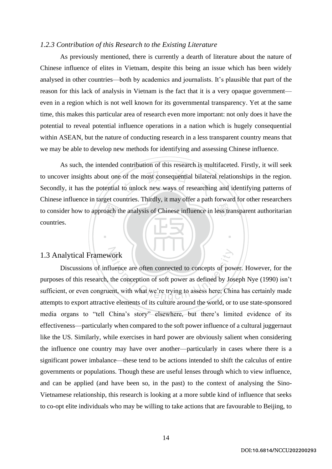### <span id="page-22-0"></span>*1.2.3 Contribution of this Research to the Existing Literature*

As previously mentioned, there is currently a dearth of literature about the nature of Chinese influence of elites in Vietnam, despite this being an issue which has been widely analysed in other countries—both by academics and journalists. It's plausible that part of the reason for this lack of analysis in Vietnam is the fact that it is a very opaque government even in a region which is not well known for its governmental transparency. Yet at the same time, this makes this particular area of research even more important: not only does it have the potential to reveal potential influence operations in a nation which is hugely consequential within ASEAN, but the nature of conducting research in a less transparent country means that we may be able to develop new methods for identifying and assessing Chinese influence.

to consider how to approach the analysis of Chinese influence in less transparent authoritarian<br>countries. of the most consequential bilateration unlock new ways of researching As such, the intended contribution of this research is multifaceted. Firstly, it will seek to uncover insights about one of the most consequential bilateral relationships in the region. Secondly, it has the potential to unlock new ways of researching and identifying patterns of Chinese influence in target countries. Thirdly, it may offer a path forward for other researchers countries.

‧

#### Z. 1.3 Analytical Framework

<span id="page-22-1"></span>Figures are often connected to concepts of pow<br>the conception of soft power as defined by Joseph.<br>ent, with what we're trying to assess here; Chin Discussions of influence are often connected to concepts of power. However, for the purposes of this research, the conception of soft power as defined by Joseph Nye (1990) isn't sufficient, or even congruent, with what we're trying to assess here; China has certainly made attempts to export attractive elements of its culture around the world, or to use state-sponsored media organs to "tell China's story" elsewhere, but there's limited evidence of its effectiveness—particularly when compared to the soft power influence of a cultural juggernaut like the US. Similarly, while exercises in hard power are obviously salient when considering the influence one country may have over another—particularly in cases where there is a significant power imbalance—these tend to be actions intended to shift the calculus of entire governments or populations. Though these are useful lenses through which to view influence, and can be applied (and have been so, in the past) to the context of analysing the Sino-Vietnamese relationship, this research is looking at a more subtle kind of influence that seeks to co-opt elite individuals who may be willing to take actions that are favourable to Beijing, to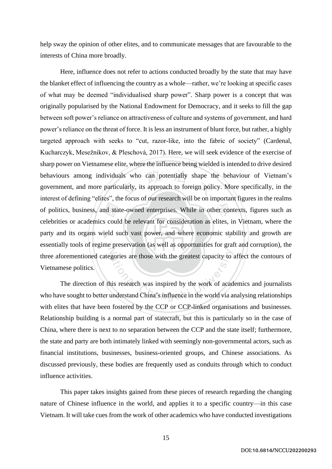help sway the opinion of other elites, and to communicate messages that are favourable to the interests of China more broadly.

party and its organs wield such vast power, and where economic stability and growth are and state-owned enterprises. While in other cors<br>
s could be relevant for consideration as elites, is<br>
eld such vast power, and where economic states als who can potentially shape the ularly, its approach to foreign poli Z three aforementioned categories are those with the greatest capacity to affect the contours of<br>Vietnamese politics.<br>The direction of this research was inspired by the work of academics and journalists<br>who have sought to be Here, influence does not refer to actions conducted broadly by the state that may have the blanket effect of influencing the country as a whole—rather, we're looking at specific cases of what may be deemed "individualised sharp power". Sharp power is a concept that was originally popularised by the National Endowment for Democracy, and it seeks to fill the gap between soft power's reliance on attractiveness of culture and systems of government, and hard power's reliance on the threat of force. It is less an instrument of blunt force, but rather, a highly targeted approach with seeks to "cut, razor-like, into the fabric of society" (Cardenal, Kucharczyk, Mesežnikov, & Pleschová, 2017). Here, we will seek evidence of the exercise of sharp power on Vietnamese elite, where the influence being wielded is intended to drive desired behaviours among individuals who can potentially shape the behaviour of Vietnam's government, and more particularly, its approach to foreign policy. More specifically, in the interest of defining "elites", the focus of our research will be on important figures in the realms of politics, business, and state-owned enterprises. While in other contexts, figures such as celebrities or academics could be relevant for consideration as elites, in Vietnam, where the essentially tools of regime preservation (as well as opportunities for graft and corruption), the three aforementioned categories are those with the greatest capacity to affect the contours of Vietnamese politics.

The direction of this research was inspired by the work of academics and journalists with elites that have been fostered by the CCP or CCP-linked organisations and businesses. Relationship building is a normal part of statecraft, but this is particularly so in the case of China, where there is next to no separation between the CCP and the state itself; furthermore, the state and party are both intimately linked with seemingly non-governmental actors, such as financial institutions, businesses, business-oriented groups, and Chinese associations. As discussed previously, these bodies are frequently used as conduits through which to conduct influence activities.

This paper takes insights gained from these pieces of research regarding the changing nature of Chinese influence in the world, and applies it to a specific country—in this case Vietnam. It will take cues from the work of other academics who have conducted investigations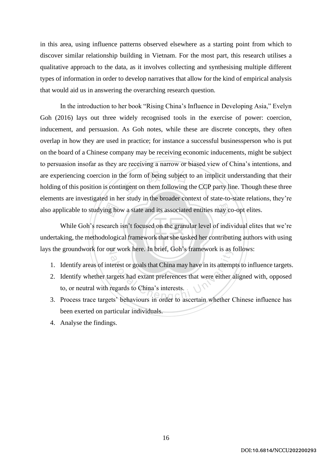in this area, using influence patterns observed elsewhere as a starting point from which to discover similar relationship building in Vietnam. For the most part, this research utilises a qualitative approach to the data, as it involves collecting and synthesising multiple different types of information in order to develop narratives that allow for the kind of empirical analysis that would aid us in answering the overarching research question.

the form of being subject to an impaing the CCP primary on them following the CCP primary of the CCP primary of the contract of the contract of the contract of the contract of the contract of the contract of the contract o In the introduction to her book "Rising China's Influence in Developing Asia," Evelyn Goh (2016) lays out three widely recognised tools in the exercise of power: coercion, inducement, and persuasion. As Goh notes, while these are discrete concepts, they often overlap in how they are used in practice; for instance a successful businessperson who is put on the board of a Chinese company may be receiving economic inducements, might be subject to persuasion insofar as they are receiving a narrow or biased view of China's intentions, and are experiencing coercion in the form of being subject to an implicit understanding that their holding of this position is contingent on them following the CCP party line. Though these three elements are investigated in her study in the broader context of state-to-state relations, they're also applicable to studying how a state and its associated entities may co-opt elites.

undertaking, the methodological framework that she tasked her contributing authors with using ing how a state and its associated entities may contain the state and its associated entities may contain the state of individual framework that she tasked her contribution lays the groundwork for our work here. In brief, Goh's framework is as follows: While Goh's research isn't focused on the granular level of individual elites that we're

- 1. Identify areas of interest or goals that China may have in its attempts to influence targets.
- at work here. In orier, Gon's framework is as a<br>terest or goals that China may have in its attemp<br>argets had extant preferences that were either a<br>regards to China's interests. 2. Identify whether targets had extant preferences that were either aligned with, opposed to, or neutral with regards to China's interests.
- 3. Process trace targets' behaviours in order to ascertain whether Chinese influence has been exerted on particular individuals.
- 4. Analyse the findings.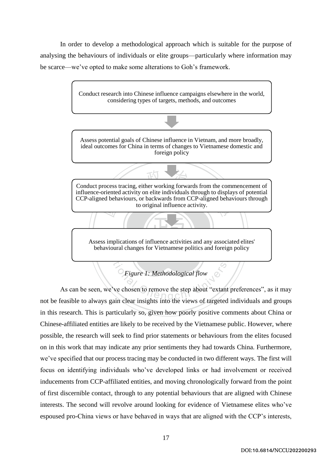In order to develop a methodological approach which is suitable for the purpose of analysing the behaviours of individuals or elite groups—particularly where information may be scarce—we've opted to make some alterations to Goh's framework.



## *Figure 1: Methodological flow*

<span id="page-25-0"></span>As can be seen, we've chosen to remove the step about "extant preferences", as it may not be feasible to always gain clear insights into the views of targeted individuals and groups in this research. This is particularly so, given how poorly positive comments about China or Chinese-affiliated entities are likely to be received by the Vietnamese public. However, where possible, the research will seek to find prior statements or behaviours from the elites focused on in this work that may indicate any prior sentiments they had towards China. Furthermore, we've specified that our process tracing may be conducted in two different ways. The first will focus on identifying individuals who've developed links or had involvement or received inducements from CCP-affiliated entities, and moving chronologically forward from the point of first discernible contact, through to any potential behaviours that are aligned with Chinese interests. The second will revolve around looking for evidence of Vietnamese elites who've espoused pro-China views or have behaved in ways that are aligned with the CCP's interests,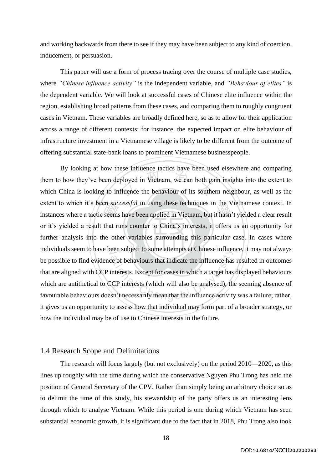and working backwards from there to see if they may have been subject to any kind of coercion, inducement, or persuasion.

This paper will use a form of process tracing over the course of multiple case studies, where *"Chinese influence activity"* is the independent variable, and *"Behaviour of elites"* is the dependent variable. We will look at successful cases of Chinese elite influence within the region, establishing broad patterns from these cases, and comparing them to roughly congruent cases in Vietnam. These variables are broadly defined here, so as to allow for their application across a range of different contexts; for instance, the expected impact on elite behaviour of infrastructure investment in a Vietnamese village is likely to be different from the outcome of offering substantial state-bank loans to prominent Vietnamese businesspeople.

‧en *suc*<br>seems<br>that rue<br>oth ployed in Vietnam, we can both ga<br>ployed in Vietnam, we can both ga<br>fluence the behaviour of its southe extent to which it's been *successful* in using these techniques in the Vietnamese context. In<br>instances where a tactic seems have been applied in Vietnam, but it hasn't yielded a clear result further analysis into the other variables surrounding this particular case. In cases where individuals seem to have been subject to some attempts at Chinese influence, it may not always marviaual chengchi university to some attempts at Chinese influence, it may not always<br>be possible to find evidence of behaviours that indicate the influence has resulted in outcomes<br>that are aligned with CCP interests. Ex By looking at how these influence tactics have been used elsewhere and comparing them to how they've been deployed in Vietnam, we can both gain insights into the extent to which China is looking to influence the behaviour of its southern neighbour, as well as the extent to which it's been *successful* in using these techniques in the Vietnamese context. In or it's yielded a result that runs counter to China's interests, it offers us an opportunity for be possible to find evidence of behaviours that indicate the influence has resulted in outcomes that are aligned with CCP interests. Except for cases in which a target has displayed behaviours which are antithetical to CCP interests (which will also be analysed), the seeming absence of it gives us an opportunity to assess how that individual may form part of a broader strategy, or how the individual may be of use to Chinese interests in the future.

## <span id="page-26-0"></span>1.4 Research Scope and Delimitations

The research will focus largely (but not exclusively) on the period 2010—2020, as this lines up roughly with the time during which the conservative Nguyen Phu Trong has held the position of General Secretary of the CPV. Rather than simply being an arbitrary choice so as to delimit the time of this study, his stewardship of the party offers us an interesting lens through which to analyse Vietnam. While this period is one during which Vietnam has seen substantial economic growth, it is significant due to the fact that in 2018, Phu Trong also took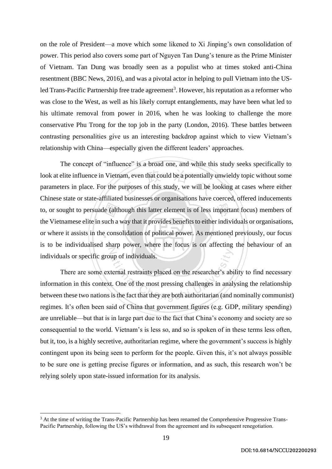on the role of President—a move which some likened to Xi Jinping's own consolidation of power. This period also covers some part of Nguyen Tan Dung's tenure as the Prime Minister of Vietnam. Tan Dung was broadly seen as a populist who at times stoked anti-China resentment (BBC News, 2016), and was a pivotal actor in helping to pull Vietnam into the USled Trans-Pacific Partnership free trade agreement<sup>3</sup>. However, his reputation as a reformer who was close to the West, as well as his likely corrupt entanglements, may have been what led to his ultimate removal from power in 2016, when he was looking to challenge the more conservative Phu Trong for the top job in the party (London, 2016). These battles between contrasting personalities give us an interesting backdrop against which to view Vietnam's relationship with China—especially given the different leaders' approaches.

e (altl<br>such a<br>e cons am, even that could be a potentially<br>purposes of this study, we will be l mporta or where it assists in the consolidation of political power. As mentioned previously, our focus N The concept of "influence" is a broad one, and while this study seeks specifically to look at elite influence in Vietnam, even that could be a potentially unwieldy topic without some parameters in place. For the purposes of this study, we will be looking at cases where either Chinese state or state-affiliated businesses or organisations have coerced, offered inducements to, or sought to persuade (although this latter element is of less important focus) members of the Vietnamese elite in such a way that it provides benefits to either individuals or organisations, is to be individualised sharp power, where the focus is on affecting the behaviour of an individuals or specific group of individuals.

individuals or specific group of individuals.<br>There are some external restraints placed on the researcher's ability to find necessary<br>information in this context. One of the most pressing challenges in analysing the relati There are some external restraints placed on the researcher's ability to find necessary information in this context. One of the most pressing challenges in analysing the relationship regimes. It's often been said of China that government figures (e.g. GDP, military spending) are unreliable—but that is in large part due to the fact that China's economy and society are so consequential to the world. Vietnam's is less so, and so is spoken of in these terms less often, but it, too, is a highly secretive, authoritarian regime, where the government's success is highly contingent upon its being seen to perform for the people. Given this, it's not always possible to be sure one is getting precise figures or information, and as such, this research won't be relying solely upon state-issued information for its analysis.

<sup>&</sup>lt;sup>3</sup> At the time of writing the Trans-Pacific Partnership has been renamed the Comprehensive Progressive Trans-Pacific Partnership, following the US's withdrawal from the agreement and its subsequent renegotiation.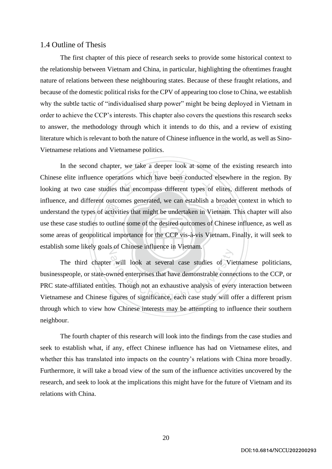## <span id="page-28-0"></span>1.4 Outline of Thesis

The first chapter of this piece of research seeks to provide some historical context to the relationship between Vietnam and China, in particular, highlighting the oftentimes fraught nature of relations between these neighbouring states. Because of these fraught relations, and because of the domestic political risks for the CPV of appearing too close to China, we establish why the subtle tactic of "individualised sharp power" might be being deployed in Vietnam in order to achieve the CCP's interests. This chapter also covers the questions this research seeks to answer, the methodology through which it intends to do this, and a review of existing literature which is relevant to both the nature of Chinese influence in the world, as well as Sino-Vietnamese relations and Vietnamese politics.

‧activi<br>o outli:<br>cal im tions which have been conducted<br>that encompass different types of understand the types of activities that might be undertaken in Vietnam. This chapter will also some areas of geopolitical importance for the CCP vis-à-vis Vietnam. Finally, it will seek to establish some likely goals of Chinese influence in Vietnam. In the second chapter, we take a deeper look at some of the existing research into Chinese elite influence operations which have been conducted elsewhere in the region. By looking at two case studies that encompass different types of elites, different methods of influence, and different outcomes generated, we can establish a broader context in which to use these case studies to outline some of the desired outcomes of Chinese influence, as well as

r will look at several case studies of Viewned enterprises that have demonstrable connections.<br>Though not an exhaustive analysis of every figures of significance, each case study will only The third chapter will look at several case studies of Vietnamese politicians, businesspeople, or state-owned enterprises that have demonstrable connections to the CCP, or PRC state-affiliated entities. Though not an exhaustive analysis of every interaction between Vietnamese and Chinese figures of significance, each case study will offer a different prism through which to view how Chinese interests may be attempting to influence their southern neighbour.

The fourth chapter of this research will look into the findings from the case studies and seek to establish what, if any, effect Chinese influence has had on Vietnamese elites, and whether this has translated into impacts on the country's relations with China more broadly. Furthermore, it will take a broad view of the sum of the influence activities uncovered by the research, and seek to look at the implications this might have for the future of Vietnam and its relations with China.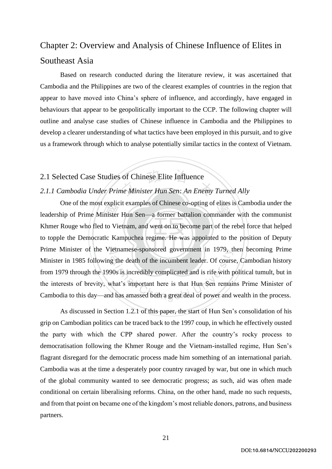# <span id="page-29-0"></span>Chapter 2: Overview and Analysis of Chinese Influence of Elites in Southeast Asia

Based on research conducted during the literature review, it was ascertained that Cambodia and the Philippines are two of the clearest examples of countries in the region that appear to have moved into China's sphere of influence, and accordingly, have engaged in behaviours that appear to be geopolitically important to the CCP. The following chapter will outline and analyse case studies of Chinese influence in Cambodia and the Philippines to develop a clearer understanding of what tactics have been employed in this pursuit, and to give us a framework through which to analyse potentially similar tactics in the context of Vietnam.

## <span id="page-29-2"></span><span id="page-29-1"></span>2.1 Selected Case Studies of Chinese Elite Influence

# 2.1 Selected Case Studies of Chinese Elite Influence<br>2.1.1 Cambodia Under Prime Minister Hun Sen: An Enemy Turned Ally

to topple the Democratic Kampuchea regime. He was appointed to the position of Deputy One of the most explicit examples of Chinese co-opting of elites is Cambodia under the<br>leadership of Prime Minister Hun Sen—a former battalion commander with the communist<br>Khmer Rouge who fled to Vietnam, and went on to be Prime Minister of the Vietnamese-sponsored government in 1979, then becoming Prime Frime Winnster of the Vietnamese-sponsored government in 1979, then becoming Frime<br>Minister in 1985 following the death of the incumbent leader. Of course, Cambodian history<br>from 1979 through the 1990s is incredibly compli One of the most explicit examples of Chinese co-opting of elites is Cambodia under the Khmer Rouge who fled to Vietnam, and went on to become part of the rebel force that helped Minister in 1985 following the death of the incumbent leader. Of course, Cambodian history from 1979 through the 1990s is incredibly complicated and is rife with political tumult, but in the interests of brevity, what's important here is that Hun Sen remains Prime Minister of

As discussed in Section 1.2.1 of this paper, the start of Hun Sen's consolidation of his grip on Cambodian politics can be traced back to the 1997 coup, in which he effectively ousted the party with which the CPP shared power. After the country's rocky process to democratisation following the Khmer Rouge and the Vietnam-installed regime, Hun Sen's flagrant disregard for the democratic process made him something of an international pariah. Cambodia was at the time a desperately poor country ravaged by war, but one in which much of the global community wanted to see democratic progress; as such, aid was often made conditional on certain liberalising reforms. China, on the other hand, made no such requests, and from that point on became one of the kingdom's most reliable donors, patrons, and business partners.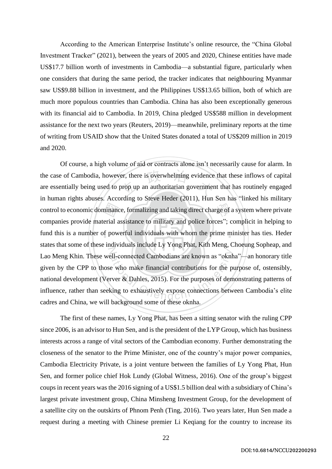According to the American Enterprise Institute's online resource, the "China Global Investment Tracker" (2021), between the years of 2005 and 2020, Chinese entities have made US\$17.7 billion worth of investments in Cambodia—a substantial figure, particularly when one considers that during the same period, the tracker indicates that neighbouring Myanmar saw US\$9.88 billion in investment, and the Philippines US\$13.65 billion, both of which are much more populous countries than Cambodia. China has also been exceptionally generous with its financial aid to Cambodia. In 2019, China pledged US\$588 million in development assistance for the next two years (Reuters, 2019)—meanwhile, preliminary reports at the time of writing from USAID show that the United States donated a total of US\$209 million in 2019 and 2020.

fund this is a number of powerful individuals with whom the prime minister has ties. Heder minance, formalizing and taking direct charge of erial assistance to military and police forces"; contract to military and police forces"; contract to military and police forces"; contract to move of powerful individuals w er, there is overwhelming evidence<br>prop up an authoritarian government Lao Meng Khin. These well-connected Cambodians are known as "oknha"—an honorary title<br>given by the CPP to those who make financial contributions for the purpose of, ostensibly,<br>national development (Verver & Dahles, 2015). Of course, a high volume of aid or contracts alone isn't necessarily cause for alarm. In the case of Cambodia, however, there is overwhelming evidence that these inflows of capital are essentially being used to prop up an authoritarian government that has routinely engaged in human rights abuses. According to Steve Heder (2011), Hun Sen has "linked his military control to economic dominance, formalizing and taking direct charge of a system where private companies provide material assistance to military and police forces"; complicit in helping to states that some of these individuals include Ly Yong Phat, Kith Meng, Choeung Sopheap, and given by the CPP to those who make financial contributions for the purpose of, ostensibly, national development (Verver & Dahles, 2015). For the purposes of demonstrating patterns of influence, rather than seeking to exhaustively expose connections between Cambodia's elite cadres and China, we will background some of these oknha.

The first of these names, Ly Yong Phat, has been a sitting senator with the ruling CPP since 2006, is an advisor to Hun Sen, and is the president of the LYP Group, which has business interests across a range of vital sectors of the Cambodian economy. Further demonstrating the closeness of the senator to the Prime Minister, one of the country's major power companies, Cambodia Electricity Private, is a joint venture between the families of Ly Yong Phat, Hun Sen, and former police chief Hok Lundy (Global Witness, 2016). One of the group's biggest coups in recent years was the 2016 signing of a US\$1.5 billion deal with a subsidiary of China's largest private investment group, China Minsheng Investment Group, for the development of a satellite city on the outskirts of Phnom Penh (Ting, 2016). Two years later, Hun Sen made a request during a meeting with Chinese premier Li Keqiang for the country to increase its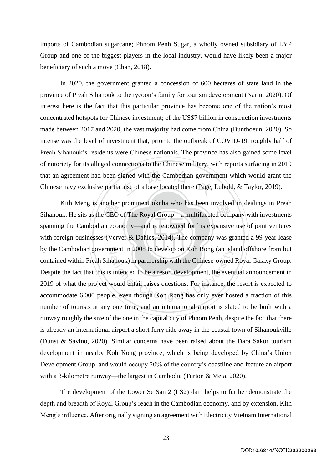imports of Cambodian sugarcane; Phnom Penh Sugar, a wholly owned subsidiary of LYP Group and one of the biggest players in the local industry, would have likely been a major beneficiary of such a move (Chan, 2018).

igned with the Cambodian govern<br>1 use of a base located there (Page, In 2020, the government granted a concession of 600 hectares of state land in the province of Preah Sihanouk to the tycoon's family for tourism development (Narin, 2020). Of interest here is the fact that this particular province has become one of the nation's most concentrated hotspots for Chinese investment; of the US\$7 billion in construction investments made between 2017 and 2020, the vast majority had come from China (Bunthoeun, 2020). So intense was the level of investment that, prior to the outbreak of COVID-19, roughly half of Preah Sihanouk's residents were Chinese nationals. The province has also gained some level of notoriety for its alleged connections to the Chinese military, with reports surfacing in 2019 that an agreement had been signed with the Cambodian government which would grant the Chinese navy exclusive partial use of a base located there (Page, Lubold, & Taylor, 2019).

nomer<br>ECO<br>In eco<br>Uer Kith Meng is another prominent oknha who has been involved in dealings in Preah<br>Sihanouk. He sits as the CEO of The Royal Group—a multifaceted company with investments with foreign businesses (Verver & Dahles, 2014). The company was granted a 99-year lease by the Cambodian government in 2008 to develop on Koh Rong (an island offshore from but by the Cambodian government in 2008 to develop on Kon Rong (an island of ishore from but<br>contained within Preah Sihanouk) in partnership with the Chinese-owned Royal Galaxy Group.<br>Despite the fact that this is intended to Kith Meng is another prominent oknha who has been involved in dealings in Preah spanning the Cambodian economy—and is renowned for his expansive use of joint ventures contained within Preah Sihanouk) in partnership with the Chinese-owned Royal Galaxy Group. Despite the fact that this is intended to be a resort development, the eventual announcement in 2019 of what the project would entail raises questions. For instance, the resort is expected to number of tourists at any one time, and an international airport is slated to be built with a runway roughly the size of the one in the capital city of Phnom Penh, despite the fact that there is already an international airport a short ferry ride away in the coastal town of Sihanoukville (Dunst & Savino, 2020). Similar concerns have been raised about the Dara Sakor tourism development in nearby Koh Kong province, which is being developed by China's Union Development Group, and would occupy 20% of the country's coastline and feature an airport with a 3-kilometre runway—the largest in Cambodia (Turton & Meta, 2020).

The development of the Lower Se San 2 (LS2) dam helps to further demonstrate the depth and breadth of Royal Group's reach in the Cambodian economy, and by extension, Kith Meng's influence. After originally signing an agreement with Electricity Vietnam International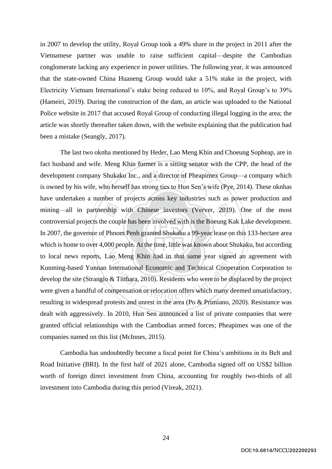in 2007 to develop the utility, Royal Group took a 49% share in the project in 2011 after the Vietnamese partner was unable to raise sufficient capital—despite the Cambodian conglomerate lacking any experience in power utilities. The following year, it was announced that the state-owned China Huaneng Group would take a 51% stake in the project, with Electricity Vietnam International's stake being reduced to 10%, and Royal Group's to 39% (Hameiri, 2019). During the construction of the dam, an article was uploaded to the National Police website in 2017 that accused Royal Group of conducting illegal logging in the area; the article was shortly thereafter taken down, with the website explaining that the publication had been a mistake (Seangly, 2017).

In 2007, the governor of Phnom Penh granted Shukaku a 99-year lease on this 133-hectare area rship with Chinese investors (Verver, 2019)<br>
e couple has been involved with is the Boeung K<br>
Phnom Penh granted Shukaku a 99-year lease o ku Inc., and a director of Pheapime<br>self has strong ties to Hun Sen's wi N ational Economic and Technical Cooperational Economic and Technical Cooperation<br>& Titthara, 2010). Residents who were to be dimpensation or relocation offers which many denote and unperturbed as a present  $\Omega$ . The last two oknha mentioned by Heder, Lao Meng Khin and Choeung Sopheap, are in fact husband and wife. Meng Khin former is a sitting senator with the CPP, the head of the development company Shukaku Inc., and a director of Pheapimex Group—a company which is owned by his wife, who herself has strong ties to Hun Sen's wife (Pye, 2014). These oknhas have undertaken a number of projects across key industries such as power production and mining—all in partnership with Chinese investors (Verver, 2019). One of the most controversial projects the couple has been involved with is the Boeung Kak Lake development. which is home to over 4,000 people. At the time, little was known about Shukaku, but according to local news reports, Lao Meng Khin had in that same year signed an agreement with Kunming-based Yunnan International Economic and Technical Cooperation Corporation to develop the site (Strangio & Titthara, 2010). Residents who were to be displaced by the project were given a handful of compensation or relocation offers which many deemed unsatisfactory, resulting in widespread protests and unrest in the area (Po & Primiano, 2020). Resistance was dealt with aggressively. In 2010, Hun Sen announced a list of private companies that were granted official relationships with the Cambodian armed forces; Pheapimex was one of the companies named on this list (McInnes, 2015).

Cambodia has undoubtedly become a focal point for China's ambitions in its Belt and Road Initiative (BRI). In the first half of 2021 alone, Cambodia signed off on US\$2 billion worth of foreign direct investment from China, accounting for roughly two-thirds of all investment into Cambodia during this period (Vireak, 2021).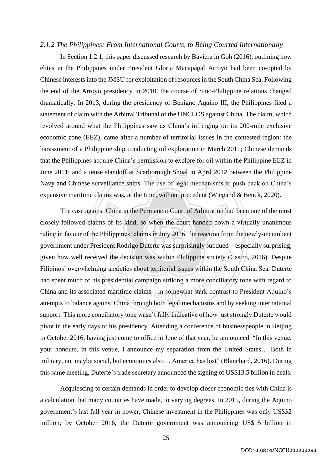#### <span id="page-33-0"></span>*2.1.2 The Philippines: From International Courts, to Being Courted Internationally*

off at Scarborough Shoal in April<br>The ships. The use of legal mechanis<br>As at the time, without precedent (V In Section 1.2.1, this paper discussed research by Baviera in Goh (2016), outlining how elites in the Philippines under President Gloria Macapagal Arroyo had been co-opted by Chinese interests into the JMSU for exploitation of resources in the South China Sea. Following the end of the Arroyo presidency in 2010, the course of Sino-Philippine relations changed dramatically. In 2013, during the presidency of Benigno Aquino III, the Philippines filed a statement of claim with the Arbitral Tribunal of the UNCLOS against China. The claim, which revolved around what the Philippines saw as China's infringing on its 200-mile exclusive economic zone (EEZ), came after a number of territorial issues in the contested region: the harassment of a Philippine ship conducting oil exploration in March 2011; Chinese demands that the Philippines acquire China's permission to explore for oil within the Philippine EEZ in June 2011; and a tense standoff at Scarborough Shoal in April 2012 between the Philippine Navy and Chinese surveillance ships. The use of legal mechanisms to push back on China's expansive maritime claims was, at the time, without precedent (Wiegand & Beuck, 2020).

ruling in favour of the Philippines' claims in July 2016, the reaction from the newly-incumbent chin<br>s of it<br>hilipp The case against China in the Permanent Court of Arbitration had been one of the most Z the decision was within Philippine society (C<br>unxieties about territorial issues within the Sou<br>sidential campaign striking a more conciliator<br>naritime claims—in somewhat stark contrast t closely-followed claims of its kind, so when the court handed down a virtually unanimous government under President Rodrigo Duterte was surprisingly subdued—especially surprising, given how well received the decision was within Philippine society (Castro, 2016). Despite Filipinos' overwhelming anxieties about territorial issues within the South China Sea, Duterte had spent much of his presidential campaign striking a more conciliatory tone with regard to China and its associated maritime claims—in somewhat stark contrast to President Aquino's attempts to balance against China through both legal mechanisms and by seeking international support. This more conciliatory tone wasn't fully indicative of how just strongly Duterte would pivot in the early days of his presidency. Attending a conference of businesspeople in Beijing in October 2016, having just come to office in June of that year, he announced: "In this venue, your honours, in this venue, I announce my separation from the United States… Both in military, not maybe social, but economics also… America has lost" (Blanchard, 2016). During this same meeting, Duterte's trade secretary announced the signing of US\$13.5 billion in deals.

Acquiescing to certain demands in order to develop closer economic ties with China is a calculation that many countries have made, to varying degrees. In 2015, during the Aquino government's last full year in power, Chinese investment in the Philippines was only US\$32 million; by October 2016, the Duterte government was announcing US\$15 billion in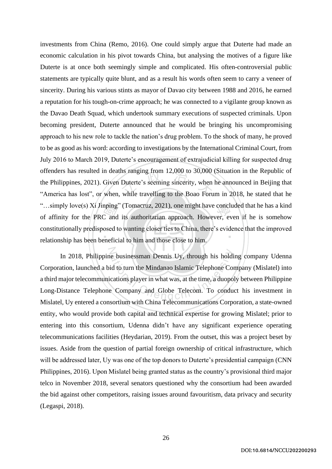relationship has been beneficial to him and those close to him. mping'<br>C and<br>osed t offenders has resulted in deaths ranging from 12,000 to 30,000 (Situation in the Republic of<br>the Philippines, 2021). Given Duterte's seeming sincerity, when he announced in Beijing that<br>"America has lost", or when, while t "...simply love(s) Xi Jinping" (Tomacruz, 2021), one might have concluded that he has a kind<br>of affinity for the PRC and its authoritation approach. However, even if he is somehow.  $\ddot{\ }$ investments from China (Remo, 2016). One could simply argue that Duterte had made an economic calculation in his pivot towards China, but analysing the motives of a figure like Duterte is at once both seemingly simple and complicated. His often-controversial public statements are typically quite blunt, and as a result his words often seem to carry a veneer of sincerity. During his various stints as mayor of Davao city between 1988 and 2016, he earned a reputation for his tough-on-crime approach; he was connected to a vigilante group known as the Davao Death Squad, which undertook summary executions of suspected criminals. Upon becoming president, Duterte announced that he would be bringing his uncompromising approach to his new role to tackle the nation's drug problem. To the shock of many, he proved to be as good as his word: according to investigations by the International Criminal Court, from July 2016 to March 2019, Duterte's encouragement of extrajudicial killing for suspected drug offenders has resulted in deaths ranging from 12,000 to 30,000 (Situation in the Republic of the Philippines, 2021). Given Duterte's seeming sincerity, when he announced in Beijing that of affinity for the PRC and its authoritarian approach. However, even if he is somehow constitutionally predisposed to wanting closer ties to China, there's evidence that the improved

In 2018, Philippine businessman Dennis Uy, through his holding company Udenna<br>ation, launched a bid to turn the Mindanao Islamic Telephone Company (Mislatel) into<br>major telecommunications player in what was, at the time, a Corporation, launched a bid to turn the Mindanao Islamic Telephone Company (Mislatel) into a third major telecommunications player in what was, at the time, a duopoly between Philippine Long-Distance Telephone Company and Globe Telecom. To conduct his investment in Mislatel, Uy entered a consortium with China Telecommunications Corporation, a state-owned entity, who would provide both capital and technical expertise for growing Mislatel; prior to entering into this consortium, Udenna didn't have any significant experience operating telecommunications facilities (Heydarian, 2019). From the outset, this was a project beset by issues. Aside from the question of partial foreign ownership of critical infrastructure, which will be addressed later, Uy was one of the top donors to Duterte's presidential campaign (CNN Philippines, 2016). Upon Mislatel being granted status as the country's provisional third major telco in November 2018, several senators questioned why the consortium had been awarded the bid against other competitors, raising issues around favouritism, data privacy and security (Legaspi, 2018).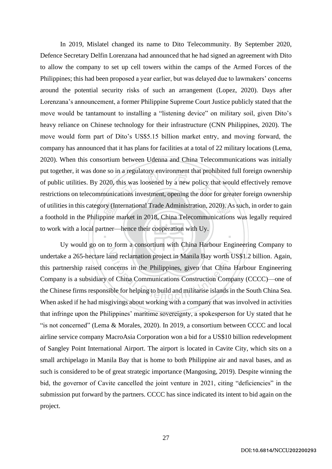ry (In<br>pine n<br>tner a regulatory environment that proh<br>his was loosened by a new policy th<br>tions investment, opening the door of utilities in this category (International Trade Administration, 2020). As such, in order to gain<br>a footbold in the Philippine market in 2018. China Telecommunications was legally required ‧ In 2019, Mislatel changed its name to Dito Telecommunity. By September 2020, Defence Secretary Delfin Lorenzana had announced that he had signed an agreement with Dito to allow the company to set up cell towers within the camps of the Armed Forces of the Philippines; this had been proposed a year earlier, but was delayed due to lawmakers' concerns around the potential security risks of such an arrangement (Lopez, 2020). Days after Lorenzana's announcement, a former Philippine Supreme Court Justice publicly stated that the move would be tantamount to installing a "listening device" on military soil, given Dito's heavy reliance on Chinese technology for their infrastructure (CNN Philippines, 2020). The move would form part of Dito's US\$5.15 billion market entry, and moving forward, the company has announced that it has plans for facilities at a total of 22 military locations (Lema, 2020). When this consortium between Udenna and China Telecommunications was initially put together, it was done so in a regulatory environment that prohibited full foreign ownership of public utilities. By 2020, this was loosened by a new policy that would effectively remove restrictions on telecommunications investment, opening the door for greater foreign ownership a foothold in the Philippine market in 2018, China Telecommunications was legally required to work with a local partner—hence their cooperation with Uy.

 $Z$ ation project in Manila Bay worth University in the Philippines, given that China<br>of China Communications Construction Comp<br>ble for helping to build and militarise islands in Uy would go on to form a consortium with China Harbour Engineering Company to undertake a 265-hectare land reclamation project in Manila Bay worth US\$1.2 billion. Again, this partnership raised concerns in the Philippines, given that China Harbour Engineering Company is a subsidiary of China Communications Construction Company (CCCC)—one of the Chinese firms responsible for helping to build and militarise islands in the South China Sea. When asked if he had misgivings about working with a company that was involved in activities that infringe upon the Philippines' maritime sovereignty, a spokesperson for Uy stated that he "is not concerned" (Lema & Morales, 2020). In 2019, a consortium between CCCC and local airline service company MacroAsia Corporation won a bid for a US\$10 billion redevelopment of Sangley Point International Airport. The airport is located in Cavite City, which sits on a small archipelago in Manila Bay that is home to both Philippine air and naval bases, and as such is considered to be of great strategic importance (Mangosing, 2019). Despite winning the bid, the governor of Cavite cancelled the joint venture in 2021, citing "deficiencies" in the submission put forward by the partners. CCCC has since indicated its intent to bid again on the project.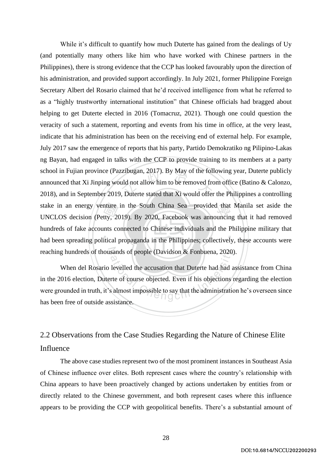had been spreading political propaganda in the Philippines; collectively, these accounts were nture<br>tty, 20<br>itical zzibugan, 2017). By May of the foll<br>uld not allow him to be removed fro<br>), Duterte stated that Xi would offer stake in an energy venture in the South China Sea—provided that Manila set aside the<br>UNCLOS decision (Petty 2019) By 2020 Eacebook was announcing that it had removed  $\ddot{\phantom{1}}$ reaching hundreds of thousands of people (Davidson & Fonbuena, 2020). While it's difficult to quantify how much Duterte has gained from the dealings of Uy (and potentially many others like him who have worked with Chinese partners in the Philippines), there is strong evidence that the CCP has looked favourably upon the direction of his administration, and provided support accordingly. In July 2021, former Philippine Foreign Secretary Albert del Rosario claimed that he'd received intelligence from what he referred to as a "highly trustworthy international institution" that Chinese officials had bragged about helping to get Duterte elected in 2016 (Tomacruz, 2021). Though one could question the veracity of such a statement, reporting and events from his time in office, at the very least, indicate that his administration has been on the receiving end of external help. For example, July 2017 saw the emergence of reports that his party, Partido Demokratiko ng Pilipino-Lakas ng Bayan, had engaged in talks with the CCP to provide training to its members at a party school in Fujian province (Pazzibugan, 2017). By May of the following year, Duterte publicly announced that Xi Jinping would not allow him to be removed from office (Batino & Calonzo, 2018), and in September 2019, Duterte stated that Xi would offer the Philippines a controlling UNCLOS decision (Petty, 2019). By 2020, Facebook was announcing that it had removed hundreds of fake accounts connected to Chinese individuals and the Philippine military that

sands of people (Davidson & Fonbuena, 2020)<br>levelled the accusation that Duterte had had a<br>rte of course objected. Even if his objections is<br>almost impossible to say that the administration When del Rosario levelled the accusation that Duterte had had assistance from China in the 2016 election, Duterte of course objected. Even if his objections regarding the election were grounded in truth, it's almost impossible to say that the administration he's overseen since has been free of outside assistance.

# 2.2 Observations from the Case Studies Regarding the Nature of Chinese Elite Influence

The above case studies represent two of the most prominent instances in Southeast Asia of Chinese influence over elites. Both represent cases where the country's relationship with China appears to have been proactively changed by actions undertaken by entities from or directly related to the Chinese government, and both represent cases where this influence appears to be providing the CCP with geopolitical benefits. There's a substantial amount of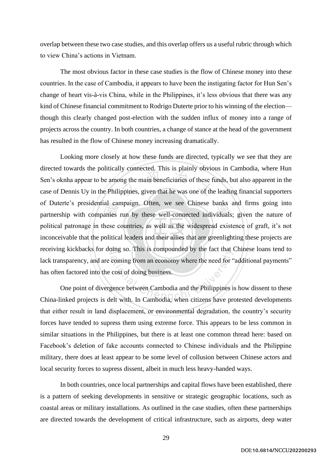overlap between these two case studies, and this overlap offers us a useful rubric through which to view China's actions in Vietnam.

The most obvious factor in these case studies is the flow of Chinese money into these countries. In the case of Cambodia, it appears to have been the instigating factor for Hun Sen's change of heart vis-à-vis China, while in the Philippines, it's less obvious that there was any kind of Chinese financial commitment to Rodrigo Duterte prior to his winning of the election though this clearly changed post-election with the sudden influx of money into a range of projects across the country. In both countries, a change of stance at the head of the government has resulted in the flow of Chinese money increasing dramatically.

‧al cal<br>anies<br>hese colitica ng the main beneficiaries of these f<br>ppines, given that he was one of the of Duterte's presidential campaign. Often, we see Chinese banks and firms going into<br>partnership with companies run by these well-connected individuals; given the nature of inconceivable that the political leaders and their allies that are greenlighting these projects are receiving kickbacks for doing so. This is compounded by the fact that Chinese loans tend to bing so. This is compounded by the fact that coming from an economy where the need for "<br>cost of doing business.<br>gence between Cambodia and the Philippines is<br>elt with. In Cambodia, when citizens have pre Looking more closely at how these funds are directed, typically we see that they are directed towards the politically connected. This is plainly obvious in Cambodia, where Hun Sen's oknha appear to be among the main beneficiaries of these funds, but also apparent in the case of Dennis Uy in the Philippines, given that he was one of the leading financial supporters of Duterte's presidential campaign. Often, we see Chinese banks and firms going into political patronage in these countries, as well as the widespread existence of graft, it's not lack transparency, and are coming from an economy where the need for "additional payments" has often factored into the cost of doing business.

One point of divergence between Cambodia and the Philippines is how dissent to these China-linked projects is delt with. In Cambodia, when citizens have protested developments that either result in land displacement, or environmental degradation, the country's security forces have tended to supress them using extreme force. This appears to be less common in similar situations in the Philippines, but there is at least one common thread here: based on Facebook's deletion of fake accounts connected to Chinese individuals and the Philippine military, there does at least appear to be some level of collusion between Chinese actors and local security forces to supress dissent, albeit in much less heavy-handed ways.

In both countries, once local partnerships and capital flows have been established, there is a pattern of seeking developments in sensitive or strategic geographic locations, such as coastal areas or military installations. As outlined in the case studies, often these partnerships are directed towards the development of critical infrastructure, such as airports, deep water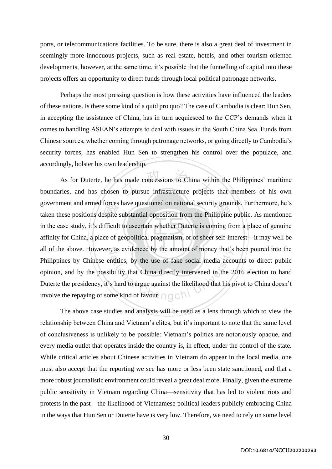ports, or telecommunications facilities. To be sure, there is also a great deal of investment in seemingly more innocuous projects, such as real estate, hotels, and other tourism-oriented developments, however, at the same time, it's possible that the funnelling of capital into these projects offers an opportunity to direct funds through local political patronage networks.

Perhaps the most pressing question is how these activities have influenced the leaders of these nations. Is there some kind of a quid pro quo? The case of Cambodia is clear: Hun Sen, in accepting the assistance of China, has in turn acquiesced to the CCP's demands when it comes to handling ASEAN's attempts to deal with issues in the South China Sea. Funds from Chinese sources, whether coming through patronage networks, or going directly to Cambodia's security forces, has enabled Hun Sen to strengthen his control over the populace, and accordingly, bolster his own leadership.

affinity for China, a place of geopolitical pragmatism, or of sheer self-interest—it may well be government and armed forces have questioned on national security grounds. Furthermore, he's<br>taken these positions despite substantial opposition from the Philippine public. As mentioned<br>in the case study, it's difficult to s made concessions to China with<br>to pursue infrastructure projects all of the above. However, as evidenced by the amount of money that's been poured into the at a seventhed by the amount of money that s<br>mitties, by the use of fake social media accordibility that China directly intervened in the 2<br>s hard to argue against the likelihood that his p<br>me kind of favour.  $\bigcap$   $\bigcap$  As for Duterte, he has made concessions to China within the Philippines' maritime boundaries, and has chosen to pursue infrastructure projects that members of his own government and armed forces have questioned on national security grounds. Furthermore, he's in the case study, it's difficult to ascertain whether Duterte is coming from a place of genuine Philippines by Chinese entities, by the use of fake social media accounts to direct public opinion, and by the possibility that China directly intervened in the 2016 election to hand Duterte the presidency, it's hard to argue against the likelihood that his pivot to China doesn't involve the repaying of some kind of favour.  $\cap \subset \cap$ 

The above case studies and analysis will be used as a lens through which to view the relationship between China and Vietnam's elites, but it's important to note that the same level of conclusiveness is unlikely to be possible: Vietnam's politics are notoriously opaque, and every media outlet that operates inside the country is, in effect, under the control of the state. While critical articles about Chinese activities in Vietnam do appear in the local media, one must also accept that the reporting we see has more or less been state sanctioned, and that a more robust journalistic environment could reveal a great deal more. Finally, given the extreme public sensitivity in Vietnam regarding China—sensitivity that has led to violent riots and protests in the past—the likelihood of Vietnamese political leaders publicly embracing China in the ways that Hun Sen or Duterte have is very low. Therefore, we need to rely on some level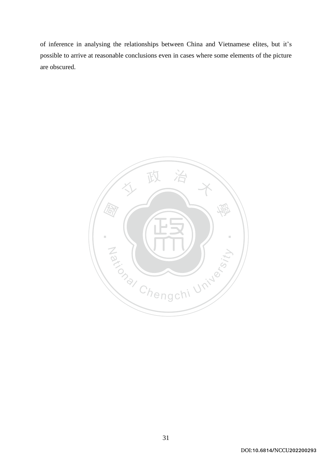of inference in analysing the relationships between China and Vietnamese elites, but it's possible to arrive at reasonable conclusions even in cases where some elements of the picture are obscured.

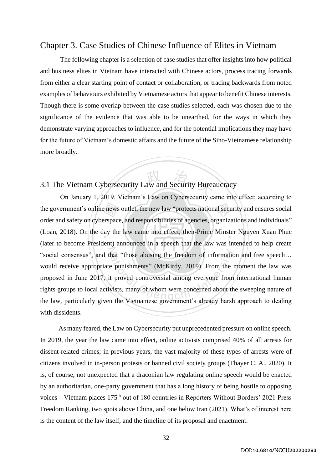# Chapter 3. Case Studies of Chinese Influence of Elites in Vietnam

The following chapter is a selection of case studies that offer insights into how political and business elites in Vietnam have interacted with Chinese actors, process tracing forwards from either a clear starting point of contact or collaboration, or tracing backwards from noted examples of behaviours exhibited by Vietnamese actors that appear to benefit Chinese interests. Though there is some overlap between the case studies selected, each was chosen due to the significance of the evidence that was able to be unearthed, for the ways in which they demonstrate varying approaches to influence, and for the potential implications they may have for the future of Vietnam's domestic affairs and the future of the Sino-Vietnamese relationship more broadly.

# eurity Law and Security Burea 3.1 The Vietnam Cybersecurity Law and Security Bureaucracy

the government's online news outlet, the new law "protects national security and ensures social<br>order and safety on cyberspace, and responsibilities of agencies, organizations and individuals"<br>(Loan, 2018). On the day the (Loan, 2018). On the day the law came into effect, then-Prime Minster Nguyen Xuan Phuc "social consensus", and that "those abusing the freedom of information and free speech... hat "those abusing the freedom of information<br>te punishments" (McKirdy, 2019). From the interpretent proved controversial among everyone from<br>vists, many of whom were concerned about the<br>n the Vietnamese government's alrea On January 1, 2019, Vietnam's Law on Cybersecurity came into effect; according to order and safety on cyberspace, and responsibilities of agencies, organizations and individuals" (later to become President) announced in a speech that the law was intended to help create would receive appropriate punishments" (McKirdy, 2019). From the moment the law was proposed in June 2017, it proved controversial among everyone from international human rights groups to local activists, many of whom were concerned about the sweeping nature of the law, particularly given the Vietnamese government's already harsh approach to dealing with dissidents.

As many feared, the Law on Cybersecurity put unprecedented pressure on online speech. In 2019, the year the law came into effect, online activists comprised 40% of all arrests for dissent-related crimes; in previous years, the vast majority of these types of arrests were of citizens involved in in-person protests or banned civil society groups (Thayer C. A., 2020). It is, of course, not unexpected that a draconian law regulating online speech would be enacted by an authoritarian, one-party government that has a long history of being hostile to opposing voices—Vietnam places 175th out of 180 countries in Reporters Without Borders' 2021 Press Freedom Ranking, two spots above China, and one below Iran (2021). What's of interest here is the content of the law itself, and the timeline of its proposal and enactment.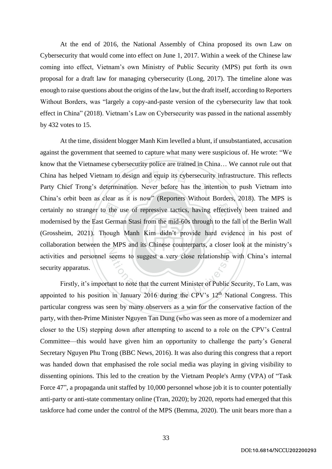At the end of 2016, the National Assembly of China proposed its own Law on Cybersecurity that would come into effect on June 1, 2017. Within a week of the Chinese law coming into effect, Vietnam's own Ministry of Public Security (MPS) put forth its own proposal for a draft law for managing cybersecurity (Long, 2017). The timeline alone was enough to raise questions about the origins of the law, but the draft itself, according to Reporters Without Borders, was "largely a copy-and-paste version of the cybersecurity law that took effect in China" (2018). Vietnam's Law on Cybersecurity was passed in the national assembly by 432 votes to 15.

(Grossheim, 2021). Though Manh Kim didn't provide hard evidence in his post of o the use of repressive tactics, having effective<br>German Stasi from the mid-60s through to the<br>hough Manh Kim didn't provide hard evid design and equip its cybersecurity<br>nation. Never before has the inte activities and personnel seems to suggest a very close relationship with China's internal<br>security apparatus.<br>Firstly, it's important to note that the current Minister of Public Security, To Lam, was<br>appointed to his posit At the time, dissident blogger Manh Kim levelled a blunt, if unsubstantiated, accusation against the government that seemed to capture what many were suspicious of. He wrote: "We know that the Vietnamese cybersecurity police are trained in China… We cannot rule out that China has helped Vietnam to design and equip its cybersecurity infrastructure. This reflects Party Chief Trong's determination. Never before has the intention to push Vietnam into China's orbit been as clear as it is now" (Reporters Without Borders, 2018). The MPS is certainly no stranger to the use of repressive tactics, having effectively been trained and modernised by the East German Stasi from the mid-60s through to the fall of the Berlin Wall collaboration between the MPS and its Chinese counterparts, a closer look at the ministry's security apparatus.

Firstly, it's important to note that the current Minister of Public Security, To Lam, was appointed to his position in January 2016 during the CPV's  $12<sup>th</sup>$  National Congress. This particular congress was seen by many observers as a win for the conservative faction of the party, with then-Prime Minister Nguyen Tan Dung (who was seen as more of a modernizer and closer to the US) stepping down after attempting to ascend to a role on the CPV's Central Committee—this would have given him an opportunity to challenge the party's General Secretary Nguyen Phu Trong (BBC News, 2016). It was also during this congress that a report was handed down that emphasised the role social media was playing in giving visibility to dissenting opinions. This led to the creation by the Vietnam People's Army (VPA) of "Task Force 47", a propaganda unit staffed by 10,000 personnel whose job it is to counter potentially anti-party or anti-state commentary online (Tran, 2020); by 2020, reports had emerged that this taskforce had come under the control of the MPS (Bemma, 2020). The unit bears more than a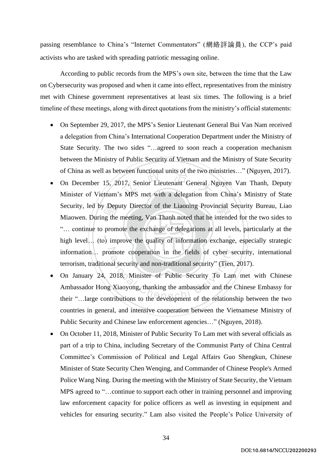passing resemblance to China's "Internet Commentators" (網絡評論員), the CCP's paid activists who are tasked with spreading patriotic messaging online.

According to public records from the MPS's own site, between the time that the Law on Cybersecurity was proposed and when it came into effect, representatives from the ministry met with Chinese government representatives at least six times. The following is a brief timeline of these meetings, along with direct quotations from the ministry's official statements:

- On September 29, 2017, the MPS's Senior Lieutenant General Bui Van Nam received a delegation from China's International Cooperation Department under the Ministry of State Security. The two sides "…agreed to soon reach a cooperation mechanism between the Ministry of Public Security of Vietnam and the Ministry of State Security of China as well as between functional units of the two ministries…" (Nguyen, 2017).
- high level... (to) improve the quality of information exchange, especially strategic (Dep)<br>lg the<br>prom tween functional units of the two m<br>17, Senior Lieutenant General N<br>s MPS met with a delegation from Security, led by Deputy Director of the Liaoning Provincial Security Bureau, Liao<br>Misowen, During the meeting, Van Thanh noted that he intended for the two sides to "... continue to promote the exchange of delegations at all levels, particularly at the information... promote cooperation in the fields of cyber security, international • On December 15, 2017, Senior Lieutenant General Nguyen Van Thanh, Deputy Minister of Vietnam's MPS met with a delegation from China's Ministry of State Miaowen. During the meeting, Van Thanh noted that he intended for the two sides to terrorism, traditional security and non-traditional security" (Tien, 2017).
- mote cooperation in the fields of cyber s<br>al security and non-traditional security" (Tien,<br>2018, Minister of Public Security To Lan<br>Xiaoyong, thanking the ambassador and the<br>tributions to the development of the relations • On January 24, 2018, Minister of Public Security To Lam met with Chinese Ambassador Hong Xiaoyong, thanking the ambassador and the Chinese Embassy for their "…large contributions to the development of the relationship between the two countries in general, and intensive cooperation between the Vietnamese Ministry of Public Security and Chinese law enforcement agencies…" (Nguyen, 2018).
- On October 11, 2018, Minister of Public Security To Lam met with several officials as part of a trip to China, including Secretary of the Communist Party of China Central Committee's Commission of Political and Legal Affairs Guo Shengkun, Chinese Minister of State Security Chen Wenqing, and Commander of Chinese People's Armed Police Wang Ning. During the meeting with the Ministry of State Security, the Vietnam MPS agreed to "…continue to support each other in training personnel and improving law enforcement capacity for police officers as well as investing in equipment and vehicles for ensuring security." Lam also visited the People's Police University of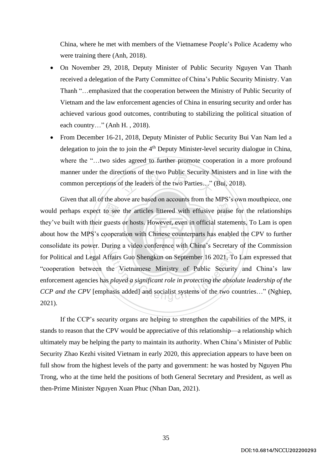China, where he met with members of the Vietnamese People's Police Academy who were training there (Anh, 2018).

- On November 29, 2018, Deputy Minister of Public Security Nguyen Van Thanh received a delegation of the Party Committee of China's Public Security Ministry. Van Thanh "…emphasized that the cooperation between the Ministry of Public Security of Vietnam and the law enforcement agencies of China in ensuring security and order has achieved various good outcomes, contributing to stabilizing the political situation of each country…" (Anh H. , 2018).
- ctions of the two Public Security N<br>of the leaders of the two Parties..." • From December 16-21, 2018, Deputy Minister of Public Security Bui Van Nam led a delegation to join the to join the 4<sup>th</sup> Deputy Minister-level security dialogue in China, where the "…two sides agreed to further promote cooperation in a more profound manner under the directions of the two Public Security Ministers and in line with the common perceptions of the leaders of the two Parties…" (Bui, 2018).

about how the MPS's cooperation with Chinese counterparts has enabled the CPV to further to see<br>guests<br>cooper would perhaps expect to see the articles littered with effusive praise for the relationships N fairs Guo Shengkun on September 16 2021, T<br>ne Vietnamese Ministry of Public Securit<br>played a significant role in protecting the absortains added] and socialist systems of the two c Given that all of the above are based on accounts from the MPS's own mouthpiece, one they've built with their guests or hosts. However, even in official statements, To Lam is open consolidate its power. During a video conference with China's Secretary of the Commission for Political and Legal Affairs Guo Shengkun on September 16 2021, To Lam expressed that "cooperation between the Vietnamese Ministry of Public Security and China's law enforcement agencies has *played a significant role in protecting the absolute leadership of the CCP and the CPV* [emphasis added] and socialist systems of the two countries…" (Nghiep, 2021).

If the CCP's security organs are helping to strengthen the capabilities of the MPS, it stands to reason that the CPV would be appreciative of this relationship—a relationship which ultimately may be helping the party to maintain its authority. When China's Minister of Public Security Zhao Kezhi visited Vietnam in early 2020, this appreciation appears to have been on full show from the highest levels of the party and government: he was hosted by Nguyen Phu Trong, who at the time held the positions of both General Secretary and President, as well as then-Prime Minister Nguyen Xuan Phuc (Nhan Dan, 2021).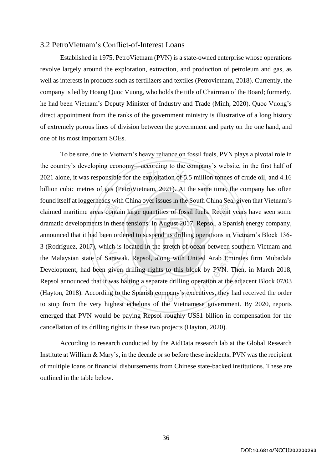#### 3.2 PetroVietnam's Conflict-of-Interest Loans

Established in 1975, PetroVietnam (PVN) is a state-owned enterprise whose operations revolve largely around the exploration, extraction, and production of petroleum and gas, as well as interests in products such as fertilizers and textiles (Petrovietnam, 2018). Currently, the company is led by Hoang Quoc Vuong, who holds the title of Chairman of the Board; formerly, he had been Vietnam's Deputy Minister of Industry and Trade (Minh, 2020). Quoc Vuong's direct appointment from the ranks of the government ministry is illustrative of a long history of extremely porous lines of division between the government and party on the one hand, and one of its most important SOEs.

announced that it had been ordered to suspend its drilling operations in Vietnam's Block 136claimed maritime areas contain large quantities of fossil fuels. Recent years have seen some dramatic developments in these tensions. In August 2017, Repsol, a Spanish energy company, announced that it had been ordered to e for the exploitation of 5.5 million<br>PetroVietnam, 2021). At the same 3 (Rodríguez, 2017), which is located in the stretch of ocean between southern Vietnam and ational Repsol, along with United Arab Emistry<br>Fiven drilling rights to this block by PVN. T<br>was halting a separate drilling operation at the<br>g to the Spanish company's executives, they h To be sure, due to Vietnam's heavy reliance on fossil fuels, PVN plays a pivotal role in the country's developing economy—according to the company's website, in the first half of 2021 alone, it was responsible for the exploitation of 5.5 million tonnes of crude oil, and 4.16 billion cubic metres of gas (PetroVietnam, 2021). At the same time, the company has often found itself at loggerheads with China over issues in the South China Sea, given that Vietnam's dramatic developments in these tensions. In August 2017, Repsol, a Spanish energy company, the Malaysian state of Sarawak. Repsol, along with United Arab Emirates firm Mubadala Development, had been given drilling rights to this block by PVN. Then, in March 2018, Repsol announced that it was halting a separate drilling operation at the adjacent Block 07/03 (Hayton, 2018). According to the Spanish company's executives, they had received the order to stop from the very highest echelons of the Vietnamese government. By 2020, reports emerged that PVN would be paying Repsol roughly US\$1 billion in compensation for the cancellation of its drilling rights in these two projects (Hayton, 2020).

According to research conducted by the AidData research lab at the Global Research Institute at William & Mary's, in the decade or so before these incidents, PVN was the recipient of multiple loans or financial disbursements from Chinese state-backed institutions. These are outlined in the table below.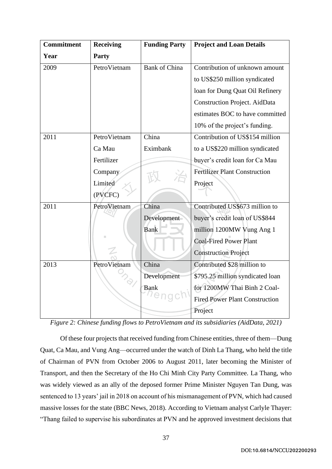| <b>Commitment</b> | <b>Receiving</b> | <b>Funding Party</b> | <b>Project and Loan Details</b>       |
|-------------------|------------------|----------------------|---------------------------------------|
| Year              | Party            |                      |                                       |
| 2009              | PetroVietnam     | <b>Bank of China</b> | Contribution of unknown amount        |
|                   |                  |                      | to US\$250 million syndicated         |
|                   |                  |                      | loan for Dung Quat Oil Refinery       |
|                   |                  |                      | <b>Construction Project. AidData</b>  |
|                   |                  |                      | estimates BOC to have committed       |
|                   |                  |                      | 10% of the project's funding.         |
| 2011              | PetroVietnam     | China                | Contribution of US\$154 million       |
|                   | Ca Mau           | Eximbank             | to a US\$220 million syndicated       |
|                   | Fertilizer       |                      | buyer's credit loan for Ca Mau        |
|                   | Company          |                      | <b>Fertilizer Plant Construction</b>  |
|                   | Limited          |                      | Project                               |
|                   | (PVCFC)          |                      |                                       |
| 2011              | PetroVietnam     | China                | Contributed US\$673 million to        |
|                   |                  | Development          | buyer's credit loan of US\$844        |
|                   |                  | <b>Bank</b>          | million 1200MW Vung Ang 1             |
|                   |                  |                      | <b>Coal-Fired Power Plant</b>         |
|                   |                  |                      | <b>Construction Project</b>           |
| 2013              | PetroVietnam     | China                | Contributed \$28 million to           |
|                   |                  | Development          | \$795.25 million syndicated loan      |
|                   |                  | <b>Bank</b>          | for 1200MW Thai Binh 2 Coal-          |
|                   |                  |                      | <b>Fired Power Plant Construction</b> |
|                   |                  |                      | Project                               |

*Figure 2: Chinese funding flows to PetroVietnam and its subsidiaries (AidData, 2021)*

Of these four projects that received funding from Chinese entities, three of them—Dung Quat, Ca Mau, and Vung Ang—occurred under the watch of Dinh La Thang, who held the title of Chairman of PVN from October 2006 to August 2011, later becoming the Minister of Transport, and then the Secretary of the Ho Chi Minh City Party Committee. La Thang, who was widely viewed as an ally of the deposed former Prime Minister Nguyen Tan Dung, was sentenced to 13 years' jail in 2018 on account of his mismanagement of PVN, which had caused massive losses for the state (BBC News, 2018). According to Vietnam analyst Carlyle Thayer: "Thang failed to supervise his subordinates at PVN and he approved investment decisions that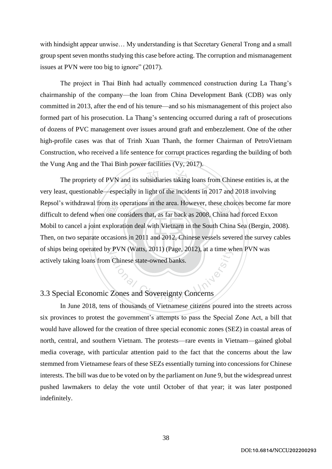with hindsight appear unwise… My understanding is that Secretary General Trong and a small group spent seven months studying this case before acting. The corruption and mismanagement issues at PVN were too big to ignore" (2017).

The project in Thai Binh had actually commenced construction during La Thang's chairmanship of the company—the loan from China Development Bank (CDB) was only committed in 2013, after the end of his tenure—and so his mismanagement of this project also formed part of his prosecution. La Thang's sentencing occurred during a raft of prosecutions of dozens of PVC management over issues around graft and embezzlement. One of the other high-profile cases was that of Trinh Xuan Thanh, the former Chairman of PetroVietnam Construction, who received a life sentence for corrupt practices regarding the building of both the Vung Ang and the Thai Binh power facilities (Vy, 2017).

‧om its<br>a one desplored<br>occasion and its subsidiaries taking loans from<br>ecially in light of the incidents in 20 Repsol's withdrawal from its operations in the area. However, these choices become far r<br>difficult to defend when one considers that, as far back as 2008, China had forced Exxon Then, on two separate occasions in 2011 and 2012, Chinese vessels severed the survey cables of ships being operated by PVN (Watts, 2011) (Page, 2012), at a time when PVN was PVIN (Watts, 2011) (Page, 2012), at a time with<br>Chinese state-owned banks. The propriety of PVN and its subsidiaries taking loans from Chinese entities is, at the very least, questionable—especially in light of the incidents in 2017 and 2018 involving Repsol's withdrawal from its operations in the area. However, these choices become far more Mobil to cancel a joint exploration deal with Vietnam in the South China Sea (Bergin, 2008). actively taking loans from Chinese state-owned banks.

# 3.3 Special Economic Zones and Sovereignty Concerns

In June 2018, tens of thousands of Vietnamese citizens poured into the streets across six provinces to protest the government's attempts to pass the Special Zone Act, a bill that would have allowed for the creation of three special economic zones (SEZ) in coastal areas of north, central, and southern Vietnam. The protests—rare events in Vietnam—gained global media coverage, with particular attention paid to the fact that the concerns about the law stemmed from Vietnamese fears of these SEZs essentially turning into concessions for Chinese interests. The bill was due to be voted on by the parliament on June 9, but the widespread unrest pushed lawmakers to delay the vote until October of that year; it was later postponed indefinitely.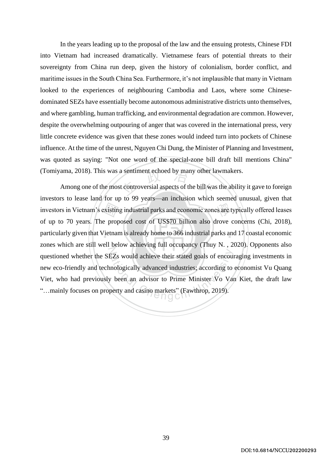In the years leading up to the proposal of the law and the ensuing protests, Chinese FDI into Vietnam had increased dramatically. Vietnamese fears of potential threats to their sovereignty from China run deep, given the history of colonialism, border conflict, and maritime issues in the South China Sea. Furthermore, it's not implausible that many in Vietnam looked to the experiences of neighbouring Cambodia and Laos, where some Chinesedominated SEZs have essentially become autonomous administrative districts unto themselves, and where gambling, human trafficking, and environmental degradation are common. However, despite the overwhelming outpouring of anger that was covered in the international press, very little concrete evidence was given that these zones would indeed turn into pockets of Chinese influence. At the time of the unrest, Nguyen Chi Dung, the Minister of Planning and Investment, was quoted as saying: "Not one word of the special-zone bill draft bill mentions China" (Tomiyama, 2018). This was a sentiment echoed by many other lawmakers.

existin<br>e prop<br>lietnai a sentiment echoed by many other I<br>t controversial aspects of the bill wa  $es$  are t particularly given that Vietnam is already home to 366 industrial parks and 17 coastal economic  $\mathbb{Z}$ EZs would achieve their stated goals of encour<br>nologically advanced industries; according to<br>v been an advisor to Prime Minister Vo Van<br>perty and casino markets" (Fawthrop, 2019). Among one of the most controversial aspects of the bill was the ability it gave to foreign investors to lease land for up to 99 years—an inclusion which seemed unusual, given that investors in Vietnam's existing industrial parks and economic zones are typically offered leases of up to 70 years. The proposed cost of US\$70 billion also drove concerns (Chi, 2018), zones which are still well below achieving full occupancy (Thuy N. , 2020). Opponents also questioned whether the SEZs would achieve their stated goals of encouraging investments in new eco-friendly and technologically advanced industries; according to economist Vu Quang Viet, who had previously been an advisor to Prime Minister Vo Van Kiet, the draft law "…mainly focuses on property and casino markets" (Fawthrop, 2019).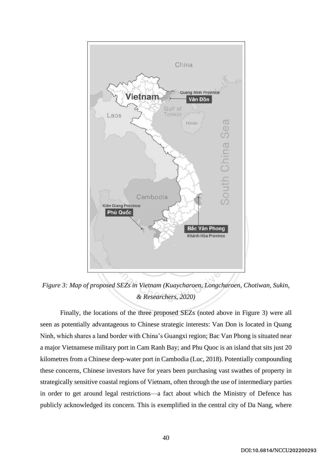

*Figure 3: Map of proposed SEZs in Vietnam (Kuaycharoen, Longcharoen, Chotiwan, Sukin, & Researchers, 2020)*

Finally, the locations of the three proposed SEZs (noted above in Figure 3) were all seen as potentially advantageous to Chinese strategic interests: Van Don is located in Quang Ninh, which shares a land border with China's Guangxi region; Bac Van Phong is situated near a major Vietnamese military port in Cam Ranh Bay; and Phu Quoc is an island that sits just 20 kilometres from a Chinese deep-water port in Cambodia (Luc, 2018). Potentially compounding these concerns, Chinese investors have for years been purchasing vast swathes of property in strategically sensitive coastal regions of Vietnam, often through the use of intermediary parties in order to get around legal restrictions—a fact about which the Ministry of Defence has publicly acknowledged its concern. This is exemplified in the central city of Da Nang, where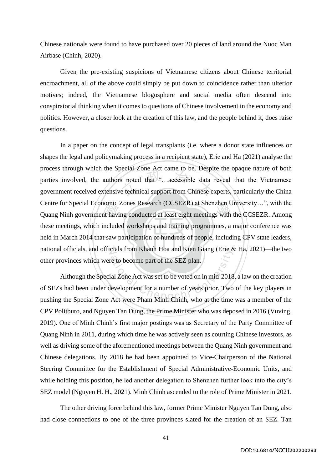Chinese nationals were found to have purchased over 20 pieces of land around the Nuoc Man Airbase (Chinh, 2020).

Given the pre-existing suspicions of Vietnamese citizens about Chinese territorial encroachment, all of the above could simply be put down to coincidence rather than ulterior motives; indeed, the Vietnamese blogosphere and social media often descend into conspiratorial thinking when it comes to questions of Chinese involvement in the economy and politics. However, a closer look at the creation of this law, and the people behind it, does raise questions.

‧omic<br>nt havi<br>nclude<br>t saw <sub>l</sub> s noted that "...accessible data<br>e technical support from Chinese e. Centre for Special Economic Zones Research (CCSEZR) at Shenzhen University...", with the<br>Quang Ninh government having conducted at least eight meetings with the CCSEZR. Among held in March 2014 that saw participation of hundreds of people, including CPV state leaders, national officials, and officials from Khanh Hoa and Kien Giang (Erie & Ha, 2021)—the two In a paper on the concept of legal transplants (i.e. where a donor state influences or shapes the legal and policymaking process in a recipient state), Erie and Ha (2021) analyse the process through which the Special Zone Act came to be. Despite the opaque nature of both parties involved, the authors noted that "…accessible data reveal that the Vietnamese government received extensive technical support from Chinese experts, particularly the China Centre for Special Economic Zones Research (CCSEZR) at Shenzhen University…", with the these meetings, which included workshops and training programmes, a major conference was other provinces which were to become part of the SEZ plan.

The set of the SEZ plantice in the SEZ plantice to become part of the SEZ plantical Zone Act was set to be voted on in mid-2018<br>levelopment for a number of years prior. Two<br>Act were Pham Minh Chinh, who at the time Although the Special Zone Act was set to be voted on in mid-2018, a law on the creation of SEZs had been under development for a number of years prior. Two of the key players in pushing the Special Zone Act were Pham Minh Chinh, who at the time was a member of the CPV Politburo, and Nguyen Tan Dung, the Prime Minister who was deposed in 2016 (Vuving, 2019). One of Minh Chinh's first major postings was as Secretary of the Party Committee of Quang Ninh in 2011, during which time he was actively seen as courting Chinese investors, as well as driving some of the aforementioned meetings between the Quang Ninh government and Chinese delegations. By 2018 he had been appointed to Vice-Chairperson of the National Steering Committee for the Establishment of Special Administrative-Economic Units, and while holding this position, he led another delegation to Shenzhen further look into the city's SEZ model (Nguyen H. H., 2021). Minh Chinh ascended to the role of Prime Minister in 2021.

The other driving force behind this law, former Prime Minister Nguyen Tan Dung, also had close connections to one of the three provinces slated for the creation of an SEZ. Tan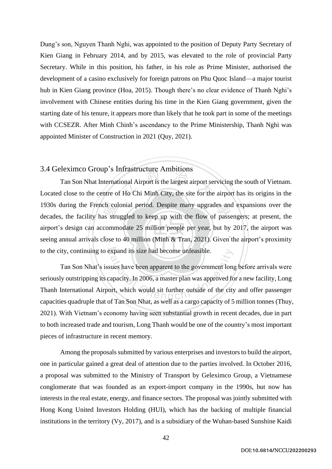Dung's son, Nguyen Thanh Nghi, was appointed to the position of Deputy Party Secretary of Kien Giang in February 2014, and by 2015, was elevated to the role of provincial Party Secretary. While in this position, his father, in his role as Prime Minister, authorised the development of a casino exclusively for foreign patrons on Phu Quoc Island—a major tourist hub in Kien Giang province (Hoa, 2015). Though there's no clear evidence of Thanh Nghi's involvement with Chinese entities during his time in the Kien Giang government, given the starting date of his tenure, it appears more than likely that he took part in some of the meetings with CCSEZR. After Minh Chinh's ascendancy to the Prime Ministership, Thanh Nghi was appointed Minister of Construction in 2021 (Quy, 2021).

# 3.4 Geleximco Group's Infrastructure Ambitions

 $\frac{1}{2}$ ch col<br>us stru<br>comm<br>lose to In astructure Amontons<br>ional Airport is the largest airport se<br>Ho Chi Minh City, the site for the 1930s during the French colonial period. Despite many upgrades and expansions over the decades the facility has struggled to keep up with the flow of passengers: at present, the to the city, continuing to expand its size had become unfeasible. Tan Son Nhat International Airport is the largest airport servicing the south of Vietnam. Located close to the centre of Ho Chi Minh City, the site for the airport has its origins in the decades, the facility has struggled to keep up with the flow of passengers; at present, the airport's design can accommodate 25 million people per year, but by 2017, the airport was seeing annual arrivals close to 40 million (Minh & Tran, 2021). Given the airport's proximity

xpand its size had become unfeasible.<br>Somewhere the government long<br>apacity. In 2006, a master plan was approved for<br>t, which would sit further outside of the city<br>of Tan Son Nhat, as well as a cargo capacity of 5 Tan Son Nhat's issues have been apparent to the government long before arrivals were seriously outstripping its capacity. In 2006, a master plan was approved for a new facility, Long Thanh International Airport, which would sit further outside of the city and offer passenger capacities quadruple that of Tan Son Nhat, as well as a cargo capacity of 5 million tonnes (Thuy, 2021). With Vietnam's economy having seen substantial growth in recent decades, due in part to both increased trade and tourism, Long Thanh would be one of the country's most important pieces of infrastructure in recent memory.

Among the proposals submitted by various enterprises and investors to build the airport, one in particular gained a great deal of attention due to the parties involved. In October 2016, a proposal was submitted to the Ministry of Transport by Geleximco Group, a Vietnamese conglomerate that was founded as an export-import company in the 1990s, but now has interests in the real estate, energy, and finance sectors. The proposal was jointly submitted with Hong Kong United Investors Holding (HUI), which has the backing of multiple financial institutions in the territory (Vy, 2017), and is a subsidiary of the Wuhan-based Sunshine Kaidi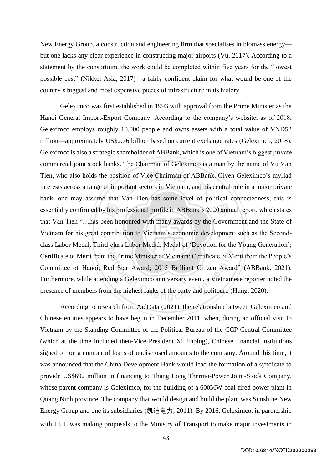New Energy Group, a construction and engineering firm that specialises in biomass energy but one lacks any clear experience in constructing major airports (Vu, 2017). According to a statement by the consortium, the work could be completed within five years for the "lowest possible cost" (Nikkei Asia, 2017)—a fairly confident claim for what would be one of the country's biggest and most expensive pieces of infrastructure in its history.

w his professional profile in ABBank's 2020 annu<br>
een honoured with many awards by the Govern<br>
ontribution to Vietnam's economic development Tien, who also holds the position of Vice Chairman of ABBank. Given Geleximco's myriad interests across a range of important sectors in Vietnam, and his central role in a major private Vietnam for his great contribution to Vietnam's economic development such as the Second-N he Prime Minister of Vietnam; Certificate of M<br>d Star Award; 2015 Brilliant Citizen Awar<br>ing a Geleximco anniversary event, a Vietnam<br>n the highest ranks of the party and politburo (I Geleximco was first established in 1993 with approval from the Prime Minister as the Hanoi General Import-Export Company. According to the company's website, as of 2018, Geleximco employs roughly 10,000 people and owns assets with a total value of VND52 trillion—approximately US\$2.76 billion based on current exchange rates (Geleximco, 2018). Geleximco is also a strategic shareholder of ABBank, which is one of Vietnam's biggest private commercial joint stock banks. The Chairman of Geleximco is a man by the name of Vu Van interests across a range of important sectors in Vietnam, and his central role in a major private bank, one may assume that Van Tien has some level of political connectedness; this is essentially confirmed by his professional profile in ABBank's 2020 annual report, which states that Van Tien "…has been honoured with many awards by the Government and the State of class Labor Medal, Third-class Labor Medal; Medal of 'Devotion for the Young Generation'; Certificate of Merit from the Prime Minister of Vietnam; Certificate of Merit from the People's Committee of Hanoi; Red Star Award; 2015 Brilliant Citizen Award" (ABBank, 2021). Furthermore, while attending a Geleximco anniversary event, a Vietnamese reporter noted the presence of members from the highest ranks of the party and politburo (Hung, 2020).

According to research from AidData (2021), the relationship between Geleximco and Chinese entities appears to have begun in December 2011, when, during an official visit to Vietnam by the Standing Committee of the Political Bureau of the CCP Central Committee (which at the time included then-Vice President Xi Jinping), Chinese financial institutions signed off on a number of loans of undisclosed amounts to the company. Around this time, it was announced that the China Development Bank would lead the formation of a syndicate to provide US\$692 million in financing to Thang Long Thermo-Power Joint-Stock Company, whose parent company is Geleximco, for the building of a 600MW coal-fired power plant in Quang Ninh province. The company that would design and build the plant was Sunshine New Energy Group and one its subsidiaries (凯迪电力, 2011). By 2016, Geleximco, in partnership with HUI, was making proposals to the Ministry of Transport to make major investments in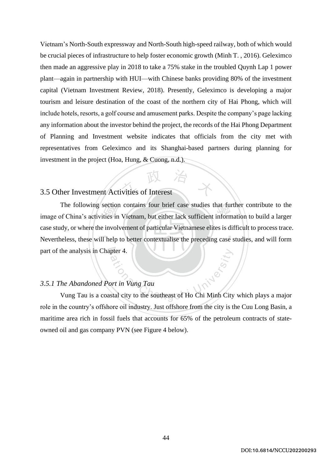Vietnam's North-South expressway and North-South high-speed railway, both of which would be crucial pieces of infrastructure to help foster economic growth (Minh T. , 2016). Geleximco then made an aggressive play in 2018 to take a 75% stake in the troubled Quynh Lap 1 power plant—again in partnership with HUI—with Chinese banks providing 80% of the investment capital (Vietnam Investment Review, 2018). Presently, Geleximco is developing a major tourism and leisure destination of the coast of the northern city of Hai Phong, which will include hotels, resorts, a golf course and amusement parks. Despite the company's page lacking any information about the investor behind the project, the records of the Hai Phong Department of Planning and Investment website indicates that officials from the city met with representatives from Geleximco and its Shanghai-based partners during planning for investment in the project (Hoa, Hung, & Cuong, n.d.).

# $\frac{1}{2}$ <br>3.5 Other Investment Activities of Interest

‧‧ ection<br>ties in<br>invol<br>l help The following section contains four brief case studies that further contribute to the<br>of China's activities in Vietnam, but either lack sufficient information to build a larger part of the analysis in Chapter 4. image of China's activities in Vietnam, but either lack sufficient information to build a larger case study, or where the involvement of particular Vietnamese elites is difficult to process trace. Nevertheless, these will help to better contextualise the preceding case studies, and will form

# *3.5.1 The Abandoned Port in Vung Tau*

the analysis in Chapter 4.<br>
The Abandoned Port in Vung Tau<br>
Vung Tau is a coastal city to the southeast of Ho Chi Minh City which plays a major role in the country's offshore oil industry. Just offshore from the city is the Cuu Long Basin, a maritime area rich in fossil fuels that accounts for 65% of the petroleum contracts of stateowned oil and gas company PVN (see Figure 4 below).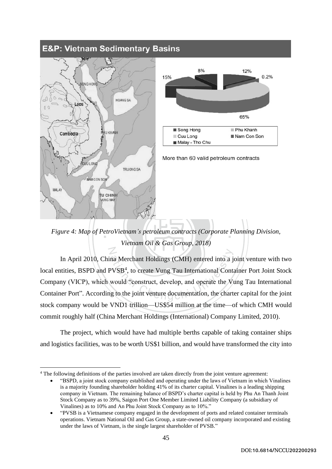

‧ *Figure 4: Map of PetroVietnam's petroleum contracts (Corporate Planning Division,*  N *Vietnam Oil & Gas Group, 2018)*

na Merchant Holdings (CMH) entered into a j<br>
PVSB<sup>4</sup>, to create Vung Tau International Conta<br>
would "construct, develop, and operate the V<sub>1</sub><br>
g to the joint venture documentation, the chart In April 2010, China Merchant Holdings (CMH) entered into a joint venture with two local entities, BSPD and PVSB<sup>4</sup>, to create Vung Tau International Container Port Joint Stock Company (VICP), which would "construct, develop, and operate the Vung Tau International Container Port". According to the joint venture documentation, the charter capital for the joint stock company would be VND1 trillion—US\$54 million at the time—of which CMH would commit roughly half (China Merchant Holdings (International) Company Limited, 2010).

The project, which would have had multiple berths capable of taking container ships and logistics facilities, was to be worth US\$1 billion, and would have transformed the city into

<sup>4</sup> The following definitions of the parties involved are taken directly from the joint venture agreement:

<sup>•</sup> "BSPD, a joint stock company established and operating under the laws of Vietnam in which Vinalines is a majority founding shareholder holding 41% of its charter capital. Vinalines is a leading shipping company in Vietnam. The remaining balance of BSPD's charter capital is held by Phu An Thanh Joint Stock Company as to 39%, Saigon Port One Member Limited Liability Company (a subsidiary of Vinalines) as to 10% and An Phu Joint Stock Company as to 10%."

<sup>•</sup> "PVSB is a Vietnamese company engaged in the development of ports and related container terminals operations. Vietnam National Oil and Gas Group, a state-owned oil company incorporated and existing under the laws of Vietnam, is the single largest shareholder of PVSB."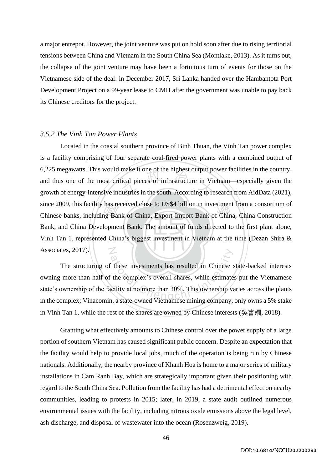a major entrepot. However, the joint venture was put on hold soon after due to rising territorial tensions between China and Vietnam in the South China Sea (Montlake, 2013). As it turns out, the collapse of the joint venture may have been a fortuitous turn of events for those on the Vietnamese side of the deal: in December 2017, Sri Lanka handed over the Hambantota Port Development Project on a 99-year lease to CMH after the government was unable to pay back its Chinese creditors for the project.

#### *3.5.2 The Vinh Tan Power Plants*

‧has re<br>ng Bai<br>lopme<br>d Chii make it one of the mignest output po<br>tical pieces of infrastructure in Vi-<br>dustries in the south. According to re since 2009, this facility has received close to US\$4 billion in investment from a consortium of<br>Chinese banks, including Bank of China, Export-Import Bank of China, China Construction Vinh Tan 1, represented China's biggest investment in Vietnam at the time (Dezan Shira & N Located in the coastal southern province of Binh Thuan, the Vinh Tan power complex is a facility comprising of four separate coal-fired power plants with a combined output of 6,225 megawatts. This would make it one of the highest output power facilities in the country, and thus one of the most critical pieces of infrastructure in Vietnam—especially given the growth of energy-intensive industries in the south. According to research from AidData (2021), since 2009, this facility has received close to US\$4 billion in investment from a consortium of Bank, and China Development Bank. The amount of funds directed to the first plant alone, Associates, 2017).

These investments has resulted in Chinese strate complex's overall shares, while estimate complex's overall shares, while estimate comparison a state-owned Vietnamese mining company The structuring of these investments has resulted in Chinese state-backed interests owning more than half of the complex's overall shares, while estimates put the Vietnamese state's ownership of the facility at no more than 30%. This ownership varies across the plants in the complex; Vinacomin, a state-owned Vietnamese mining company, only owns a 5% stake in Vinh Tan 1, while the rest of the shares are owned by Chinese interests (吳書嫺, 2018).

Granting what effectively amounts to Chinese control over the power supply of a large portion of southern Vietnam has caused significant public concern. Despite an expectation that the facility would help to provide local jobs, much of the operation is being run by Chinese nationals. Additionally, the nearby province of Khanh Hoa is home to a major series of military installations in Cam Ranh Bay, which are strategically important given their positioning with regard to the South China Sea. Pollution from the facility has had a detrimental effect on nearby communities, leading to protests in 2015; later, in 2019, a state audit outlined numerous environmental issues with the facility, including nitrous oxide emissions above the legal level, ash discharge, and disposal of wastewater into the ocean (Rosenzweig, 2019).

46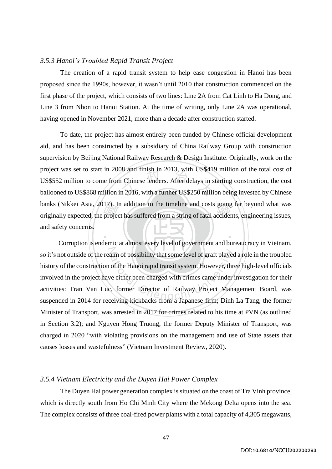#### *3.5.3 Hanoi's Troubled Rapid Transit Project*

The creation of a rapid transit system to help ease congestion in Hanoi has been proposed since the 1990s, however, it wasn't until 2010 that construction commenced on the first phase of the project, which consists of two lines: Line 2A from Cat Linh to Ha Dong, and Line 3 from Nhon to Hanoi Station. At the time of writing, only Line 2A was operational, having opened in November 2021, more than a decade after construction started.

banks (Nikkei Asia, 2017). In addition to the timeline and costs going far beyond what was<br>originally expected, the project has suffered from a string of fatal accidents, engineering issues,<br>and safety concerns. project was set to start in 2008 and films in 2015, with US\$419 million of the total cost of<br>US\$552 million to come from Chinese lenders. After delays in starting construction, the cost<br>ballooned to US\$868 million in 2016, ‧ To date, the project has almost entirely been funded by Chinese official development aid, and has been constructed by a subsidiary of China Railway Group with construction supervision by Beijing National Railway Research & Design Institute. Originally, work on the project was set to start in 2008 and finish in 2013, with US\$419 million of the total cost of US\$552 million to come from Chinese lenders. After delays in starting construction, the cost banks (Nikkei Asia, 2017). In addition to the timeline and costs going far beyond what was and safety concerns.

so it's not outside of the realm of possibility that some level of graft played a role in the troubled Alm of possibility that some level of graft played<br>of the Hanoi rapid transit system. However, three either been charged with crimes came under<br>the university of Railway Project Manakaning the project of Railway Project Ma Corruption is endemic at almost every level of government and bureaucracy in Vietnam, history of the construction of the Hanoi rapid transit system. However, three high-level officials involved in the project have either been charged with crimes came under investigation for their activities: Tran Van Luc, former Director of Railway Project Management Board, was suspended in 2014 for receiving kickbacks from a Japanese firm; Dinh La Tang, the former Minister of Transport, was arrested in 2017 for crimes related to his time at PVN (as outlined in Section 3.2); and Nguyen Hong Truong, the former Deputy Minister of Transport, was charged in 2020 "with violating provisions on the management and use of State assets that causes losses and wastefulness" (Vietnam Investment Review, 2020).

#### *3.5.4 Vietnam Electricity and the Duyen Hai Power Complex*

The Duyen Hai power generation complex is situated on the coast of Tra Vinh province, which is directly south from Ho Chi Minh City where the Mekong Delta opens into the sea. The complex consists of three coal-fired power plants with a total capacity of 4,305 megawatts,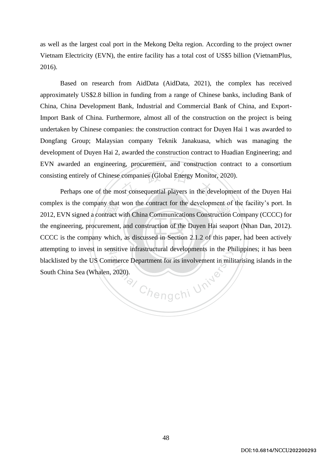as well as the largest coal port in the Mekong Delta region. According to the project owner Vietnam Electricity (EVN), the entire facility has a total cost of US\$5 billion (VietnamPlus, 2016).

consisting entirely of Chinese companies (Global Energy Monitor, 2020).<br>Perhaps one of the most consequential players in the development Based on research from AidData (AidData, 2021), the complex has received approximately US\$2.8 billion in funding from a range of Chinese banks, including Bank of China, China Development Bank, Industrial and Commercial Bank of China, and Export-Import Bank of China. Furthermore, almost all of the construction on the project is being undertaken by Chinese companies: the construction contract for Duyen Hai 1 was awarded to Dongfang Group; Malaysian company Teknik Janakuasa, which was managing the development of Duyen Hai 2, awarded the construction contract to Huadian Engineering; and EVN awarded an engineering, procurement, and construction contract to a consortium

‧y that<br>tract<br>ement<br>which complex is the company that won the contract for the development of the facility's port. In<br>2012, EVN signed a contract with China Communications Construction Company (CCCC) for CCCC is the company which, as discussed in Section 2.1.2 of this paper, had been actively attempting to invest in sensitive infrastructural developments in the Philippines; it has been a Chengchi University Perhaps one of the most consequential players in the development of the Duyen Hai complex is the company that won the contract for the development of the facility's port. In the engineering, procurement, and construction of the Duyen Hai seaport (Nhan Dan, 2012). blacklisted by the US Commerce Department for its involvement in militarising islands in the South China Sea (Whalen, 2020).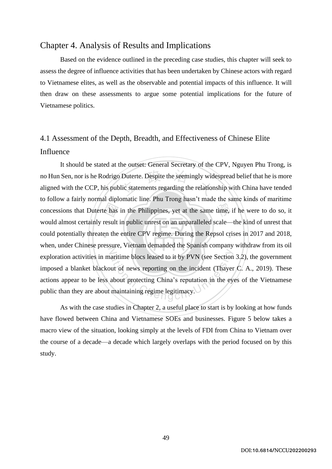# Chapter 4. Analysis of Results and Implications

Based on the evidence outlined in the preceding case studies, this chapter will seek to assess the degree of influence activities that has been undertaken by Chinese actors with regard to Vietnamese elites, as well as the observable and potential impacts of this influence. It will then draw on these assessments to argue some potential implications for the future of Vietnamese politics.

# 4.1 Assessment of the Depth, Breadth, and Effectiveness of Chinese Elite Influence

could potentially threaten the entire CPV regime. During the Repsol crises in 2017 and 2018, concessions that Duterte has in the Philippines, yet at the same time, if he were to do so, it would almost certainly result in public unrest on an unparalleled scale—the kind of unrest that could potentially threaten the Duterte. Despite the seemingly wid<br>lic statements regarding the relation  $\overline{Z}$ aritime blocs leased to it by PVN (see Section<br>ut of news reporting on the incident (Thayer<br>about protecting China's reputation in the ey<br>maintaining regime legitimacy. It should be stated at the outset: General Secretary of the CPV, Nguyen Phu Trong, is no Hun Sen, nor is he Rodrigo Duterte. Despite the seemingly widespread belief that he is more aligned with the CCP, his public statements regarding the relationship with China have tended to follow a fairly normal diplomatic line. Phu Trong hasn't made the same kinds of maritime would almost certainly result in public unrest on an unparalleled scale—the kind of unrest that when, under Chinese pressure, Vietnam demanded the Spanish company withdraw from its oil exploration activities in maritime blocs leased to it by PVN (see Section 3.2), the government imposed a blanket blackout of news reporting on the incident (Thayer C. A., 2019). These actions appear to be less about protecting China's reputation in the eyes of the Vietnamese public than they are about maintaining regime legitimacy.

As with the case studies in Chapter 2, a useful place to start is by looking at how funds have flowed between China and Vietnamese SOEs and businesses. Figure 5 below takes a macro view of the situation, looking simply at the levels of FDI from China to Vietnam over the course of a decade—a decade which largely overlaps with the period focused on by this study.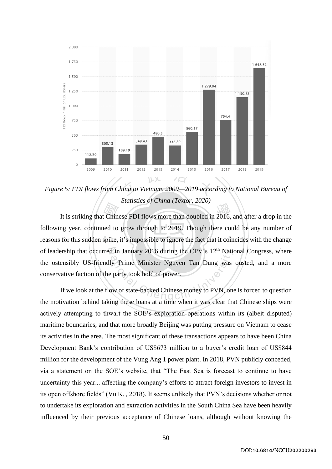

*Statistics of China (Textor, 2020)*

 $\mathcal{L}$ It is striking that Chinese FDI flows more than doubled in 2016, and after a drop in the ng year, continued to grow through to 2019. Though there could be any number of for this sudden spike, it's impossible to ignore the of leadership that occurred in January 2016 during the CPV's 12<sup>th</sup> National Congress, where d in January 2016 during the CPV's 12<sup>th</sup> National Chengchi University Prime Minister Nguyen Tan Dung was<br>
Exparty took hold of power.<br>
Solve of state-backed Chinese money to PVN, one<br>
ing these loans at a time when it was following year, continued to grow through to 2019. Though there could be any number of reasons for this sudden spike, it's impossible to ignore the fact that it coincides with the change the ostensibly US-friendly Prime Minister Nguyen Tan Dung was ousted, and a more conservative faction of the party took hold of power.

If we look at the flow of state-backed Chinese money to PVN, one is forced to question the motivation behind taking these loans at a time when it was clear that Chinese ships were actively attempting to thwart the SOE's exploration operations within its (albeit disputed) maritime boundaries, and that more broadly Beijing was putting pressure on Vietnam to cease its activities in the area. The most significant of these transactions appears to have been China Development Bank's contribution of US\$673 million to a buyer's credit loan of US\$844 million for the development of the Vung Ang 1 power plant. In 2018, PVN publicly conceded, via a statement on the SOE's website, that "The East Sea is forecast to continue to have uncertainty this year... affecting the company's efforts to attract foreign investors to invest in its open offshore fields" (Vu K. , 2018). It seems unlikely that PVN's decisions whether or not to undertake its exploration and extraction activities in the South China Sea have been heavily influenced by their previous acceptance of Chinese loans, although without knowing the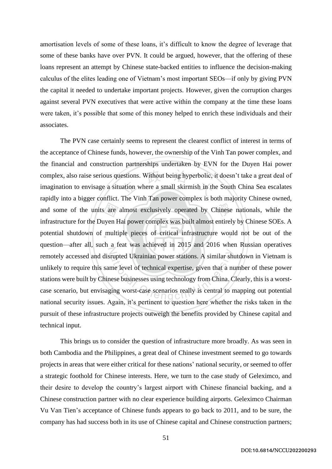amortisation levels of some of these loans, it's difficult to know the degree of leverage that some of these banks have over PVN. It could be argued, however, that the offering of these loans represent an attempt by Chinese state-backed entities to influence the decision-making calculus of the elites leading one of Vietnam's most important SEOs—if only by giving PVN the capital it needed to undertake important projects. However, given the corruption charges against several PVN executives that were active within the company at the time these loans were taken, it's possible that some of this money helped to enrich these individuals and their associates.

potential shutdown of multiple pieces of critical infrastructure would not be out of the are almost exclusively operated by Chinese<br>uyen Hai power complex was built almost entirel<br>multiple pieces of critical infrastructure wou estions. Without being hyperbolic,<br>uation where a small skirmish in the remotely accessed and disrupted Ukrainian power stations. A similar shutdown in Vietnam is<br>unlikely to require this same level of technical expertise, given that a number of these power<br>stations were built by Chinese busin The PVN case certainly seems to represent the clearest conflict of interest in terms of the acceptance of Chinese funds, however, the ownership of the Vinh Tan power complex, and the financial and construction partnerships undertaken by EVN for the Duyen Hai power complex, also raise serious questions. Without being hyperbolic, it doesn't take a great deal of imagination to envisage a situation where a small skirmish in the South China Sea escalates rapidly into a bigger conflict. The Vinh Tan power complex is both majority Chinese owned, and some of the units are almost exclusively operated by Chinese nationals, while the infrastructure for the Duyen Hai power complex was built almost entirely by Chinese SOEs. A question—after all, such a feat was achieved in 2015 and 2016 when Russian operatives unlikely to require this same level of technical expertise, given that a number of these power stations were built by Chinese businesses using technology from China. Clearly, this is a worstcase scenario, but envisaging worst-case scenarios really is central to mapping out potential national security issues. Again, it's pertinent to question here whether the risks taken in the pursuit of these infrastructure projects outweigh the benefits provided by Chinese capital and technical input.

This brings us to consider the question of infrastructure more broadly. As was seen in both Cambodia and the Philippines, a great deal of Chinese investment seemed to go towards projects in areas that were either critical for these nations' national security, or seemed to offer a strategic foothold for Chinese interests. Here, we turn to the case study of Geleximco, and their desire to develop the country's largest airport with Chinese financial backing, and a Chinese construction partner with no clear experience building airports. Geleximco Chairman Vu Van Tien's acceptance of Chinese funds appears to go back to 2011, and to be sure, the company has had success both in its use of Chinese capital and Chinese construction partners;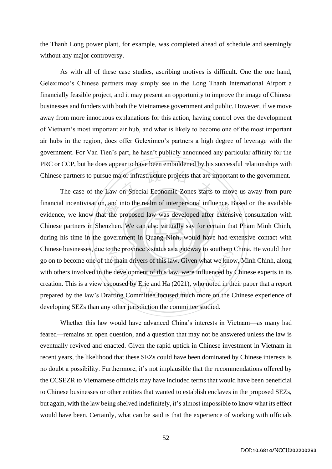the Thanh Long power plant, for example, was completed ahead of schedule and seemingly without any major controversy.

Chinese partners to pursue major infrastructure projects that are important to the government.<br>The case of the Law on Special Economic Zones starts to move us away from pure As with all of these case studies, ascribing motives is difficult. One the one hand, Geleximco's Chinese partners may simply see in the Long Thanh International Airport a financially feasible project, and it may present an opportunity to improve the image of Chinese businesses and funders with both the Vietnamese government and public. However, if we move away from more innocuous explanations for this action, having control over the development of Vietnam's most important air hub, and what is likely to become one of the most important air hubs in the region, does offer Geleximco's partners a high degree of leverage with the government. For Van Tien's part, he hasn't publicly announced any particular affinity for the PRC or CCP, but he does appear to have been emboldened by his successful relationships with

 $\Omega$ n, and<br>it the<br>gover tinancial incentivisation, and into the realm of interpersonal influence. Based on the available<br>evidence, we know that the proposed law was developed after extensive consultation with during his time in the government in Quang Ninh, would have had extensive contact with Chinese businesses, due to the province's status as a gateway to southern China. He would then Examples of the main drivers of this law. Given what we know, Minh Chinh, along with others involved in the development of this law, were influenced by Chinese experts in its creation. This is a view espoused by Erie and H The case of the Law on Special Economic Zones starts to move us away from pure financial incentivisation, and into the realm of interpersonal influence. Based on the available Chinese partners in Shenzhen. We can also virtually say for certain that Pham Minh Chinh, go on to become one of the main drivers of this law. Given what we know, Minh Chinh, along with others involved in the development of this law, were influenced by Chinese experts in its creation. This is a view espoused by Erie and Ha (2021), who noted in their paper that a report developing SEZs than any other jurisdiction the committee studied.

Whether this law would have advanced China's interests in Vietnam—as many had feared—remains an open question, and a question that may not be answered unless the law is eventually revived and enacted. Given the rapid uptick in Chinese investment in Vietnam in recent years, the likelihood that these SEZs could have been dominated by Chinese interests is no doubt a possibility. Furthermore, it's not implausible that the recommendations offered by the CCSEZR to Vietnamese officials may have included terms that would have been beneficial to Chinese businesses or other entities that wanted to establish enclaves in the proposed SEZs, but again, with the law being shelved indefinitely, it's almost impossible to know what its effect would have been. Certainly, what can be said is that the experience of working with officials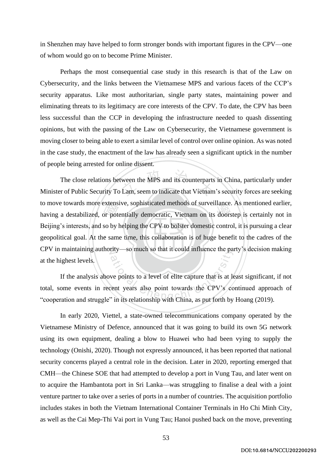in Shenzhen may have helped to form stronger bonds with important figures in the CPV—one of whom would go on to become Prime Minister.

Perhaps the most consequential case study in this research is that of the Law on Cybersecurity, and the links between the Vietnamese MPS and various facets of the CCP's security apparatus. Like most authoritarian, single party states, maintaining power and eliminating threats to its legitimacy are core interests of the CPV. To date, the CPV has been less successful than the CCP in developing the infrastructure needed to quash dissenting opinions, but with the passing of the Law on Cybersecurity, the Vietnamese government is moving closer to being able to exert a similar level of control over online opinion. As was noted in the case study, the enactment of the law has already seen a significant uptick in the number of people being arrested for online dissent.

geopolitical goal. At the same time, this collaboration is of huge benefit to the cadres of the to move towards more extensive, sophisticated methods of surveillance. As mentioned earlier, having a destabilized, or potentially democratic, Vietnam on its doorstep is certainly not in Beijing's interests, and so by help tween the MPS and its counterparts<br>Lam, seem to indicate that Vietnam CPV in maintaining authority—so much so that it could influence the party's decision making The close relations between the MPS and its counterparts in China, particularly under Minister of Public Security To Lam, seem to indicate that Vietnam's security forces are seeking to move towards more extensive, sophisticated methods of surveillance. As mentioned earlier, Beijing's interests, and so by helping the CPV to bolster domestic control, it is pursuing a clear at the highest levels.

Fity—so much so that it could influence the pa<br>we points to a level of elite capture that is at levent years also point towards the CPV's co<br>in its relationship with China, as put forth by If the analysis above points to a level of elite capture that is at least significant, if not total, some events in recent years also point towards the CPV's continued approach of "cooperation and struggle" in its relationship with China, as put forth by Hoang (2019).

In early 2020, Viettel, a state-owned telecommunications company operated by the Vietnamese Ministry of Defence, announced that it was going to build its own 5G network using its own equipment, dealing a blow to Huawei who had been vying to supply the technology (Onishi, 2020). Though not expressly announced, it has been reported that national security concerns played a central role in the decision. Later in 2020, reporting emerged that CMH—the Chinese SOE that had attempted to develop a port in Vung Tau, and later went on to acquire the Hambantota port in Sri Lanka—was struggling to finalise a deal with a joint venture partner to take over a series of ports in a number of countries. The acquisition portfolio includes stakes in both the Vietnam International Container Terminals in Ho Chi Minh City, as well as the Cai Mep-Thi Vai port in Vung Tau; Hanoi pushed back on the move, preventing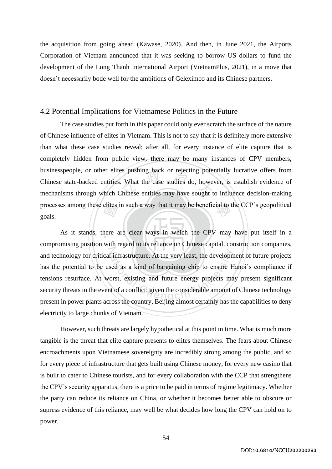the acquisition from going ahead (Kawase, 2020). And then, in June 2021, the Airports Corporation of Vietnam announced that it was seeking to borrow US dollars to fund the development of the Long Thanh International Airport (VietnamPlus, 2021), in a move that doesn't necessarily bode well for the ambitions of Geleximco and its Chinese partners.

#### 4.2 Potential Implications for Vietnamese Politics in the Future

elites<br> *Alay*<br>
nere a<br>
with a es pushing back or rejecting poter<br>What the case studies do, hower.<br>Chinese entities may have sought t processes among these elites in such a way that it may be beneficial to the CCP's geopolitical<br>goals. The case studies put forth in this paper could only ever scratch the surface of the nature of Chinese influence of elites in Vietnam. This is not to say that it is definitely more extensive than what these case studies reveal; after all, for every instance of elite capture that is completely hidden from public view, there may be many instances of CPV members, businesspeople, or other elites pushing back or rejecting potentially lucrative offers from Chinese state-backed entities. What the case studies do, however, is establish evidence of mechanisms through which Chinese entities may have sought to influence decision-making goals.

As it stands, there are clear ways in which the CPV may have put itself in a and technology for critical infrastructure. At the very least, the development of future projects infrastructure. At the very least, the developm<br>sed as a kind of bargaining chip to ensure H<br>orst, existing and future energy projects ma<br>at of a conflict; given the considerable amount c compromising position with regard to its reliance on Chinese capital, construction companies, has the potential to be used as a kind of bargaining chip to ensure Hanoi's compliance if tensions resurface. At worst, existing and future energy projects may present significant security threats in the event of a conflict; given the considerable amount of Chinese technology present in power plants across the country, Beijing almost certainly has the capabilities to deny electricity to large chunks of Vietnam.

However, such threats are largely hypothetical at this point in time. What is much more tangible is the threat that elite capture presents to elites themselves. The fears about Chinese encroachments upon Vietnamese sovereignty are incredibly strong among the public, and so for every piece of infrastructure that gets built using Chinese money, for every new casino that is built to cater to Chinese tourists, and for every collaboration with the CCP that strengthens the CPV's security apparatus, there is a price to be paid in terms of regime legitimacy. Whether the party can reduce its reliance on China, or whether it becomes better able to obscure or supress evidence of this reliance, may well be what decides how long the CPV can hold on to power.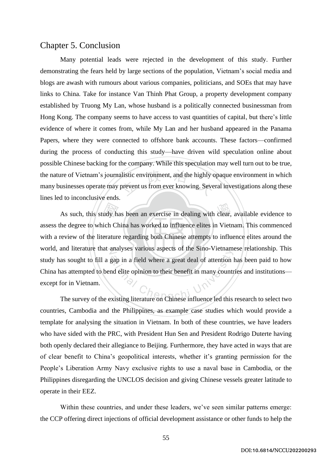# Chapter 5. Conclusion

alistic environment, and the highly of<br>prevent us from ever knowing. Seve Many potential leads were rejected in the development of this study. Further demonstrating the fears held by large sections of the population, Vietnam's social media and blogs are awash with rumours about various companies, politicians, and SOEs that may have links to China. Take for instance Van Thinh Phat Group, a property development company established by Truong My Lan, whose husband is a politically connected businessman from Hong Kong. The company seems to have access to vast quantities of capital, but there's little evidence of where it comes from, while My Lan and her husband appeared in the Panama Papers, where they were connected to offshore bank accounts. These factors—confirmed during the process of conducting this study—have driven wild speculation online about possible Chinese backing for the company. While this speculation may well turn out to be true, the nature of Vietnam's journalistic environment, and the highly opaque environment in which many businesses operate may prevent us from ever knowing. Several investigations along these lines led to inconclusive ends.

with a review of the literature regarding both Chinese attempts to influence elites around the As such, this study has been an exercise in dealing with clear, available evidence to the degree to which China has worked to influence elites in Vietnam. This commenced review of the literature regarding both Chinese atte world, and literature that analyses various aspects of the Sino-Vietnamese relationship. This analyses various aspects of the Sho-Vietnahr<br>gap in a field where a great deal of attention is<br>not elite opinion to their benefit in many countries<br>existing literature on Chinese influence led this assess the degree to which China has worked to influence elites in Vietnam. This commenced study has sought to fill a gap in a field where a great deal of attention has been paid to how China has attempted to bend elite opinion to their benefit in many countries and institutions except for in Vietnam.

The survey of the existing literature on Chinese influence led this research to select two countries, Cambodia and the Philippines, as example case studies which would provide a template for analysing the situation in Vietnam. In both of these countries, we have leaders who have sided with the PRC, with President Hun Sen and President Rodrigo Duterte having both openly declared their allegiance to Beijing. Furthermore, they have acted in ways that are of clear benefit to China's geopolitical interests, whether it's granting permission for the People's Liberation Army Navy exclusive rights to use a naval base in Cambodia, or the Philippines disregarding the UNCLOS decision and giving Chinese vessels greater latitude to operate in their EEZ.

Within these countries, and under these leaders, we've seen similar patterns emerge: the CCP offering direct injections of official development assistance or other funds to help the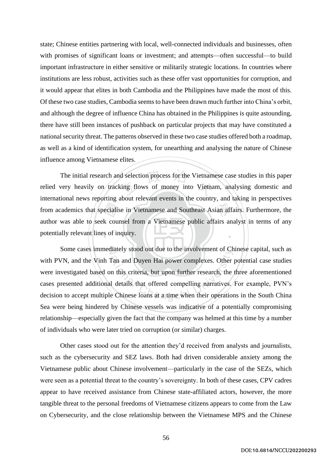state; Chinese entities partnering with local, well-connected individuals and businesses, often with promises of significant loans or investment; and attempts—often successful—to build important infrastructure in either sensitive or militarily strategic locations. In countries where institutions are less robust, activities such as these offer vast opportunities for corruption, and it would appear that elites in both Cambodia and the Philippines have made the most of this. Of these two case studies, Cambodia seems to have been drawn much further into China's orbit, and although the degree of influence China has obtained in the Philippines is quite astounding, there have still been instances of pushback on particular projects that may have constituted a national security threat. The patterns observed in these two case studies offered both a roadmap, as well as a kind of identification system, for unearthing and analysing the nature of Chinese influence among Vietnamese elites.

ecialise in Vietnamese and Southeast Asian aff<br>k counsel from a Vietnamese public affairs are<br>s of inquiry. d selection process for the Vietnam<br>
sting flows of money into Vietna ‧ The initial research and selection process for the Vietnamese case studies in this paper relied very heavily on tracking flows of money into Vietnam, analysing domestic and international news reporting about relevant events in the country, and taking in perspectives from academics that specialise in Vietnamese and Southeast Asian affairs. Furthermore, the author was able to seek counsel from a Vietnamese public affairs analyst in terms of any potentially relevant lines of inquiry.

Some cases immediately stood out due to the involvement of Chinese capital, such as some cases immediately stood out due to the involvement of Chinese capital, such as<br>with PVN, and the Vinh Tan and Duyen Hai power complexes. Other potential case studies<br>were investigated based on this criteria, but upon with PVN, and the Vinh Tan and Duyen Hai power complexes. Other potential case studies were investigated based on this criteria, but upon further research, the three aforementioned cases presented additional details that offered compelling narratives. For example, PVN's Sea were being hindered by Chinese vessels was indicative of a potentially compromising relationship—especially given the fact that the company was helmed at this time by a number of individuals who were later tried on corruption (or similar) charges.

Other cases stood out for the attention they'd received from analysts and journalists, such as the cybersecurity and SEZ laws. Both had driven considerable anxiety among the Vietnamese public about Chinese involvement—particularly in the case of the SEZs, which were seen as a potential threat to the country's sovereignty. In both of these cases, CPV cadres appear to have received assistance from Chinese state-affiliated actors, however, the more tangible threat to the personal freedoms of Vietnamese citizens appears to come from the Law on Cybersecurity, and the close relationship between the Vietnamese MPS and the Chinese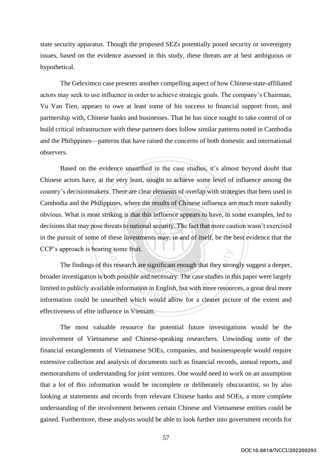state security apparatus. Though the proposed SEZs potentially posed security or sovereignty issues, based on the evidence assessed in this study, these threats are at best ambiguous or hypothetical.

The Geleximco case presents another compelling aspect of how Chinese state-affiliated actors may seek to use influence in order to achieve strategic goals. The company's Chairman, Vu Van Tien, appears to owe at least some of his success to financial support from, and partnership with, Chinese banks and businesses. That he has since sought to take control of or build critical infrastructure with these partners does follow similar patterns noted in Cambodia and the Philippines—patterns that have raised the concerns of both domestic and international observers.

in the pursuit of some of these investments may, in and of itself, be the best evidence that the Cambodia and the Philippines, where the results of Chinese influence are much more nakedly<br>obvious. What is most striking is that this influence appears to have, in some examples, led to<br>decisions that may pose threats to ery least, sought to achieve some l<br>ere are clear elements of overlap with CCP's approach is bearing some fruit. Based on the evidence unearthed in the case studies, it's almost beyond doubt that Chinese actors have, at the very least, sought to achieve some level of influence among the country's decisionmakers. There are clear elements of overlap with strategies that been used in Cambodia and the Philippines, where the results of Chinese influence are much more nakedly decisions that may pose threats to national security. The fact that more caution wasn't exercised

France Seconds are significant enough that they strongly sensors are significant enough that they strong the possible and necessary. The case studies in the information in English, but with more resours are the which would The findings of this research are significant enough that they strongly suggest a deeper, broader investigation is both possible and necessary. The case studies in this paper were largely limited to publicly available information in English, but with more resources, a great deal more information could be unearthed which would allow for a clearer picture of the extent and effectiveness of elite influence in Vietnam.

The most valuable resource for potential future investigations would be the involvement of Vietnamese and Chinese-speaking researchers. Unwinding some of the financial entanglements of Vietnamese SOEs, companies, and businesspeople would require extensive collection and analysis of documents such as financial records, annual reports, and memorandums of understanding for joint ventures. One would need to work on an assumption that a lot of this information would be incomplete or deliberately obscurantist, so by also looking at statements and records from relevant Chinese banks and SOEs, a more complete understanding of the involvement between certain Chinese and Vietnamese entities could be gained. Furthermore, these analysts would be able to look further into government records for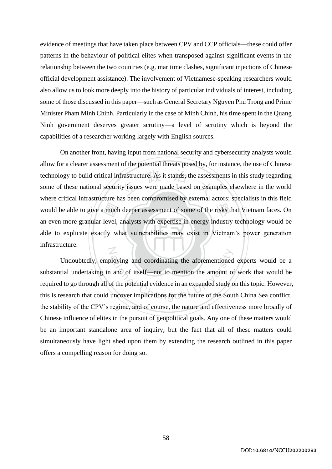evidence of meetings that have taken place between CPV and CCP officials—these could offer patterns in the behaviour of political elites when transposed against significant events in the relationship between the two countries (e.g. maritime clashes, significant injections of Chinese official development assistance). The involvement of Vietnamese-speaking researchers would also allow us to look more deeply into the history of particular individuals of interest, including some of those discussed in this paper—such as General Secretary Nguyen Phu Trong and Prime Minister Pham Minh Chinh. Particularly in the case of Minh Chinh, his time spent in the Quang Ninh government deserves greater scrutiny—a level of scrutiny which is beyond the capabilities of a researcher working largely with English sources.

able to explicate exactly what vulnerabilities may exist in Vietnam's power generation much deeper assessment of some of the risks t<br>level, analysts with expertise in energy industry<br>tly what vulnerabilities may exist in Vietnar frastructure. As it stands, the assess<br>ty issues were made based on exam N On another front, having input from national security and cybersecurity analysts would allow for a clearer assessment of the potential threats posed by, for instance, the use of Chinese technology to build critical infrastructure. As it stands, the assessments in this study regarding some of these national security issues were made based on examples elsewhere in the world where critical infrastructure has been compromised by external actors; specialists in this field would be able to give a much deeper assessment of some of the risks that Vietnam faces. On an even more granular level, analysts with expertise in energy industry technology would be infrastructure.

bloying and coordinating the aforementioned<br>and of itself—not to mention the amount of<br>of the potential evidence in an expanded study concover implications for the future of the Sour Undoubtedly, employing and coordinating the aforementioned experts would be a substantial undertaking in and of itself—not to mention the amount of work that would be required to go through all of the potential evidence in an expanded study on this topic. However, this is research that could uncover implications for the future of the South China Sea conflict, the stability of the CPV's regime, and of course, the nature and effectiveness more broadly of Chinese influence of elites in the pursuit of geopolitical goals. Any one of these matters would be an important standalone area of inquiry, but the fact that all of these matters could simultaneously have light shed upon them by extending the research outlined in this paper offers a compelling reason for doing so.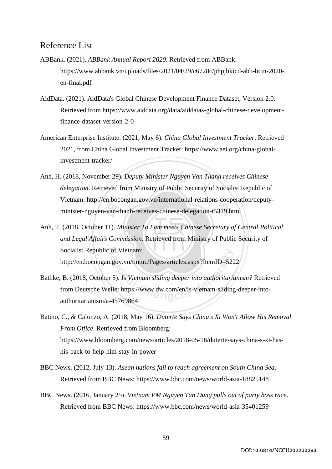# Reference List

- ABBank. (2021). *ABBank Annual Report 2020.* Retrieved from ABBank: https://www.abbank.vn/uploads/files/2021/04/29/c6728c/phpjbkicd-abb-bctn-2020 en-final.pdf
- AidData. (2021). AidData's Global Chinese Development Finance Dataset, Version 2.0. Retrieved from https://www.aiddata.org/data/aiddatas-global-chinese-developmentfinance-dataset-version-2-0
- American Enterprise Institute. (2021, May 6). *China Global Investment Tracker*. Retrieved 2021, from China Global Investment Tracker: https://www.aei.org/china-globalinvestment-tracker/
- ). *Deputy Minister Nguyen Van Tha*<br>from Ministry of Public Security of minister-nguyen-van-thanh-receives-chinese-delegation-t5319.html Anh, H. (2018, November 29). *Deputy Minister Nguyen Van Thanh receives Chinese delegation*. Retrieved from Ministry of Public Security of Socialist Republic of Vietnam: http://en.bocongan.gov.vn/international-relations-cooperation/deputy-
- end Legal Affairs Commission. Retrieved from Ministry of Public Security of  $-$ van-1<br>11). *rs Con* Socialist Republic of Vietnam: Anh, T. (2018, October 11). *Minister To Lam meets Chinese Secretary of Central Political*  http://en.bocongan.gov.vn/tintuc/Pages/articles.aspx?ItemID=5222
- of Vietnam:<br>.gov.vn/tintuc/Pages/articles.aspx?ItemID=522<br>. 5). Is Vietnam sliding deeper into authoritaria<br>.lle: https://www.dw.com/en/is-vietnam-sliding<br>.45769864 Bathke, B. (2018, October 5). *Is Vietnam sliding deeper into authoritarianism?* Retrieved from Deutsche Welle: https://www.dw.com/en/is-vietnam-sliding-deeper-intoauthoritarianism/a-45769864
- Batino, C., & Calonzo, A. (2018, May 16). *Duterte Says China's Xi Won't Allow His Removal From Office*. Retrieved from Bloomberg: https://www.bloomberg.com/news/articles/2018-05-16/duterte-says-china-s-xi-hashis-back-to-help-him-stay-in-power
- BBC News. (2012, July 13). *Asean nations fail to reach agreement on South China Sea*. Retrieved from BBC News: https://www.bbc.com/news/world-asia-18825148
- BBC News. (2016, January 25). *Vietnam PM Nguyen Tan Dung pulls out of party boss race*. Retrieved from BBC News: https://www.bbc.com/news/world-asia-35401259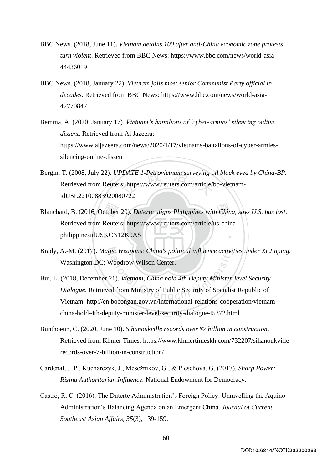- BBC News. (2018, June 11). *Vietnam detains 100 after anti-China economic zone protests turn violent*. Retrieved from BBC News: https://www.bbc.com/news/world-asia-44436019
- BBC News. (2018, January 22). *Vietnam jails most senior Communist Party official in decades*. Retrieved from BBC News: https://www.bbc.com/news/world-asia-42770847
- Bemma, A. (2020, January 17). *Vietnam's battalions of 'cyber-armies' silencing online dissent*. Retrieved from Al Jazeera: https://www.aljazeera.com/news/2020/1/17/vietnams-battalions-of-cyber-armiessilencing-online-dissent
- Bergin, T. (2008, July 22). *UPDATE 1-Petrovietnam surveying oil block eyed by China-BP*.<br>Retrieved from Reuters: https://www.reuters.com/article/bp-vietnam-<br>idUSI 22100883920080722 Retrieved from Reuters: https://www.reuters.com/article/bp-vietnamidUSL22100883920080722
- ‧philippinesidUSKCN12K0AS Blanchard, B. (2016, October 20). *Duterte aligns Philippines with China, says U.S. has lost*.<br>Retrieved from Reuters: https://www.reuters.com/article/us-china-<br>philippinesidUSKCN12K0AS ‧ Retrieved from Reuters: https://www.reuters.com/article/us-china-
- Brady, A.-M. (2017). *Magic Weapons: China's political influence activities under Xi Jinping.* Washington DC: Woodrow Wilson Center.
- ic Weapons: China's political influence activis<br>Voodrow Wilson Center.<br>21). Vietnam, China hold 4th Deputy Minister-<br>21). Vietnam, China hold 4th Deputy Minister-<br>becongen gov yn international relations coops Bui, L. (2018, December 21). *Vietnam, China hold 4th Deputy Minister-level Security Dialogue*. Retrieved from Ministry of Public Security of Socialist Republic of Vietnam: http://en.bocongan.gov.vn/international-relations-cooperation/vietnamchina-hold-4th-deputy-minister-level-security-dialogue-t5372.html
- Bunthoeun, C. (2020, June 10). *Sihanoukville records over \$7 billion in construction*. Retrieved from Khmer Times: https://www.khmertimeskh.com/732207/sihanoukvillerecords-over-7-billion-in-construction/
- Cardenal, J. P., Kucharczyk, J., Mesežnikov, G., & Pleschová, G. (2017). *Sharp Power: Rising Authoritarian Influence.* National Endowment for Democracy.
- Castro, R. C. (2016). The Duterte Administration's Foreign Policy: Unravelling the Aquino Administration's Balancing Agenda on an Emergent China. *Journal of Current Southeast Asian Affairs, 35*(3), 139-159.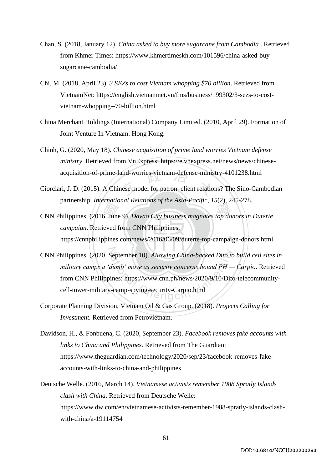- Chan, S. (2018, January 12). *China asked to buy more sugarcane from Cambodia* . Retrieved from Khmer Times: https://www.khmertimeskh.com/101596/china-asked-buysugarcane-cambodia/
- Chi, M. (2018, April 23). *3 SEZs to cost Vietnam whopping \$70 billion*. Retrieved from VietnamNet: https://english.vietnamnet.vn/fms/business/199302/3-sezs-to-costvietnam-whopping--70-billion.html
- China Merchant Holdings (International) Company Limited. (2010, April 29). Formation of Joint Venture In Vietnam. Hong Kong.
- Chinh, G. (2020, May 18). *Chinese acquisition of prime land worries Vietnam defense ministry*. Retrieved from VnExpress: https://e.vnexpress.net/news/news/chineseacquisition-of-prime-land-worries-vietnam-defense-ministry-4101238.html
- and-worries-vietnam-defense-minis<br>nese model for patron-client relation Ciorciari, J. D. (2015). A Chinese model for patron–client relations? The Sino-Cambodian partnership. *International Relations of the Asia-Pacific, 15*(2), 245-278.
- $\frac{1}{2}$ ENN Philippines. (2016, June 9). *Davao City business magnates top donors in Duterte*<br> *campaign*. Retrieved from CNN Philippines:<br>
https://cnnphilippines.com/news/2016/06/09/duterte-top-campaign-donors.html *campaign*. Retrieved from CNN Philippines: https://cnnphilippines.com/news/2016/06/09/duterte-top-campaign-donors.html
- N CNN Philippines. (2020, September 10). *Allowing China-backed Dito to build cell sites in*  September 10). Allowing China-backed Dito to<br>dumb' move as security concerns hound PH —<br>ines: https://www.cnn.ph/news/2020/9/10/Dito<br>-camp-spying-security-Carpio.html *military camps a 'dumb' move as security concerns hound PH — Carpio*. Retrieved from CNN Philippines: https://www.cnn.ph/news/2020/9/10/Dito-telecommunitycell-tower-military-camp-spying-security-Carpio.html
- Corporate Planning Division, Vietnam Oil & Gas Group. (2018). *Projects Calling for Investment.* Retrieved from Petrovietnam.
- Davidson, H., & Fonbuena, C. (2020, September 23). *Facebook removes fake accounts with links to China and Philippines*. Retrieved from The Guardian: https://www.theguardian.com/technology/2020/sep/23/facebook-removes-fakeaccounts-with-links-to-china-and-philippines
- Deutsche Welle. (2016, March 14). *Vietnamese activists remember 1988 Spratly Islands clash with China*. Retrieved from Deutsche Welle: https://www.dw.com/en/vietnamese-activists-remember-1988-spratly-islands-clashwith-china/a-19114754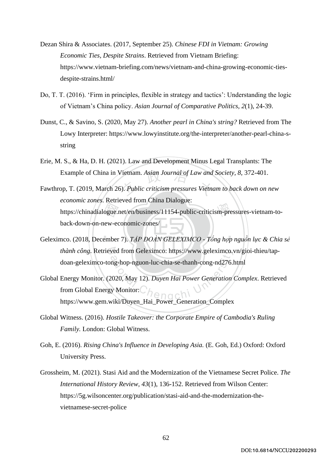- Dezan Shira & Associates. (2017, September 25). *Chinese FDI in Vietnam: Growing Economic Ties, Despite Strains*. Retrieved from Vietnam Briefing: https://www.vietnam-briefing.com/news/vietnam-and-china-growing-economic-tiesdespite-strains.html/
- Do, T. T. (2016). 'Firm in principles, flexible in strategy and tactics': Understanding the logic of Vietnam's China policy. *Asian Journal of Comparative Politics, 2*(1), 24-39.
- Dunst, C., & Savino, S. (2020, May 27). *Another pearl in China's string?* Retrieved from The Lowy Interpreter: https://www.lowyinstitute.org/the-interpreter/another-pearl-china-sstring
- Erie, M. S., & Ha, D. H. (2021). Law and Development Minus Legal Transplants: The Example of China in Vietnam. *Asian Journal of Law and Society, 8*, 372-401.
- Mattps://chinadialogue.net/en/business/11154-public-criticism-pressures-vietnam-to-<br>back-down-on-new-economic-zones/<br>mco. (2018, December 7). TÂP ĐOÀN GELEXIMCO Tổng hợp nguồn lực & Chia Jietnam. Asian Journal of Law and<br>6). Public criticism pressures Vietne Fawthrop, T. (2019, March 26). *Public criticism pressures Vietnam to back down on new economic zones*. Retrieved from China Dialogue: back-down-on-new-economic-zones/
- $\mathbb{R}$   $\mathbb{R}$   $\mathbb{R}$   $\mathbb{R}$   $\mathbb{R}$   $\mathbb{R}$   $\mathbb{R}$   $\mathbb{R}$   $\mathbb{R}$   $\mathbb{R}$   $\mathbb{R}$   $\mathbb{R}$   $\mathbb{R}$   $\mathbb{R}$   $\mathbb{R}$   $\mathbb{R}$   $\mathbb{R}$   $\mathbb{R}$   $\mathbb{R}$   $\mathbb{R}$   $\mathbb{R}$   $\mathbb{R}$   $\mathbb{R}$   $\mathbb{R}$   $\mathbb{$ thành công. Retrieved from Geleximco: https://www.geleximco.vn/gioi-thieu/tap-Geleximco. (2018, December 7). *TẬP ĐOÀN GELEXIMCO - Tổng hợp nguồn lực & Chia sẻ* doan-geleximco-tong-hop-nguon-luc-chia-se-thanh-cong-nd276.html
- ved from Geleximco: https://www.geleximco.v<br>ng-hop-nguon-luc-chia-se-thanh-cong-nd276.l<br>2020, May 12). Duyen Hai Power Generation<br>y Monitor: Global Energy Monitor. (2020, May 12). *Duyen Hai Power Generation Complex*. Retrieved from Global Energy Monitor: https://www.gem.wiki/Duyen\_Hai\_Power\_Generation\_Complex
- Global Witness. (2016). *Hostile Takeover: the Corporate Empire of Cambodia's Ruling Family.* London: Global Witness.
- Goh, E. (2016). *Rising China's Influence in Developing Asia.* (E. Goh, Ed.) Oxford: Oxford University Press.
- Grossheim, M. (2021). Stasi Aid and the Modernization of the Vietnamese Secret Police. *The International History Review, 43*(1), 136-152. Retrieved from Wilson Center: https://5g.wilsoncenter.org/publication/stasi-aid-and-the-modernization-thevietnamese-secret-police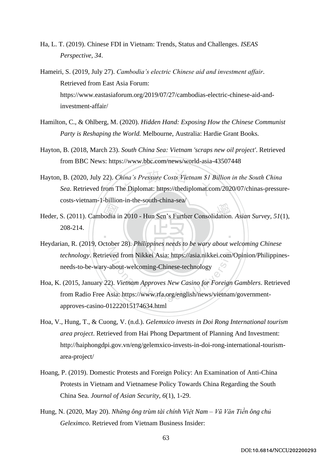- Ha, L. T. (2019). Chinese FDI in Vietnam: Trends, Status and Challenges. *ISEAS Perspective, 34*.
- Hameiri, S. (2019, July 27). *Cambodia's electric Chinese aid and investment affair*. Retrieved from East Asia Forum: https://www.eastasiaforum.org/2019/07/27/cambodias-electric-chinese-aid-andinvestment-affair/
- Hamilton, C., & Ohlberg, M. (2020). *Hidden Hand: Exposing How the Chinese Communist Party is Reshaping the World.* Melbourne, Australia: Hardie Grant Books.
- Hayton, B. (2018, March 23). *South China Sea: Vietnam 'scraps new oil project'*. Retrieved from BBC News: https://www.bbc.com/news/world-asia-43507448
- <sup>立</sup> <sup>政</sup> <sup>治</sup> <sup>大</sup> Hayton, B. (2020, July 22). *China's Pressure Costs Vietnam \$1 Billion in the South China Sea*. Retrieved from The Diplomat: https://thediplomat.com/2020/07/chinas-pressurecosts-vietnam-1-billion-in-the-south-china-sea/
- Heder, S. (2011). Cambodia in 2010 Hun Sen's Further Consolidation. Asian Survey, 51(1), 208-214. ‧ 208-214.
- *technology*. Retrieved from Nikkei Asia: https://asia.nikkei.com/Opinion/Philippines-Heydarian, R. (2019, October 28). *Philippines needs to be wary about welcoming Chinese*  needs-to-be-wary-about-welcoming-Chinese-technology
- wed from Nikkei Asia: https://asia.nikkei.com/<br>about-welcoming-Chinese-technology<br>2). *Vietnam Approves New Casino for Foreign*<br>sia: https://www.rfa.org/english/news/vietnam Hoa, K. (2015, January 22). *Vietnam Approves New Casino for Foreign Gamblers*. Retrieved from Radio Free Asia: https://www.rfa.org/english/news/vietnam/governmentapproves-casino-01222015174634.html
- Hoa, V., Hung, T., & Cuong, V. (n.d.). *Gelemxico invests in Doi Rong International tourism area project*. Retrieved from Hai Phong Department of Planning And Investment: http://haiphongdpi.gov.vn/eng/gelemxico-invests-in-doi-rong-international-tourismarea-project/
- Hoang, P. (2019). Domestic Protests and Foreign Policy: An Examination of Anti-China Protests in Vietnam and Vietnamese Policy Towards China Regarding the South China Sea. *Journal of Asian Security, 6*(1), 1-29.
- Hung, N. (2020, May 20). *Những ông trùm tài chính Việt Nam – Vũ Văn Tiền ông chủ Geleximco*. Retrieved from Vietnam Business Insider: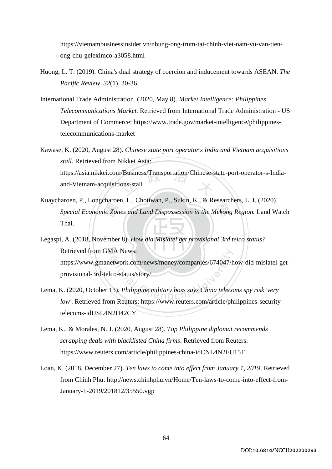https://vietnambusinessinsider.vn/nhung-ong-trum-tai-chinh-viet-nam-vu-van-tienong-chu-geleximco-a3058.html

- Huong, L. T. (2019). China's dual strategy of coercion and inducement towards ASEAN. *The Pacific Review, 32*(1), 20-36.
- International Trade Administration. (2020, May 8). *Market Intelligence: Philippines Telecommunications Market.* Retrieved from International Trade Administration - US Department of Commerce: https://www.trade.gov/market-intelligence/philippinestelecommunications-market
- https://asia.nikkei.com/Business/Transportation/Chinese-state-port-operator-s-India-<br>and-Vietnam-acquisitions-stall Kawase, K. (2020, August 28). *Chinese state port operator's India and Vietnam acquisitions stall*. Retrieved from Nikkei Asia: and-Vietnam-acquisitions-stall
- Special Economic Zones and Land Dispossession in the Mekong Region. Land Watch<br>Thai.<br>i, A. (2018, November 8). How did Mislatel get provisional 3rd telco status? Kuaycharoen, P., Longcharoen, L., Chotiwan, P., Sukin, K., & Researchers, L. I. (2020). Thai.
- $\mathbb{R}$  .  $\mathbb{R}$  . The set of  $\mathbb{R}$ N Retrieved from GMA News: AA News:<br>etwork.com/news/money/companies/674047/h<br>co-status/story/<br>13). *Philippine military boss says China teleco*<br>m Peuters: https://www.reuters.com/article/ph Legaspi, A. (2018, November 8). *How did Mislatel get provisional 3rd telco status?* https://www.gmanetwork.com/news/money/companies/674047/how-did-mislatel-getprovisional-3rd-telco-status/story/
- Lema, K. (2020, October 13). *Philippine military boss says China telecoms spy risk 'very low'*. Retrieved from Reuters: https://www.reuters.com/article/philippines-securitytelecoms-idUSL4N2H42CY
- Lema, K., & Morales, N. J. (2020, August 28). *Top Philippine diplomat recommends scrapping deals with blacklisted China firms*. Retrieved from Reuters: https://www.reuters.com/article/philippines-china-idCNL4N2FU15T
- Loan, K. (2018, December 27). *Ten laws to come into effect from January 1, 2019*. Retrieved from Chinh Phu: http://news.chinhphu.vn/Home/Ten-laws-to-come-into-effect-from-January-1-2019/201812/35550.vgp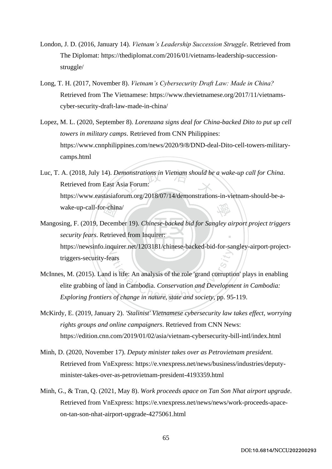- London, J. D. (2016, January 14). *Vietnam's Leadership Succession Struggle*. Retrieved from The Diplomat: https://thediplomat.com/2016/01/vietnams-leadership-successionstruggle/
- Long, T. H. (2017, November 8). *Vietnam's Cybersecurity Draft Law: Made in China?* Retrieved from The Vietnamese: https://www.thevietnamese.org/2017/11/vietnamscyber-security-draft-law-made-in-china/
- Lopez, M. L. (2020, September 8). *Lorenzana signs deal for China-backed Dito to put up cell towers in military camps*. Retrieved from CNN Philippines: https://www.cnnphilippines.com/news/2020/9/8/DND-deal-Dito-cell-towers-militarycamps.html
- Luc, T. A. (2018, July 14). *Demonstrations in Vietnam should be a wake-up call for China*.<br>Retrieved from East Asia Forum:<br>https://www.eastasiaforum.org/2018/07/14/demonstrations-in-vietnam-should-be-a-學 Retrieved from East Asia Forum: https://www.eastasiaforum.org/2018/07/14/demonstrations-in-vietnam-should-be-awake-up-call-for-china/
- security fears. Retrieved from Inquirer: r-chin<br>Jecem<br>Letriev ‧ N https://newsinfo.inquirer.net/1203181/chinese-backed-bid-for-sangley-airport-project-Mangosing, F. (2019, December 19). *Chinese-backed bid for Sangley airport project triggers*  triggers-security-fears
- Paris<br>
I is life: An analysis of the role 'grand corruption<br>
and in Cambodia. Conservation and Developm<br>
Sof change in nature, state and society, pp. 95 McInnes, M. (2015). Land is life: An analysis of the role 'grand corruption' plays in enabling elite grabbing of land in Cambodia. *Conservation and Development in Cambodia: Exploring frontiers of change in nature, state and society*, pp. 95-119.
- McKirdy, E. (2019, January 2). *'Stalinist' Vietnamese cybersecurity law takes effect, worrying rights groups and online campaigners*. Retrieved from CNN News: https://edition.cnn.com/2019/01/02/asia/vietnam-cybersecurity-bill-intl/index.html
- Minh, D. (2020, November 17). *Deputy minister takes over as Petrovietnam president*. Retrieved from VnExpress: https://e.vnexpress.net/news/business/industries/deputyminister-takes-over-as-petrovietnam-president-4193359.html
- Minh, G., & Tran, Q. (2021, May 8). *Work proceeds apace on Tan Son Nhat airport upgrade*. Retrieved from VnExpress: https://e.vnexpress.net/news/news/work-proceeds-apaceon-tan-son-nhat-airport-upgrade-4275061.html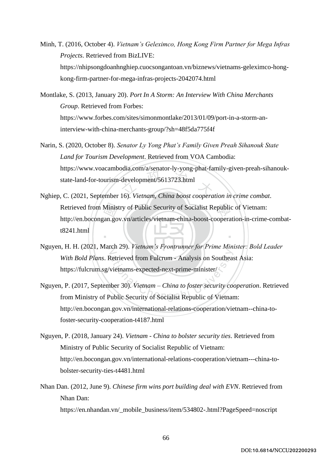- Minh, T. (2016, October 4). *Vietnam's Geleximco, Hong Kong Firm Partner for Mega Infras Projects*. Retrieved from BizLIVE: https://nhipsongdoanhnghiep.cuocsongantoan.vn/biznews/vietnams-geleximco-hongkong-firm-partner-for-mega-infras-projects-2042074.html
- Montlake, S. (2013, January 20). *Port In A Storm: An Interview With China Merchants Group*. Retrieved from Forbes: https://www.forbes.com/sites/simonmontlake/2013/01/09/port-in-a-storm-aninterview-with-china-merchants-group/?sh=48f5da775f4f
- development/5613723.html<br>16) Vietnam China boost coopera Narin, S. (2020, October 8). *Senator Ly Yong Phat's Family Given Preah Sihanouk State Land for Tourism Development*. Retrieved from VOA Cambodia: https://www.voacambodia.com/a/senator-ly-yong-phat-family-given-preah-sihanoukstate-land-for-tourism-development/5613723.html
- Minist<br>an.go<br> Retrieved from Ministry of Public Security of Socialist Republic of Vietnam: ‧ Nghiep, C. (2021, September 16). *Vietnam, China boost cooperation in crime combat*. http://en.bocongan.gov.vn/articles/vietnam-china-boost-cooperation-in-crime-combatt8241.html
- N Nguyen, H. H. (2021, March 29). *Vietnam's Frontrunner for Prime Minister: Bold Leader*  Retrieved from Fulcrum - Analysis on Southeas<br>
vietnams-expected-next-prime-minister/<br>
ber 30). *Vietnam – China to foster security coublic Security of Socialist Republic of Vietnar With Bold Plans*. Retrieved from Fulcrum - Analysis on Southeast Asia: https://fulcrum.sg/vietnams-expected-next-prime-minister/
- Nguyen, P. (2017, September 30). *Vietnam – China to foster security cooperation*. Retrieved from Ministry of Public Security of Socialist Republic of Vietnam: http://en.bocongan.gov.vn/international-relations-cooperation/vietnam--china-tofoster-security-cooperation-t4187.html
- Nguyen, P. (2018, January 24). *Vietnam - China to bolster security ties*. Retrieved from Ministry of Public Security of Socialist Republic of Vietnam: http://en.bocongan.gov.vn/international-relations-cooperation/vietnam---china-tobolster-security-ties-t4481.html
- Nhan Dan. (2012, June 9). *Chinese firm wins port building deal with EVN*. Retrieved from Nhan Dan: https://en.nhandan.vn/\_mobile\_business/item/534802-.html?PageSpeed=noscript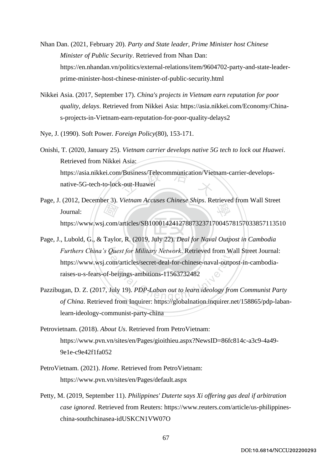- Nhan Dan. (2021, February 20). *Party and State leader, Prime Minister host Chinese Minister of Public Security*. Retrieved from Nhan Dan: https://en.nhandan.vn/politics/external-relations/item/9604702-party-and-state-leaderprime-minister-host-chinese-minister-of-public-security.html
- Nikkei Asia. (2017, September 17). *China's projects in Vietnam earn reputation for poor quality, delays*. Retrieved from Nikkei Asia: https://asia.nikkei.com/Economy/Chinas-projects-in-Vietnam-earn-reputation-for-poor-quality-delays2
- Nye, J. (1990). Soft Power. *Foreign Policy*(80), 153-171.
- https://asia.nikkei.com/Business/Telecommunication/Vietnam-carrier-develops-<br>native-5G-tech-to-lock-out-Huawei Onishi, T. (2020, January 25). *Vietnam carrier develops native 5G tech to lock out Huawei*. Retrieved from Nikkei Asia: native-5G-tech-to-lock-out-Huawei
- (Fight)<br>i.com/<br>Taylo 學 Page, J. (2012, December 3). *Vietnam Accuses Chinese Ships*. Retrieved from Wall Street Journal: https://www.wsj.com/articles/SB10001424127887323717004578157033857113510
- $\overline{P}$   $\overline{P}$  (2010)  $\overline{P}$  (2011)  $\overline{P}$   $\overline{P}$  (2015)  $\overline{P}$  (2015)  $\overline{P}$  (2015)  $\overline{P}$  (2015)  $\overline{P}$  (2015)  $\overline{P}$  (2015)  $\overline{P}$  (2015)  $\overline{P}$  (2015)  $\overline{P}$  (2015)  $\overline{P}$  (2015)  $\overline{P}$  (2 Furthers China's Quest for Military Network. Retrieved from Wall Street Journal: Quest for Military Network. Retrieved from Way (Chenge) and Chenge in Articles/secret-deal-for-chinese-naval-outport<br>beijings-ambitions-11563732482<br>July 19). *PDP-Laban out to learn ideology from* Page, J., Lubold, G., & Taylor, R. (2019, July 22). *Deal for Naval Outpost in Cambodia*  https://www.wsj.com/articles/secret-deal-for-chinese-naval-outpost-in-cambodiaraises-u-s-fears-of-beijings-ambitions-11563732482
- Pazzibugan, D. Z. (2017, July 19). *PDP-Laban out to learn ideology from Communist Party of China*. Retrieved from Inquirer: https://globalnation.inquirer.net/158865/pdp-labanlearn-ideology-communist-party-china
- Petrovietnam. (2018). *About Us*. Retrieved from PetroVietnam: https://www.pvn.vn/sites/en/Pages/gioithieu.aspx?NewsID=86fc814c-a3c9-4a49- 9e1e-c9e42f1fa052
- PetroVietnam. (2021). *Home*. Retrieved from PetroVietnam: https://www.pvn.vn/sites/en/Pages/default.aspx
- Petty, M. (2019, September 11). *Philippines' Duterte says Xi offering gas deal if arbitration case ignored*. Retrieved from Reuters: https://www.reuters.com/article/us-philippineschina-southchinasea-idUSKCN1VW07O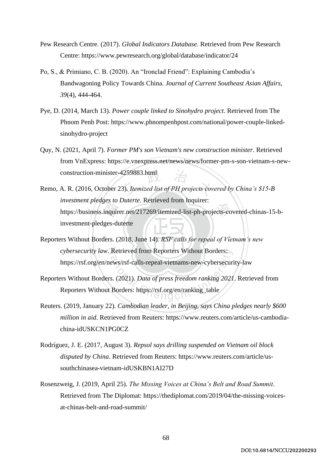- Pew Research Centre. (2017). *Global Indicators Database*. Retrieved from Pew Research Centre: https://www.pewresearch.org/global/database/indicator/24
- Po, S., & Primiano, C. B. (2020). An "Ironclad Friend": Explaining Cambodia's Bandwagoning Policy Towards China. *Journal of Current Southeast Asian Affairs, 39*(4), 444-464.
- Pye, D. (2014, March 13). *Power couple linked to Sinohydro project*. Retrieved from The Phnom Penh Post: https://www.phnompenhpost.com/national/power-couple-linkedsinohydro-project
- Quy, N. (2021, April 7). *Former PM's son Vietnam's new construction minister*. Retrieved from VnExpress: https://e.vnexpress.net/news/news/former-pm-s-son-vietnam-s-newconstruction-minister-4259883.html
- https://business.inquirer.net/217269/itemized-list-ph-projects-covered-chinas-15-b-<br>investment-pledges-duterte<br>ers Without Borders. (2018, June 14). *RSF calls for repeal of Vietnam's new* 4259883.html<br>23). *Itemized list of PH projects cov* Remo, A. R. (2016, October 23). *Itemized list of PH projects covered by China's \$15-B investment pledges to Duterte*. Retrieved from Inquirer: investment-pledges-duterte
- $\frac{1}{2}$   $\frac{1}{2}$   $\frac{1}{2}$   $\frac{1}{2}$   $\frac{1}{2}$   $\frac{1}{2}$   $\frac{1}{2}$   $\frac{1}{2}$   $\frac{1}{2}$   $\frac{1}{2}$   $\frac{1}{2}$   $\frac{1}{2}$   $\frac{1}{2}$   $\frac{1}{2}$   $\frac{1}{2}$   $\frac{1}{2}$   $\frac{1}{2}$   $\frac{1}{2}$   $\frac{1}{2}$   $\frac{1}{2}$   $\frac{1}{2}$   $\frac{1}{2}$  cybersecurity law. Retrieved from Reporters Without Borders: Reporters Without Borders. (2018, June 14). *RSF calls for repeal of Vietnam's new*  https://rsf.org/en/news/rsf-calls-repeal-vietnams-new-cybersecurity-law
- Retrieved from Reporters Without Borders:<br>ews/rsf-calls-repeal-vietnams-new-cybersecuri<br>s. (2021). *Data of press freedom ranking 2021*<br>Borders: https://rsf.org/en/ranking\_table Reporters Without Borders. (2021). *Data of press freedom ranking 2021*. Retrieved from Reporters Without Borders: https://rsf.org/en/ranking\_table
- Reuters. (2019, January 22). *Cambodian leader, in Beijing, says China pledges nearly \$600 million in aid*. Retrieved from Reuters: https://www.reuters.com/article/us-cambodiachina-idUSKCN1PG0CZ
- Rodríguez, J. E. (2017, August 3). *Repsol says drilling suspended on Vietnam oil block disputed by China*. Retrieved from Reuters: https://www.reuters.com/article/ussouthchinasea-vietnam-idUSKBN1AI27D
- Rosenzweig, J. (2019, April 25). *The Missing Voices at China's Belt and Road Summit*. Retrieved from The Diplomat: https://thediplomat.com/2019/04/the-missing-voicesat-chinas-belt-and-road-summit/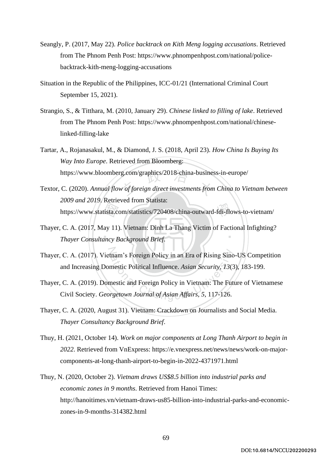- Seangly, P. (2017, May 22). *Police backtrack on Kith Meng logging accusations*. Retrieved from The Phnom Penh Post: https://www.phnompenhpost.com/national/policebacktrack-kith-meng-logging-accusations
- Situation in the Republic of the Philippines, ICC-01/21 (International Criminal Court September 15, 2021).
- Strangio, S., & Titthara, M. (2010, January 29). *Chinese linked to filling of lake*. Retrieved from The Phnom Penh Post: https://www.phnompenhpost.com/national/chineselinked-filling-lake
- Tartar, A., Rojanasakul, M., & Diamond, J. S. (2018, April 23). *How China Is Buying Its Way Into Europe*. Retrieved from Bloomberg: https://www.bloomberg.com/graphics/2018-china-business-in-europe/
- g.com/graphics/2018-china-busines<br>w of foreign direct investments from Textor, C. (2020). *Annual flow of foreign direct investments from China to Vietnam between 2009 and 2019*. Retrieved from Statista:
- ‧*Thayer Consultancy Background Brief*. https://www.statista.com/statistics/720408/china-outward-fdi-flows-to-vietnam/<br>, C. A. (2017, May 11). Vietnam: Dinh La Thang Victim of Factional Infighting<br>Thayer Consultancy Background Brief. ‧ Thayer, C. A. (2017, May 11). Vietnam: Dinh La Thang Victim of Factional Infighting?
- Thayer, C. A. (2017). Vietnam's Foreign Policy in an Era of Rising Sino-US Competition tnam's Foreign Policy in an Era of Rising Sino<br>mestic Political Influence. Asian Security, 13(3<br>nestic and Foreign Policy in Vietnam: The Fut<br>rgetown Journal of Asian Affairs, 5, 117-126. and Increasing Domestic Political Influence. *Asian Security, 13*(3), 183-199.
- Thayer, C. A. (2019). Domestic and Foreign Policy in Vietnam: The Future of Vietnamese Civil Society. *Georgetown Journal of Asian Affairs, 5*, 117-126.
- Thayer, C. A. (2020, August 31). Vietnam: Crackdown on Journalists and Social Media. *Thayer Consultancy Background Brief*.
- Thuy, H. (2021, October 14). *Work on major components at Long Thanh Airport to begin in 2022*. Retrieved from VnExpress: https://e.vnexpress.net/news/news/work-on-majorcomponents-at-long-thanh-airport-to-begin-in-2022-4371971.html
- Thuy, N. (2020, October 2). *Vietnam draws US\$8.5 billion into industrial parks and economic zones in 9 months*. Retrieved from Hanoi Times: http://hanoitimes.vn/vietnam-draws-us85-billion-into-industrial-parks-and-economiczones-in-9-months-314382.html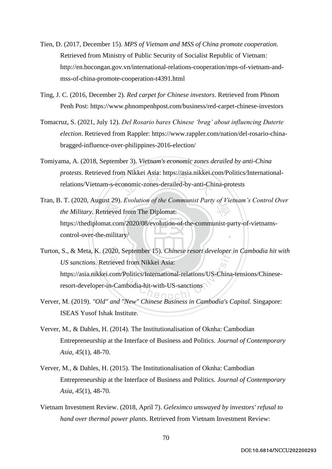- Tien, D. (2017, December 15). *MPS of Vietnam and MSS of China promote cooperation*. Retrieved from Ministry of Public Security of Socialist Republic of Vietnam: http://en.bocongan.gov.vn/international-relations-cooperation/mps-of-vietnam-andmss-of-china-promote-cooperation-t4391.html
- Ting, J. C. (2016, December 2). *Red carpet for Chinese investors*. Retrieved from Phnom Penh Post: https://www.phnompenhpost.com/business/red-carpet-chinese-investors
- Tomacruz, S. (2021, July 12). *Del Rosario bares Chinese 'brag' about influencing Duterte election*. Retrieved from Rappler: https://www.rappler.com/nation/del-rosario-chinabragged-influence-over-philippines-2016-election/
- protests. Retrieved from Nikkei Asia: https://asia.nikkei.com/Politics/International-<br>relations/Vietnam-s-economic-zones-derailed-by-anti-China-protests Tomiyama, A. (2018, September 3). *Vietnam's economic zones derailed by anti-China*  relations/Vietnam-s-economic-zones-derailed-by-anti-China-protests
- ‧control-over-the-military/ trieved<br>
mat.co<br>
-milit 學 ‧ Tran, B. T. (2020, August 29). *Evolution of the Communist Party of Vietnam's Control Over the Military*. Retrieved from The Diplomat: https://thediplomat.com/2020/08/evolution-of-the-communist-party-of-vietnams-
- N Turton, S., & Meta, K. (2020, September 15). *Chinese resort developer in Cambodia hit with*  20, September 15). *Chinese resort developer*<br>ieved from Nikkei Asia:<br>com/Politics/International-relations/US-China-<br>and "New" Chinase Business in Cambodia's C *US sanctions*. Retrieved from Nikkei Asia: https://asia.nikkei.com/Politics/International-relations/US-China-tensions/Chineseresort-developer-in-Cambodia-hit-with-US-sanctions
- Verver, M. (2019). *"Old" and "New" Chinese Business in Cambodia's Capital.* Singapore: ISEAS Yusof Ishak Institute.
- Verver, M., & Dahles, H. (2014). The Institutionalisation of Oknha: Cambodian Entrepreneurship at the Interface of Business and Politics. *Journal of Contemporary Asia, 45*(1), 48-70.
- Verver, M., & Dahles, H. (2015). The Institutionalisation of Oknha: Cambodian Entrepreneurship at the Interface of Business and Politics. *Journal of Contemporary Asia, 45*(1), 48-70.
- Vietnam Investment Review. (2018, April 7). *Geleximco unswayed by investors' refusal to hand over thermal power plants*. Retrieved from Vietnam Investment Review: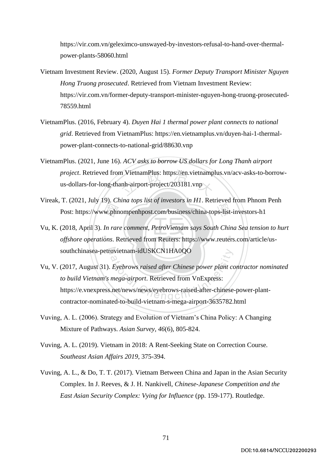https://vir.com.vn/geleximco-unswayed-by-investors-refusal-to-hand-over-thermalpower-plants-58060.html

- Vietnam Investment Review. (2020, August 15). *Former Deputy Transport Minister Nguyen Hong Truong prosecuted*. Retrieved from Vietnam Investment Review: https://vir.com.vn/former-deputy-transport-minister-nguyen-hong-truong-prosecuted-78559.html
- VietnamPlus. (2016, February 4). *Duyen Hai 1 thermal power plant connects to national grid*. Retrieved from VietnamPlus: https://en.vietnamplus.vn/duyen-hai-1-thermalpower-plant-connects-to-national-grid/88630.vnp
- project. Retrieved from VietnamPlus: https://en.vietnamplus.vn/acv-asks-to-borrow-<br>us-dollars-for-long-thanh-airport-project/203181.vnp VietnamPlus. (2021, June 16). *ACV asks to borrow US dollars for Long Thanh airport*  us-dollars-for-long-thanh-airport-project/203181.vnp
- Vireak, T. (2021, July 19). *China tops list of investors in H1*. Retrieved from Phnom Penh
- $\mathbf{A}$ Post: https://www.phnompenhpost.com/business/china-tops-list-investors-h1<br>(2018, April 3). In rare comment, PetroVietnam says South China Sea tensio<br>offshore operations. Retrieved from Reuters: https://www.reuters.com/arti southchinasea-petrovietnam-idUSKCN1HA0QO Vu, K. (2018, April 3). *In rare comment, PetroVietnam says South China Sea tension to hurt offshore operations*. Retrieved from Reuters: https://www.reuters.com/article/us-
- ovietnam-idUSKCN1HA0QO<br>
Eyebrows raised after Chinese power plant comega-airport. Retrieved from VnExpress:<br>
.net/news/news/eyebrows-raised-after-chinese Vu, V. (2017, August 31). *Eyebrows raised after Chinese power plant contractor nominated to build Vietnam's mega-airport*. Retrieved from VnExpress: https://e.vnexpress.net/news/news/eyebrows-raised-after-chinese-power-plantcontractor-nominated-to-build-vietnam-s-mega-airport-3635782.html
- Vuving, A. L. (2006). Strategy and Evolution of Vietnam's China Policy: A Changing Mixture of Pathways. *Asian Survey, 46*(6), 805-824.
- Vuving, A. L. (2019). Vietnam in 2018: A Rent-Seeking State on Correction Course. *Southeast Asian Affairs 2019*, 375-394.
- Vuving, A. L., & Do, T. T. (2017). Vietnam Between China and Japan in the Asian Security Complex. In J. Reeves, & J. H. Nankivell, *Chinese-Japanese Competition and the East Asian Security Complex: Vying for Influence* (pp. 159-177). Routledge.